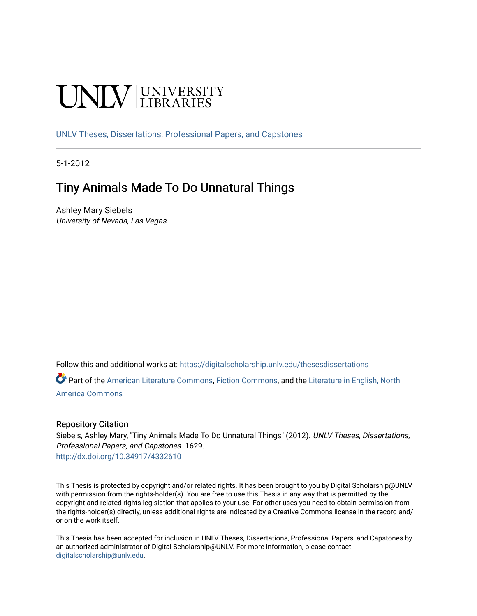# **UNIVERSITY**

[UNLV Theses, Dissertations, Professional Papers, and Capstones](https://digitalscholarship.unlv.edu/thesesdissertations)

5-1-2012

# Tiny Animals Made To Do Unnatural Things

Ashley Mary Siebels University of Nevada, Las Vegas

Follow this and additional works at: [https://digitalscholarship.unlv.edu/thesesdissertations](https://digitalscholarship.unlv.edu/thesesdissertations?utm_source=digitalscholarship.unlv.edu%2Fthesesdissertations%2F1629&utm_medium=PDF&utm_campaign=PDFCoverPages)

Part of the [American Literature Commons](http://network.bepress.com/hgg/discipline/441?utm_source=digitalscholarship.unlv.edu%2Fthesesdissertations%2F1629&utm_medium=PDF&utm_campaign=PDFCoverPages), [Fiction Commons](http://network.bepress.com/hgg/discipline/1151?utm_source=digitalscholarship.unlv.edu%2Fthesesdissertations%2F1629&utm_medium=PDF&utm_campaign=PDFCoverPages), and the [Literature in English, North](http://network.bepress.com/hgg/discipline/458?utm_source=digitalscholarship.unlv.edu%2Fthesesdissertations%2F1629&utm_medium=PDF&utm_campaign=PDFCoverPages)  [America Commons](http://network.bepress.com/hgg/discipline/458?utm_source=digitalscholarship.unlv.edu%2Fthesesdissertations%2F1629&utm_medium=PDF&utm_campaign=PDFCoverPages) 

#### Repository Citation

Siebels, Ashley Mary, "Tiny Animals Made To Do Unnatural Things" (2012). UNLV Theses, Dissertations, Professional Papers, and Capstones. 1629. <http://dx.doi.org/10.34917/4332610>

This Thesis is protected by copyright and/or related rights. It has been brought to you by Digital Scholarship@UNLV with permission from the rights-holder(s). You are free to use this Thesis in any way that is permitted by the copyright and related rights legislation that applies to your use. For other uses you need to obtain permission from the rights-holder(s) directly, unless additional rights are indicated by a Creative Commons license in the record and/ or on the work itself.

This Thesis has been accepted for inclusion in UNLV Theses, Dissertations, Professional Papers, and Capstones by an authorized administrator of Digital Scholarship@UNLV. For more information, please contact [digitalscholarship@unlv.edu](mailto:digitalscholarship@unlv.edu).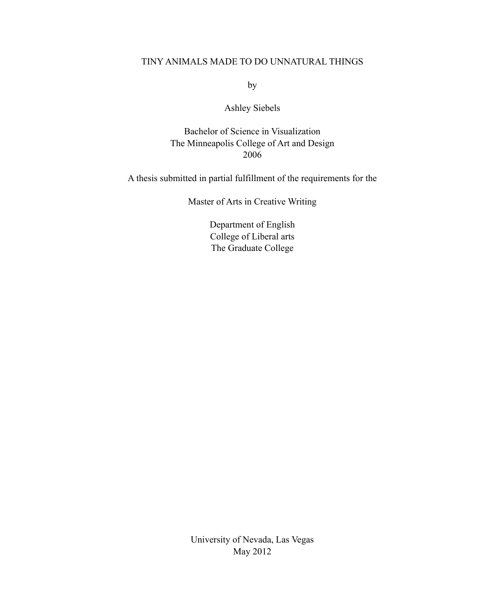### TINY ANIMALS MADE TO DO UNNATURAL THINGS

by

## Ashley Siebels

Bachelor of Science in Visualization The Minneapolis College of Art and Design 2006

A thesis submitted in partial fulfillment of the requirements for the

Master of Arts in Creative Writing

Department of English College of Liberal arts The Graduate College

University of Nevada, Las Vegas May 2012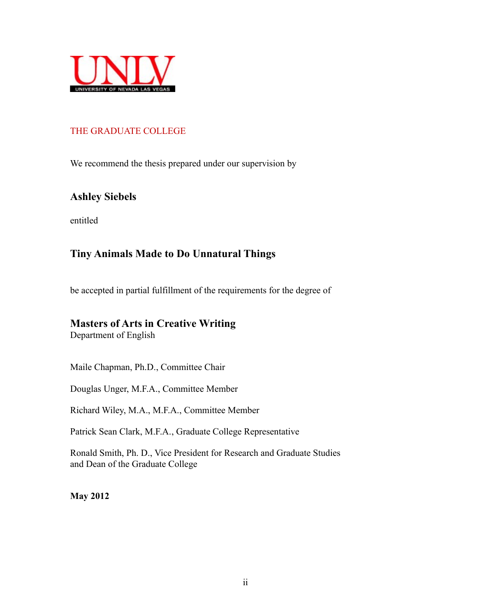

## THE GRADUATE COLLEGE

We recommend the thesis prepared under our supervision by

## **Ashley Siebels**

entitled

## **Tiny Animals Made to Do Unnatural Things**

be accepted in partial fulfillment of the requirements for the degree of

## **Masters of Arts in Creative Writing**

Department of English

Maile Chapman, Ph.D., Committee Chair

Douglas Unger, M.F.A., Committee Member

Richard Wiley, M.A., M.F.A., Committee Member

Patrick Sean Clark, M.F.A., Graduate College Representative

Ronald Smith, Ph. D., Vice President for Research and Graduate Studies and Dean of the Graduate College

**May 2012**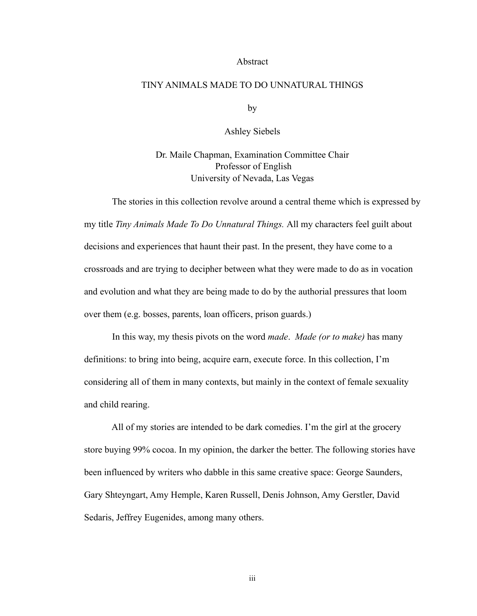#### Abstract

#### TINY ANIMALS MADE TO DO UNNATURAL THINGS

by

Ashley Siebels

Dr. Maile Chapman, Examination Committee Chair Professor of English University of Nevada, Las Vegas

 The stories in this collection revolve around a central theme which is expressed by my title *Tiny Animals Made To Do Unnatural Things.* All my characters feel guilt about decisions and experiences that haunt their past. In the present, they have come to a crossroads and are trying to decipher between what they were made to do as in vocation and evolution and what they are being made to do by the authorial pressures that loom over them (e.g. bosses, parents, loan officers, prison guards.)

 In this way, my thesis pivots on the word *made*. *Made (or to make)* has many definitions: to bring into being, acquire earn, execute force. In this collection, I'm considering all of them in many contexts, but mainly in the context of female sexuality and child rearing.

 All of my stories are intended to be dark comedies. I'm the girl at the grocery store buying 99% cocoa. In my opinion, the darker the better. The following stories have been influenced by writers who dabble in this same creative space: George Saunders, Gary Shteyngart, Amy Hemple, Karen Russell, Denis Johnson, Amy Gerstler, David Sedaris, Jeffrey Eugenides, among many others.

iii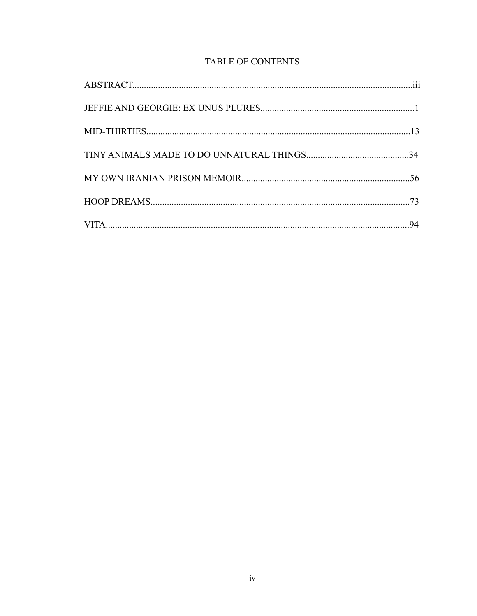## TABLE OF CONTENTS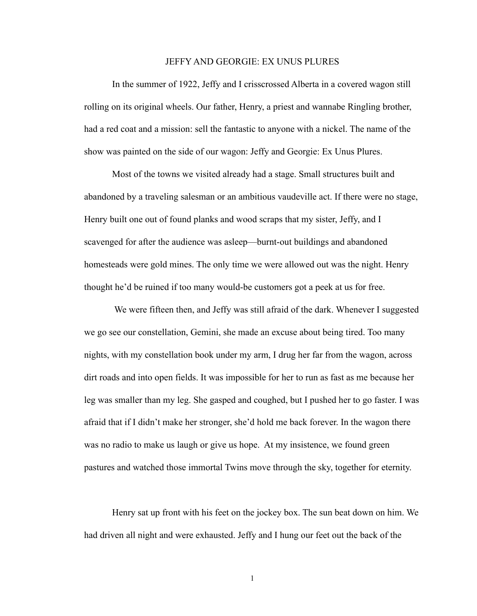#### JEFFY AND GEORGIE: EX UNUS PLURES

 In the summer of 1922, Jeffy and I crisscrossed Alberta in a covered wagon still rolling on its original wheels. Our father, Henry, a priest and wannabe Ringling brother, had a red coat and a mission: sell the fantastic to anyone with a nickel. The name of the show was painted on the side of our wagon: Jeffy and Georgie: Ex Unus Plures.

 Most of the towns we visited already had a stage. Small structures built and abandoned by a traveling salesman or an ambitious vaudeville act. If there were no stage, Henry built one out of found planks and wood scraps that my sister, Jeffy, and I scavenged for after the audience was asleep—burnt-out buildings and abandoned homesteads were gold mines. The only time we were allowed out was the night. Henry thought he'd be ruined if too many would-be customers got a peek at us for free.

 We were fifteen then, and Jeffy was still afraid of the dark. Whenever I suggested we go see our constellation, Gemini, she made an excuse about being tired. Too many nights, with my constellation book under my arm, I drug her far from the wagon, across dirt roads and into open fields. It was impossible for her to run as fast as me because her leg was smaller than my leg. She gasped and coughed, but I pushed her to go faster. I was afraid that if I didn't make her stronger, she'd hold me back forever. In the wagon there was no radio to make us laugh or give us hope. At my insistence, we found green pastures and watched those immortal Twins move through the sky, together for eternity.

 Henry sat up front with his feet on the jockey box. The sun beat down on him. We had driven all night and were exhausted. Jeffy and I hung our feet out the back of the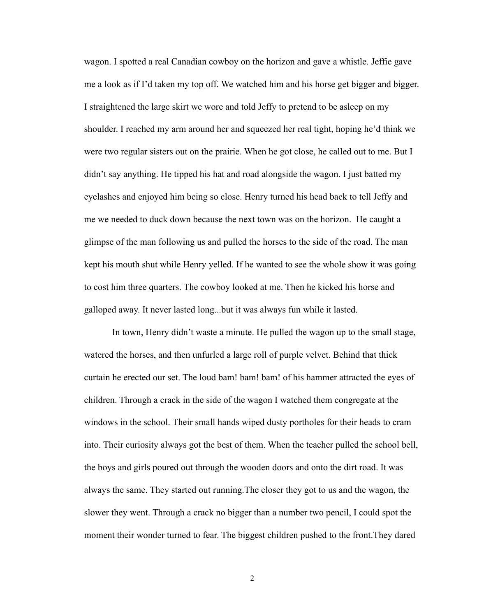wagon. I spotted a real Canadian cowboy on the horizon and gave a whistle. Jeffie gave me a look as if I'd taken my top off. We watched him and his horse get bigger and bigger. I straightened the large skirt we wore and told Jeffy to pretend to be asleep on my shoulder. I reached my arm around her and squeezed her real tight, hoping he'd think we were two regular sisters out on the prairie. When he got close, he called out to me. But I didn't say anything. He tipped his hat and road alongside the wagon. I just batted my eyelashes and enjoyed him being so close. Henry turned his head back to tell Jeffy and me we needed to duck down because the next town was on the horizon. He caught a glimpse of the man following us and pulled the horses to the side of the road. The man kept his mouth shut while Henry yelled. If he wanted to see the whole show it was going to cost him three quarters. The cowboy looked at me. Then he kicked his horse and galloped away. It never lasted long...but it was always fun while it lasted.

 In town, Henry didn't waste a minute. He pulled the wagon up to the small stage, watered the horses, and then unfurled a large roll of purple velvet. Behind that thick curtain he erected our set. The loud bam! bam! bam! of his hammer attracted the eyes of children. Through a crack in the side of the wagon I watched them congregate at the windows in the school. Their small hands wiped dusty portholes for their heads to cram into. Their curiosity always got the best of them. When the teacher pulled the school bell, the boys and girls poured out through the wooden doors and onto the dirt road. It was always the same. They started out running.The closer they got to us and the wagon, the slower they went. Through a crack no bigger than a number two pencil, I could spot the moment their wonder turned to fear. The biggest children pushed to the front.They dared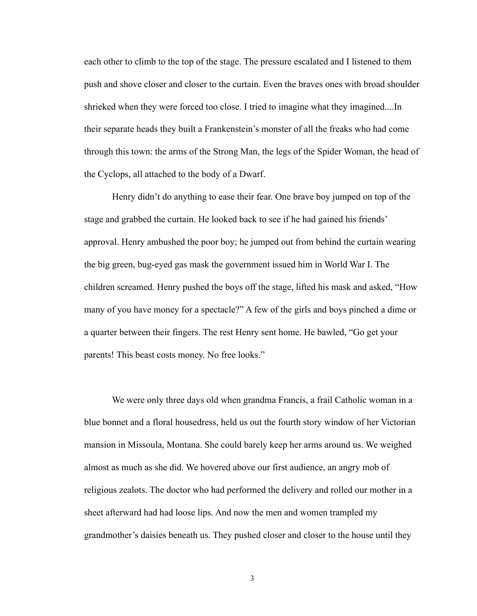each other to climb to the top of the stage. The pressure escalated and I listened to them push and shove closer and closer to the curtain. Even the braves ones with broad shoulder shrieked when they were forced too close. I tried to imagine what they imagined....In their separate heads they built a Frankenstein's monster of all the freaks who had come through this town: the arms of the Strong Man, the legs of the Spider Woman, the head of the Cyclops, all attached to the body of a Dwarf.

 Henry didn't do anything to ease their fear. One brave boy jumped on top of the stage and grabbed the curtain. He looked back to see if he had gained his friends' approval. Henry ambushed the poor boy; he jumped out from behind the curtain wearing the big green, bug-eyed gas mask the government issued him in World War I. The children screamed. Henry pushed the boys off the stage, lifted his mask and asked, "How many of you have money for a spectacle?" A few of the girls and boys pinched a dime or a quarter between their fingers. The rest Henry sent home. He bawled, "Go get your parents! This beast costs money. No free looks."

 We were only three days old when grandma Francis, a frail Catholic woman in a blue bonnet and a floral housedress, held us out the fourth story window of her Victorian mansion in Missoula, Montana. She could barely keep her arms around us. We weighed almost as much as she did. We hovered above our first audience, an angry mob of religious zealots. The doctor who had performed the delivery and rolled our mother in a sheet afterward had had loose lips. And now the men and women trampled my grandmother's daisies beneath us. They pushed closer and closer to the house until they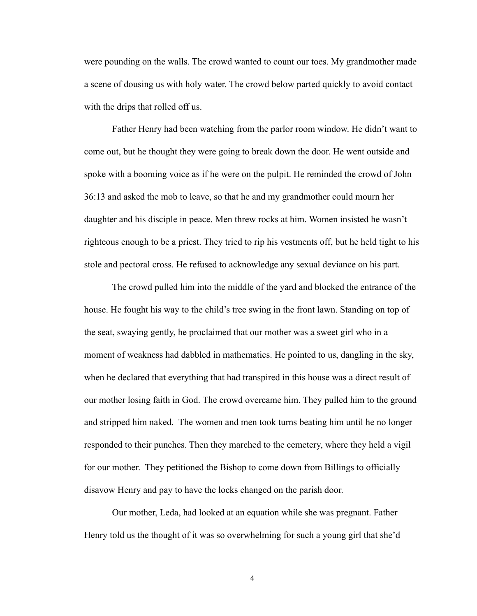were pounding on the walls. The crowd wanted to count our toes. My grandmother made a scene of dousing us with holy water. The crowd below parted quickly to avoid contact with the drips that rolled off us.

 Father Henry had been watching from the parlor room window. He didn't want to come out, but he thought they were going to break down the door. He went outside and spoke with a booming voice as if he were on the pulpit. He reminded the crowd of John 36:13 and asked the mob to leave, so that he and my grandmother could mourn her daughter and his disciple in peace. Men threw rocks at him. Women insisted he wasn't righteous enough to be a priest. They tried to rip his vestments off, but he held tight to his stole and pectoral cross. He refused to acknowledge any sexual deviance on his part.

 The crowd pulled him into the middle of the yard and blocked the entrance of the house. He fought his way to the child's tree swing in the front lawn. Standing on top of the seat, swaying gently, he proclaimed that our mother was a sweet girl who in a moment of weakness had dabbled in mathematics. He pointed to us, dangling in the sky, when he declared that everything that had transpired in this house was a direct result of our mother losing faith in God. The crowd overcame him. They pulled him to the ground and stripped him naked. The women and men took turns beating him until he no longer responded to their punches. Then they marched to the cemetery, where they held a vigil for our mother. They petitioned the Bishop to come down from Billings to officially disavow Henry and pay to have the locks changed on the parish door.

 Our mother, Leda, had looked at an equation while she was pregnant. Father Henry told us the thought of it was so overwhelming for such a young girl that she'd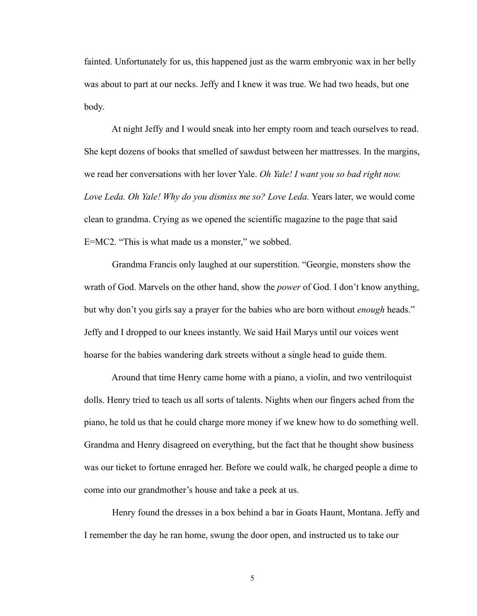fainted. Unfortunately for us, this happened just as the warm embryonic wax in her belly was about to part at our necks. Jeffy and I knew it was true. We had two heads, but one body.

 At night Jeffy and I would sneak into her empty room and teach ourselves to read. She kept dozens of books that smelled of sawdust between her mattresses. In the margins, we read her conversations with her lover Yale. *Oh Yale! I want you so bad right now. Love Leda. Oh Yale! Why do you dismiss me so? Love Leda. Years later, we would come* clean to grandma. Crying as we opened the scientific magazine to the page that said E=MC2. "This is what made us a monster," we sobbed.

 Grandma Francis only laughed at our superstition. "Georgie, monsters show the wrath of God. Marvels on the other hand, show the *power* of God. I don't know anything, but why don't you girls say a prayer for the babies who are born without *enough* heads." Jeffy and I dropped to our knees instantly. We said Hail Marys until our voices went hoarse for the babies wandering dark streets without a single head to guide them.

 Around that time Henry came home with a piano, a violin, and two ventriloquist dolls. Henry tried to teach us all sorts of talents. Nights when our fingers ached from the piano, he told us that he could charge more money if we knew how to do something well. Grandma and Henry disagreed on everything, but the fact that he thought show business was our ticket to fortune enraged her. Before we could walk, he charged people a dime to come into our grandmother's house and take a peek at us.

 Henry found the dresses in a box behind a bar in Goats Haunt, Montana. Jeffy and I remember the day he ran home, swung the door open, and instructed us to take our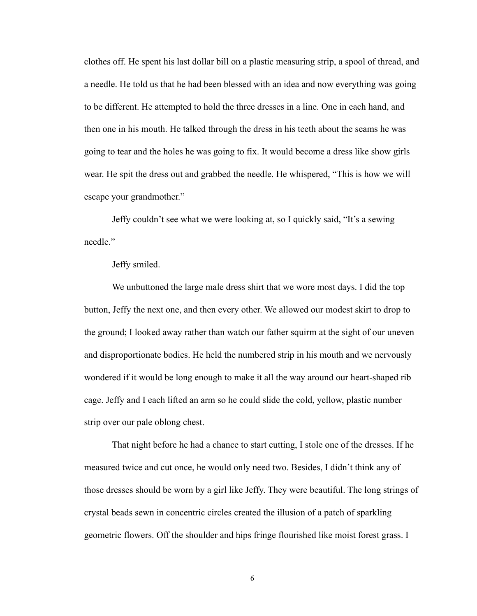clothes off. He spent his last dollar bill on a plastic measuring strip, a spool of thread, and a needle. He told us that he had been blessed with an idea and now everything was going to be different. He attempted to hold the three dresses in a line. One in each hand, and then one in his mouth. He talked through the dress in his teeth about the seams he was going to tear and the holes he was going to fix. It would become a dress like show girls wear. He spit the dress out and grabbed the needle. He whispered, "This is how we will escape your grandmother."

 Jeffy couldn't see what we were looking at, so I quickly said, "It's a sewing needle."

#### Jeffy smiled.

 We unbuttoned the large male dress shirt that we wore most days. I did the top button, Jeffy the next one, and then every other. We allowed our modest skirt to drop to the ground; I looked away rather than watch our father squirm at the sight of our uneven and disproportionate bodies. He held the numbered strip in his mouth and we nervously wondered if it would be long enough to make it all the way around our heart-shaped rib cage. Jeffy and I each lifted an arm so he could slide the cold, yellow, plastic number strip over our pale oblong chest.

 That night before he had a chance to start cutting, I stole one of the dresses. If he measured twice and cut once, he would only need two. Besides, I didn't think any of those dresses should be worn by a girl like Jeffy. They were beautiful. The long strings of crystal beads sewn in concentric circles created the illusion of a patch of sparkling geometric flowers. Off the shoulder and hips fringe flourished like moist forest grass. I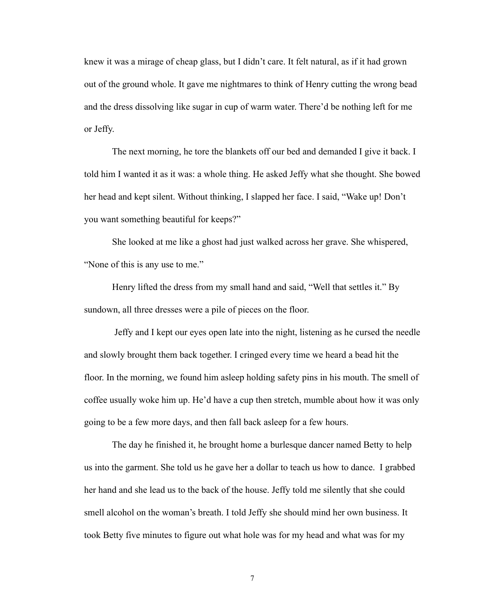knew it was a mirage of cheap glass, but I didn't care. It felt natural, as if it had grown out of the ground whole. It gave me nightmares to think of Henry cutting the wrong bead and the dress dissolving like sugar in cup of warm water. There'd be nothing left for me or Jeffy.

 The next morning, he tore the blankets off our bed and demanded I give it back. I told him I wanted it as it was: a whole thing. He asked Jeffy what she thought. She bowed her head and kept silent. Without thinking, I slapped her face. I said, "Wake up! Don't you want something beautiful for keeps?"

 She looked at me like a ghost had just walked across her grave. She whispered, "None of this is any use to me."

 Henry lifted the dress from my small hand and said, "Well that settles it." By sundown, all three dresses were a pile of pieces on the floor.

 Jeffy and I kept our eyes open late into the night, listening as he cursed the needle and slowly brought them back together. I cringed every time we heard a bead hit the floor. In the morning, we found him asleep holding safety pins in his mouth. The smell of coffee usually woke him up. He'd have a cup then stretch, mumble about how it was only going to be a few more days, and then fall back asleep for a few hours.

 The day he finished it, he brought home a burlesque dancer named Betty to help us into the garment. She told us he gave her a dollar to teach us how to dance. I grabbed her hand and she lead us to the back of the house. Jeffy told me silently that she could smell alcohol on the woman's breath. I told Jeffy she should mind her own business. It took Betty five minutes to figure out what hole was for my head and what was for my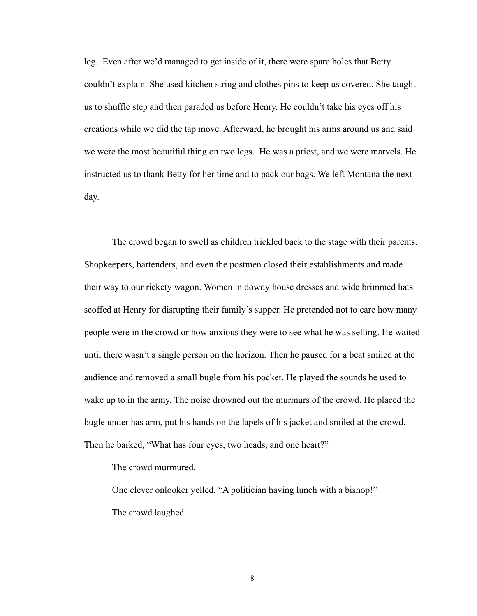leg. Even after we'd managed to get inside of it, there were spare holes that Betty couldn't explain. She used kitchen string and clothes pins to keep us covered. She taught us to shuffle step and then paraded us before Henry. He couldn't take his eyes off his creations while we did the tap move. Afterward, he brought his arms around us and said we were the most beautiful thing on two legs. He was a priest, and we were marvels. He instructed us to thank Betty for her time and to pack our bags. We left Montana the next day.

 The crowd began to swell as children trickled back to the stage with their parents. Shopkeepers, bartenders, and even the postmen closed their establishments and made their way to our rickety wagon. Women in dowdy house dresses and wide brimmed hats scoffed at Henry for disrupting their family's supper. He pretended not to care how many people were in the crowd or how anxious they were to see what he was selling. He waited until there wasn't a single person on the horizon. Then he paused for a beat smiled at the audience and removed a small bugle from his pocket. He played the sounds he used to wake up to in the army. The noise drowned out the murmurs of the crowd. He placed the bugle under has arm, put his hands on the lapels of his jacket and smiled at the crowd. Then he barked, "What has four eyes, two heads, and one heart?"

The crowd murmured.

 One clever onlooker yelled, "A politician having lunch with a bishop!" The crowd laughed.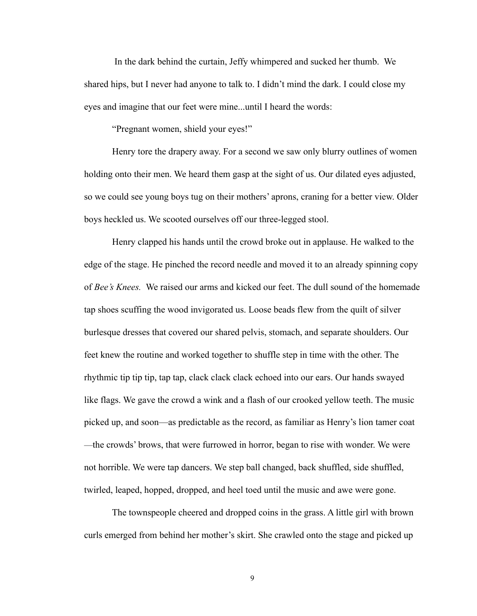In the dark behind the curtain, Jeffy whimpered and sucked her thumb. We shared hips, but I never had anyone to talk to. I didn't mind the dark. I could close my eyes and imagine that our feet were mine...until I heard the words:

"Pregnant women, shield your eyes!"

 Henry tore the drapery away. For a second we saw only blurry outlines of women holding onto their men. We heard them gasp at the sight of us. Our dilated eyes adjusted, so we could see young boys tug on their mothers' aprons, craning for a better view. Older boys heckled us. We scooted ourselves off our three-legged stool.

 Henry clapped his hands until the crowd broke out in applause. He walked to the edge of the stage. He pinched the record needle and moved it to an already spinning copy of *Bee's Knees.* We raised our arms and kicked our feet. The dull sound of the homemade tap shoes scuffing the wood invigorated us. Loose beads flew from the quilt of silver burlesque dresses that covered our shared pelvis, stomach, and separate shoulders. Our feet knew the routine and worked together to shuffle step in time with the other. The rhythmic tip tip tip, tap tap, clack clack clack echoed into our ears. Our hands swayed like flags. We gave the crowd a wink and a flash of our crooked yellow teeth. The music picked up, and soon—as predictable as the record, as familiar as Henry's lion tamer coat —the crowds' brows, that were furrowed in horror, began to rise with wonder. We were not horrible. We were tap dancers. We step ball changed, back shuffled, side shuffled, twirled, leaped, hopped, dropped, and heel toed until the music and awe were gone.

 The townspeople cheered and dropped coins in the grass. A little girl with brown curls emerged from behind her mother's skirt. She crawled onto the stage and picked up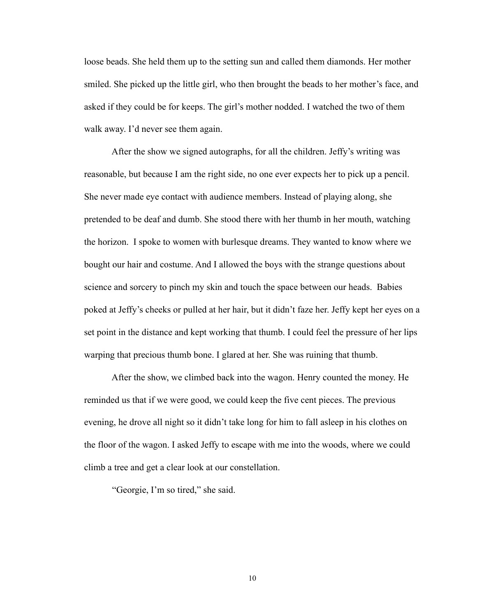loose beads. She held them up to the setting sun and called them diamonds. Her mother smiled. She picked up the little girl, who then brought the beads to her mother's face, and asked if they could be for keeps. The girl's mother nodded. I watched the two of them walk away. I'd never see them again.

 After the show we signed autographs, for all the children. Jeffy's writing was reasonable, but because I am the right side, no one ever expects her to pick up a pencil. She never made eye contact with audience members. Instead of playing along, she pretended to be deaf and dumb. She stood there with her thumb in her mouth, watching the horizon. I spoke to women with burlesque dreams. They wanted to know where we bought our hair and costume. And I allowed the boys with the strange questions about science and sorcery to pinch my skin and touch the space between our heads. Babies poked at Jeffy's cheeks or pulled at her hair, but it didn't faze her. Jeffy kept her eyes on a set point in the distance and kept working that thumb. I could feel the pressure of her lips warping that precious thumb bone. I glared at her. She was ruining that thumb.

 After the show, we climbed back into the wagon. Henry counted the money. He reminded us that if we were good, we could keep the five cent pieces. The previous evening, he drove all night so it didn't take long for him to fall asleep in his clothes on the floor of the wagon. I asked Jeffy to escape with me into the woods, where we could climb a tree and get a clear look at our constellation.

"Georgie, I'm so tired," she said.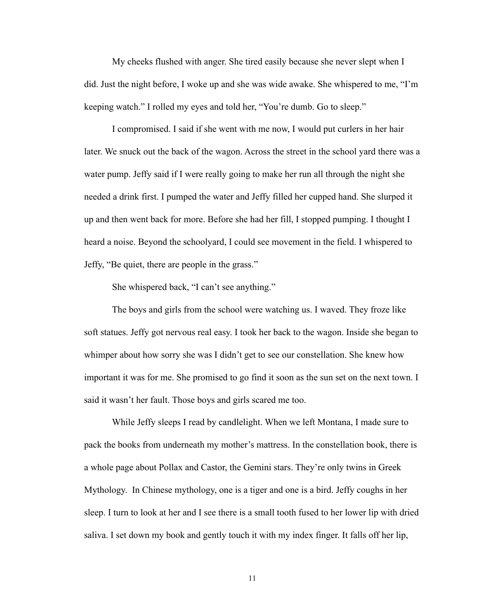My cheeks flushed with anger. She tired easily because she never slept when I did. Just the night before, I woke up and she was wide awake. She whispered to me, "I'm keeping watch." I rolled my eyes and told her, "You're dumb. Go to sleep."

 I compromised. I said if she went with me now, I would put curlers in her hair later. We snuck out the back of the wagon. Across the street in the school yard there was a water pump. Jeffy said if I were really going to make her run all through the night she needed a drink first. I pumped the water and Jeffy filled her cupped hand. She slurped it up and then went back for more. Before she had her fill, I stopped pumping. I thought I heard a noise. Beyond the schoolyard, I could see movement in the field. I whispered to Jeffy, "Be quiet, there are people in the grass."

She whispered back, "I can't see anything."

 The boys and girls from the school were watching us. I waved. They froze like soft statues. Jeffy got nervous real easy. I took her back to the wagon. Inside she began to whimper about how sorry she was I didn't get to see our constellation. She knew how important it was for me. She promised to go find it soon as the sun set on the next town. I said it wasn't her fault. Those boys and girls scared me too.

 While Jeffy sleeps I read by candlelight. When we left Montana, I made sure to pack the books from underneath my mother's mattress. In the constellation book, there is a whole page about Pollax and Castor, the Gemini stars. They're only twins in Greek Mythology. In Chinese mythology, one is a tiger and one is a bird. Jeffy coughs in her sleep. I turn to look at her and I see there is a small tooth fused to her lower lip with dried saliva. I set down my book and gently touch it with my index finger. It falls off her lip,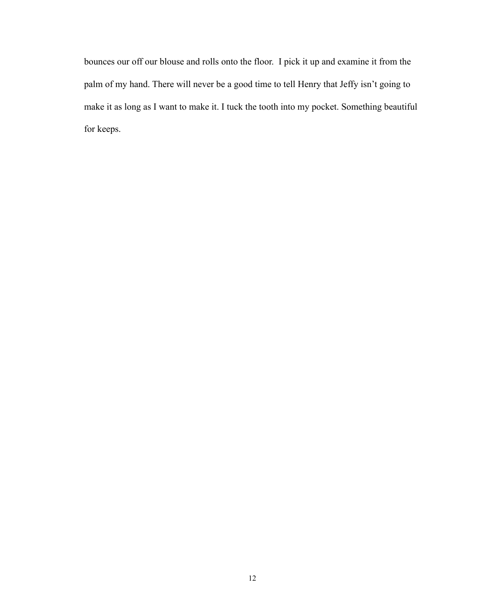bounces our off our blouse and rolls onto the floor. I pick it up and examine it from the palm of my hand. There will never be a good time to tell Henry that Jeffy isn't going to make it as long as I want to make it. I tuck the tooth into my pocket. Something beautiful for keeps.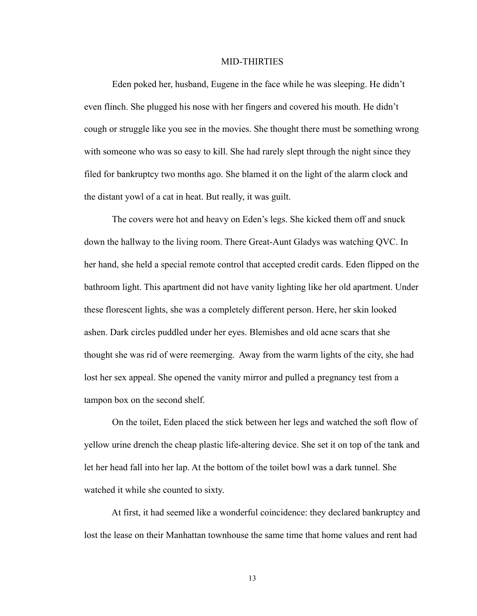#### MID-THIRTIES

 Eden poked her, husband, Eugene in the face while he was sleeping. He didn't even flinch. She plugged his nose with her fingers and covered his mouth. He didn't cough or struggle like you see in the movies. She thought there must be something wrong with someone who was so easy to kill. She had rarely slept through the night since they filed for bankruptcy two months ago. She blamed it on the light of the alarm clock and the distant yowl of a cat in heat. But really, it was guilt.

 The covers were hot and heavy on Eden's legs. She kicked them off and snuck down the hallway to the living room. There Great-Aunt Gladys was watching QVC. In her hand, she held a special remote control that accepted credit cards. Eden flipped on the bathroom light. This apartment did not have vanity lighting like her old apartment. Under these florescent lights, she was a completely different person. Here, her skin looked ashen. Dark circles puddled under her eyes. Blemishes and old acne scars that she thought she was rid of were reemerging. Away from the warm lights of the city, she had lost her sex appeal. She opened the vanity mirror and pulled a pregnancy test from a tampon box on the second shelf.

 On the toilet, Eden placed the stick between her legs and watched the soft flow of yellow urine drench the cheap plastic life-altering device. She set it on top of the tank and let her head fall into her lap. At the bottom of the toilet bowl was a dark tunnel. She watched it while she counted to sixty.

 At first, it had seemed like a wonderful coincidence: they declared bankruptcy and lost the lease on their Manhattan townhouse the same time that home values and rent had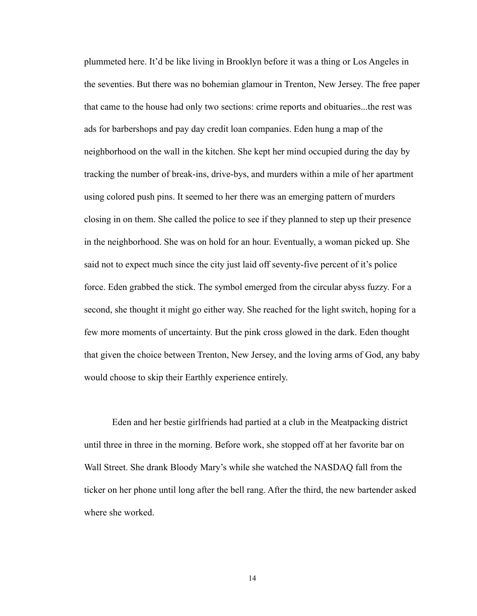plummeted here. It'd be like living in Brooklyn before it was a thing or Los Angeles in the seventies. But there was no bohemian glamour in Trenton, New Jersey. The free paper that came to the house had only two sections: crime reports and obituaries...the rest was ads for barbershops and pay day credit loan companies. Eden hung a map of the neighborhood on the wall in the kitchen. She kept her mind occupied during the day by tracking the number of break-ins, drive-bys, and murders within a mile of her apartment using colored push pins. It seemed to her there was an emerging pattern of murders closing in on them. She called the police to see if they planned to step up their presence in the neighborhood. She was on hold for an hour. Eventually, a woman picked up. She said not to expect much since the city just laid off seventy-five percent of it's police force. Eden grabbed the stick. The symbol emerged from the circular abyss fuzzy. For a second, she thought it might go either way. She reached for the light switch, hoping for a few more moments of uncertainty. But the pink cross glowed in the dark. Eden thought that given the choice between Trenton, New Jersey, and the loving arms of God, any baby would choose to skip their Earthly experience entirely.

 Eden and her bestie girlfriends had partied at a club in the Meatpacking district until three in three in the morning. Before work, she stopped off at her favorite bar on Wall Street. She drank Bloody Mary's while she watched the NASDAQ fall from the ticker on her phone until long after the bell rang. After the third, the new bartender asked where she worked.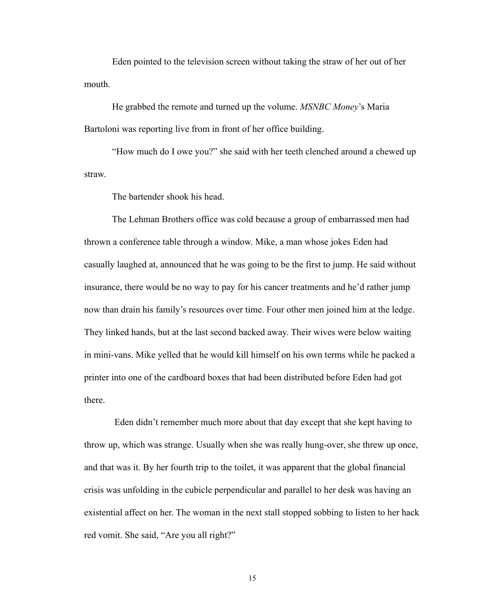Eden pointed to the television screen without taking the straw of her out of her mouth.

 He grabbed the remote and turned up the volume. *MSNBC Money*'s Maria Bartoloni was reporting live from in front of her office building.

 "How much do I owe you?" she said with her teeth clenched around a chewed up straw.

The bartender shook his head.

 The Lehman Brothers office was cold because a group of embarrassed men had thrown a conference table through a window. Mike, a man whose jokes Eden had casually laughed at, announced that he was going to be the first to jump. He said without insurance, there would be no way to pay for his cancer treatments and he'd rather jump now than drain his family's resources over time. Four other men joined him at the ledge. They linked hands, but at the last second backed away. Their wives were below waiting in mini-vans. Mike yelled that he would kill himself on his own terms while he packed a printer into one of the cardboard boxes that had been distributed before Eden had got there.

 Eden didn't remember much more about that day except that she kept having to throw up, which was strange. Usually when she was really hung-over, she threw up once, and that was it. By her fourth trip to the toilet, it was apparent that the global financial crisis was unfolding in the cubicle perpendicular and parallel to her desk was having an existential affect on her. The woman in the next stall stopped sobbing to listen to her hack red vomit. She said, "Are you all right?"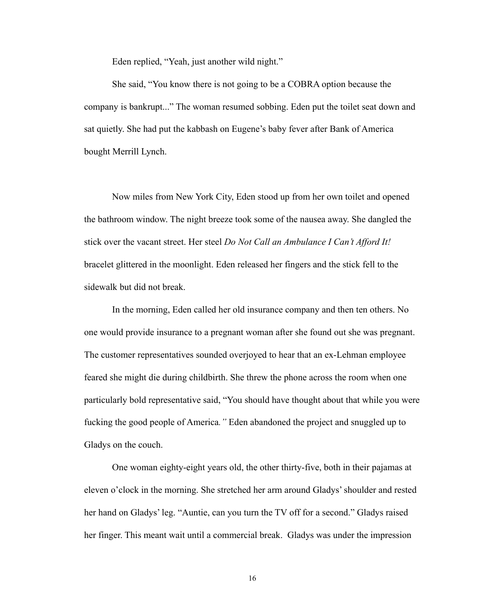Eden replied, "Yeah, just another wild night."

 She said, "You know there is not going to be a COBRA option because the company is bankrupt..." The woman resumed sobbing. Eden put the toilet seat down and sat quietly. She had put the kabbash on Eugene's baby fever after Bank of America bought Merrill Lynch.

 Now miles from New York City, Eden stood up from her own toilet and opened the bathroom window. The night breeze took some of the nausea away. She dangled the stick over the vacant street. Her steel *Do Not Call an Ambulance I Can't Afford It!*  bracelet glittered in the moonlight. Eden released her fingers and the stick fell to the sidewalk but did not break.

 In the morning, Eden called her old insurance company and then ten others. No one would provide insurance to a pregnant woman after she found out she was pregnant. The customer representatives sounded overjoyed to hear that an ex-Lehman employee feared she might die during childbirth. She threw the phone across the room when one particularly bold representative said, "You should have thought about that while you were fucking the good people of America*."* Eden abandoned the project and snuggled up to Gladys on the couch.

 One woman eighty-eight years old, the other thirty-five, both in their pajamas at eleven o'clock in the morning. She stretched her arm around Gladys' shoulder and rested her hand on Gladys' leg. "Auntie, can you turn the TV off for a second." Gladys raised her finger. This meant wait until a commercial break. Gladys was under the impression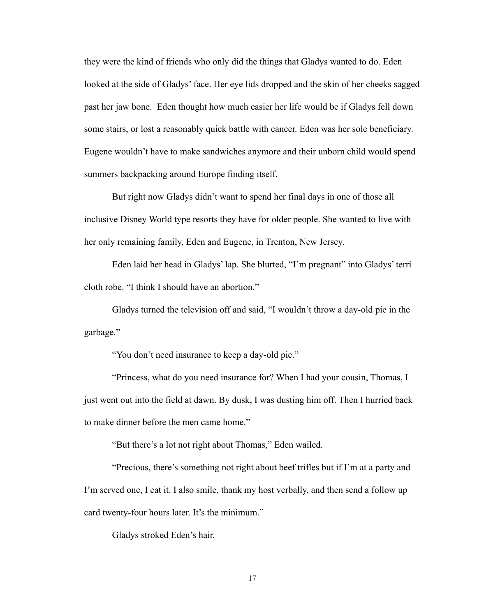they were the kind of friends who only did the things that Gladys wanted to do. Eden looked at the side of Gladys' face. Her eye lids dropped and the skin of her cheeks sagged past her jaw bone. Eden thought how much easier her life would be if Gladys fell down some stairs, or lost a reasonably quick battle with cancer. Eden was her sole beneficiary. Eugene wouldn't have to make sandwiches anymore and their unborn child would spend summers backpacking around Europe finding itself.

 But right now Gladys didn't want to spend her final days in one of those all inclusive Disney World type resorts they have for older people. She wanted to live with her only remaining family, Eden and Eugene, in Trenton, New Jersey.

 Eden laid her head in Gladys' lap. She blurted, "I'm pregnant" into Gladys' terri cloth robe. "I think I should have an abortion."

 Gladys turned the television off and said, "I wouldn't throw a day-old pie in the garbage."

"You don't need insurance to keep a day-old pie."

 "Princess, what do you need insurance for? When I had your cousin, Thomas, I just went out into the field at dawn. By dusk, I was dusting him off. Then I hurried back to make dinner before the men came home."

"But there's a lot not right about Thomas," Eden wailed.

 "Precious, there's something not right about beef trifles but if I'm at a party and I'm served one, I eat it. I also smile, thank my host verbally, and then send a follow up card twenty-four hours later. It's the minimum."

Gladys stroked Eden's hair.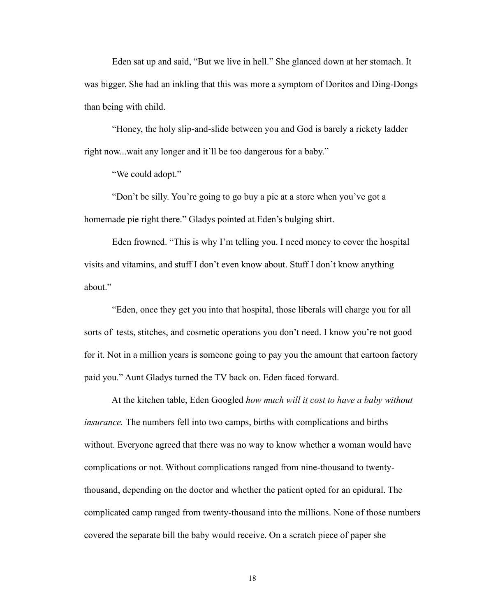Eden sat up and said, "But we live in hell." She glanced down at her stomach. It was bigger. She had an inkling that this was more a symptom of Doritos and Ding-Dongs than being with child.

 "Honey, the holy slip-and-slide between you and God is barely a rickety ladder right now...wait any longer and it'll be too dangerous for a baby."

"We could adopt."

 "Don't be silly. You're going to go buy a pie at a store when you've got a homemade pie right there." Gladys pointed at Eden's bulging shirt.

 Eden frowned. "This is why I'm telling you. I need money to cover the hospital visits and vitamins, and stuff I don't even know about. Stuff I don't know anything about."

 "Eden, once they get you into that hospital, those liberals will charge you for all sorts of tests, stitches, and cosmetic operations you don't need. I know you're not good for it. Not in a million years is someone going to pay you the amount that cartoon factory paid you." Aunt Gladys turned the TV back on. Eden faced forward.

 At the kitchen table, Eden Googled *how much will it cost to have a baby without insurance.* The numbers fell into two camps, births with complications and births without. Everyone agreed that there was no way to know whether a woman would have complications or not. Without complications ranged from nine-thousand to twentythousand, depending on the doctor and whether the patient opted for an epidural. The complicated camp ranged from twenty-thousand into the millions. None of those numbers covered the separate bill the baby would receive. On a scratch piece of paper she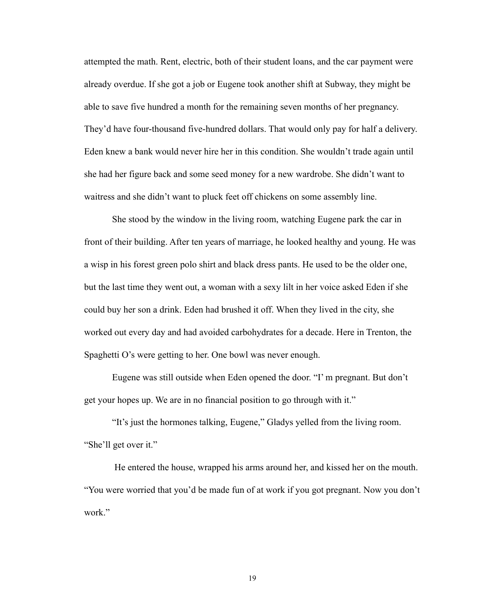attempted the math. Rent, electric, both of their student loans, and the car payment were already overdue. If she got a job or Eugene took another shift at Subway, they might be able to save five hundred a month for the remaining seven months of her pregnancy. They'd have four-thousand five-hundred dollars. That would only pay for half a delivery. Eden knew a bank would never hire her in this condition. She wouldn't trade again until she had her figure back and some seed money for a new wardrobe. She didn't want to waitress and she didn't want to pluck feet off chickens on some assembly line.

 She stood by the window in the living room, watching Eugene park the car in front of their building. After ten years of marriage, he looked healthy and young. He was a wisp in his forest green polo shirt and black dress pants. He used to be the older one, but the last time they went out, a woman with a sexy lilt in her voice asked Eden if she could buy her son a drink. Eden had brushed it off. When they lived in the city, she worked out every day and had avoided carbohydrates for a decade. Here in Trenton, the Spaghetti O's were getting to her. One bowl was never enough.

 Eugene was still outside when Eden opened the door. "I' m pregnant. But don't get your hopes up. We are in no financial position to go through with it."

 "It's just the hormones talking, Eugene," Gladys yelled from the living room. "She'll get over it."

 He entered the house, wrapped his arms around her, and kissed her on the mouth. "You were worried that you'd be made fun of at work if you got pregnant. Now you don't work."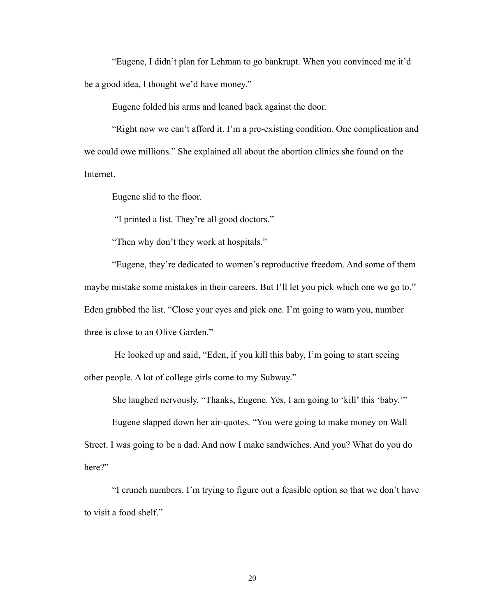"Eugene, I didn't plan for Lehman to go bankrupt. When you convinced me it'd be a good idea, I thought we'd have money."

Eugene folded his arms and leaned back against the door.

 "Right now we can't afford it. I'm a pre-existing condition. One complication and we could owe millions." She explained all about the abortion clinics she found on the Internet.

Eugene slid to the floor.

"I printed a list. They're all good doctors."

"Then why don't they work at hospitals."

 "Eugene, they're dedicated to women's reproductive freedom. And some of them maybe mistake some mistakes in their careers. But I'll let you pick which one we go to." Eden grabbed the list. "Close your eyes and pick one. I'm going to warn you, number three is close to an Olive Garden."

 He looked up and said, "Eden, if you kill this baby, I'm going to start seeing other people. A lot of college girls come to my Subway."

She laughed nervously. "Thanks, Eugene. Yes, I am going to 'kill' this 'baby.'"

 Eugene slapped down her air-quotes. "You were going to make money on Wall Street. I was going to be a dad. And now I make sandwiches. And you? What do you do here?"

 "I crunch numbers. I'm trying to figure out a feasible option so that we don't have to visit a food shelf."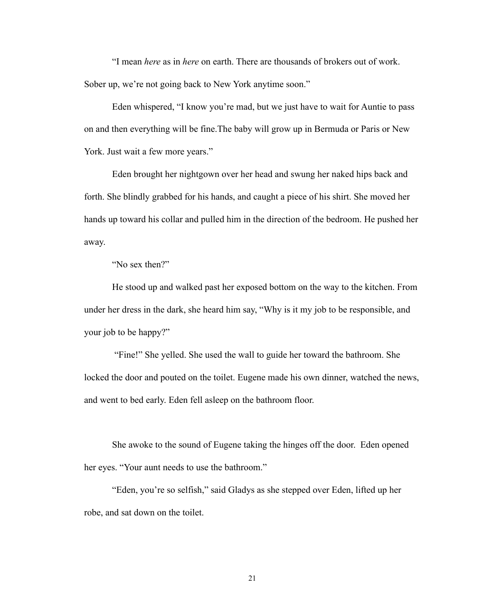"I mean *here* as in *here* on earth. There are thousands of brokers out of work. Sober up, we're not going back to New York anytime soon."

 Eden whispered, "I know you're mad, but we just have to wait for Auntie to pass on and then everything will be fine.The baby will grow up in Bermuda or Paris or New York. Just wait a few more years."

 Eden brought her nightgown over her head and swung her naked hips back and forth. She blindly grabbed for his hands, and caught a piece of his shirt. She moved her hands up toward his collar and pulled him in the direction of the bedroom. He pushed her away.

"No sex then?"

 He stood up and walked past her exposed bottom on the way to the kitchen. From under her dress in the dark, she heard him say, "Why is it my job to be responsible, and your job to be happy?"

 "Fine!" She yelled. She used the wall to guide her toward the bathroom. She locked the door and pouted on the toilet. Eugene made his own dinner, watched the news, and went to bed early. Eden fell asleep on the bathroom floor.

 She awoke to the sound of Eugene taking the hinges off the door. Eden opened her eyes. "Your aunt needs to use the bathroom."

 "Eden, you're so selfish," said Gladys as she stepped over Eden, lifted up her robe, and sat down on the toilet.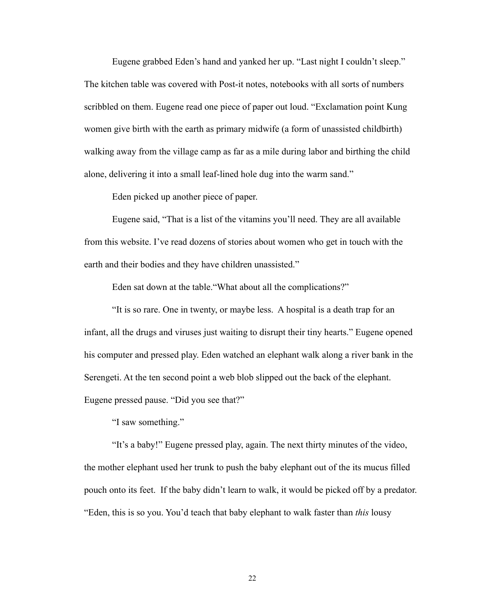Eugene grabbed Eden's hand and yanked her up. "Last night I couldn't sleep." The kitchen table was covered with Post-it notes, notebooks with all sorts of numbers scribbled on them. Eugene read one piece of paper out loud. "Exclamation point Kung women give birth with the earth as primary midwife (a form of [unassisted childbirth](http://en.wikipedia.org/wiki/Unassisted_childbirth)) walking away from the village camp as far as a mile during [labor](http://en.wikipedia.org/wiki/Childbirth) and birthing the child alone, delivering it into a small leaf-lined hole dug into the warm sand."

Eden picked up another piece of paper.

 Eugene said, "That is a list of the vitamins you'll need. They are all available from this website. I've read dozens of stories about women who get in touch with the earth and their bodies and they have children unassisted."

Eden sat down at the table."What about all the complications?"

 "It is so rare. One in twenty, or maybe less. A hospital is a death trap for an infant, all the drugs and viruses just waiting to disrupt their tiny hearts." Eugene opened his computer and pressed play. Eden watched an elephant walk along a river bank in the Serengeti. At the ten second point a web blob slipped out the back of the elephant. Eugene pressed pause. "Did you see that?"

"I saw something."

 "It's a baby!" Eugene pressed play, again. The next thirty minutes of the video, the mother elephant used her trunk to push the baby elephant out of the its mucus filled pouch onto its feet. If the baby didn't learn to walk, it would be picked off by a predator. "Eden, this is so you. You'd teach that baby elephant to walk faster than *this* lousy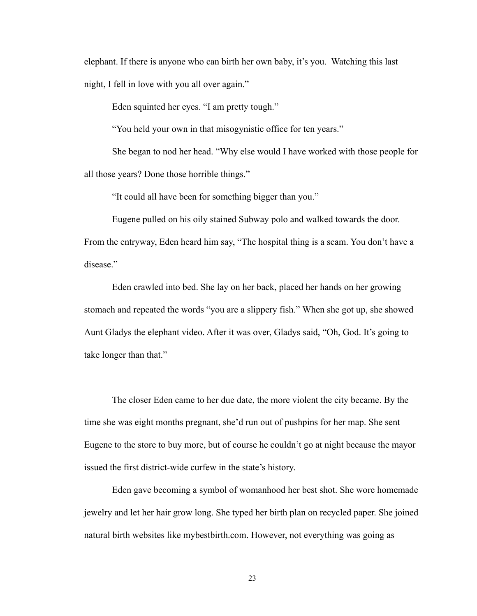elephant. If there is anyone who can birth her own baby, it's you. Watching this last night, I fell in love with you all over again."

Eden squinted her eyes. "I am pretty tough."

"You held your own in that misogynistic office for ten years."

 She began to nod her head. "Why else would I have worked with those people for all those years? Done those horrible things."

"It could all have been for something bigger than you."

Eugene pulled on his oily stained Subway polo and walked towards the door.

From the entryway, Eden heard him say, "The hospital thing is a scam. You don't have a disease."

 Eden crawled into bed. She lay on her back, placed her hands on her growing stomach and repeated the words "you are a slippery fish." When she got up, she showed Aunt Gladys the elephant video. After it was over, Gladys said, "Oh, God. It's going to take longer than that."

 The closer Eden came to her due date, the more violent the city became. By the time she was eight months pregnant, she'd run out of pushpins for her map. She sent Eugene to the store to buy more, but of course he couldn't go at night because the mayor issued the first district-wide curfew in the state's history.

 Eden gave becoming a symbol of womanhood her best shot. She wore homemade jewelry and let her hair grow long. She typed her birth plan on recycled paper. She joined natural birth websites like mybestbirth.com. However, not everything was going as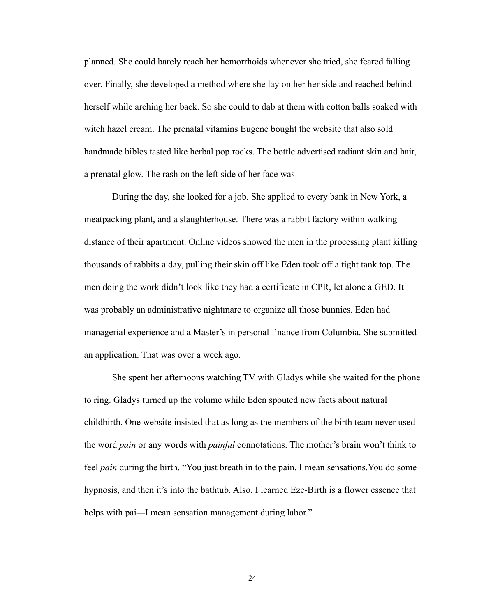planned. She could barely reach her hemorrhoids whenever she tried, she feared falling over. Finally, she developed a method where she lay on her her side and reached behind herself while arching her back. So she could to dab at them with cotton balls soaked with witch hazel cream. The prenatal vitamins Eugene bought the website that also sold handmade bibles tasted like herbal pop rocks. The bottle advertised radiant skin and hair, a prenatal glow. The rash on the left side of her face was

 During the day, she looked for a job. She applied to every bank in New York, a meatpacking plant, and a slaughterhouse. There was a rabbit factory within walking distance of their apartment. Online videos showed the men in the processing plant killing thousands of rabbits a day, pulling their skin off like Eden took off a tight tank top. The men doing the work didn't look like they had a certificate in CPR, let alone a GED. It was probably an administrative nightmare to organize all those bunnies. Eden had managerial experience and a Master's in personal finance from Columbia. She submitted an application. That was over a week ago.

 She spent her afternoons watching TV with Gladys while she waited for the phone to ring. Gladys turned up the volume while Eden spouted new facts about natural childbirth. One website insisted that as long as the members of the birth team never used the word *pain* or any words with *painful* connotations. The mother's brain won't think to feel *pain* during the birth. "You just breath in to the pain. I mean sensations.You do some hypnosis, and then it's into the bathtub. Also, I learned Eze-Birth is a flower essence that helps with pai—I mean sensation management during labor."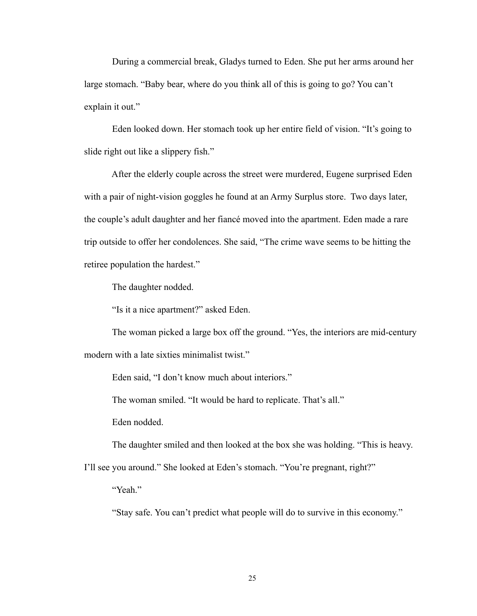During a commercial break, Gladys turned to Eden. She put her arms around her large stomach. "Baby bear, where do you think all of this is going to go? You can't explain it out."

 Eden looked down. Her stomach took up her entire field of vision. "It's going to slide right out like a slippery fish."

 After the elderly couple across the street were murdered, Eugene surprised Eden with a pair of night-vision goggles he found at an Army Surplus store. Two days later, the couple's adult daughter and her fiancé moved into the apartment. Eden made a rare trip outside to offer her condolences. She said, "The crime wave seems to be hitting the retiree population the hardest."

The daughter nodded.

"Is it a nice apartment?" asked Eden.

 The woman picked a large box off the ground. "Yes, the interiors are mid-century modern with a late sixties minimalist twist."

Eden said, "I don't know much about interiors."

The woman smiled. "It would be hard to replicate. That's all."

Eden nodded.

The daughter smiled and then looked at the box she was holding. "This is heavy.

I'll see you around." She looked at Eden's stomach. "You're pregnant, right?"

"Yeah."

"Stay safe. You can't predict what people will do to survive in this economy."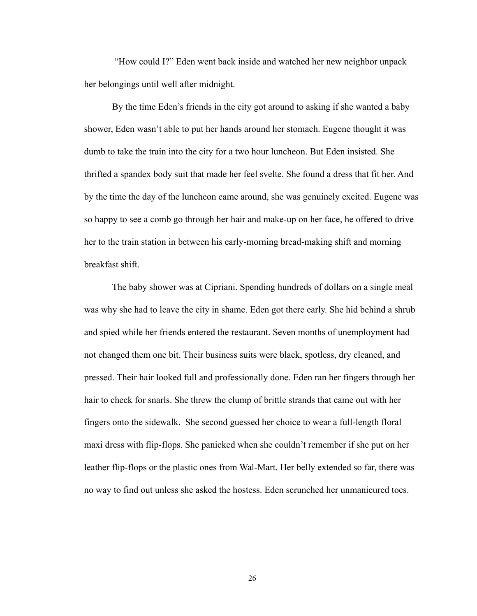"How could I?" Eden went back inside and watched her new neighbor unpack her belongings until well after midnight.

By the time Eden's friends in the city got around to asking if she wanted a baby shower, Eden wasn't able to put her hands around her stomach. Eugene thought it was dumb to take the train into the city for a two hour luncheon. But Eden insisted. She thrifted a spandex body suit that made her feel svelte. She found a dress that fit her. And by the time the day of the luncheon came around, she was genuinely excited. Eugene was so happy to see a comb go through her hair and make-up on her face, he offered to drive her to the train station in between his early-morning bread-making shift and morning breakfast shift.

 The baby shower was at Cipriani. Spending hundreds of dollars on a single meal was why she had to leave the city in shame. Eden got there early. She hid behind a shrub and spied while her friends entered the restaurant. Seven months of unemployment had not changed them one bit. Their business suits were black, spotless, dry cleaned, and pressed. Their hair looked full and professionally done. Eden ran her fingers through her hair to check for snarls. She threw the clump of brittle strands that came out with her fingers onto the sidewalk. She second guessed her choice to wear a full-length floral maxi dress with flip-flops. She panicked when she couldn't remember if she put on her leather flip-flops or the plastic ones from Wal-Mart. Her belly extended so far, there was no way to find out unless she asked the hostess. Eden scrunched her unmanicured toes.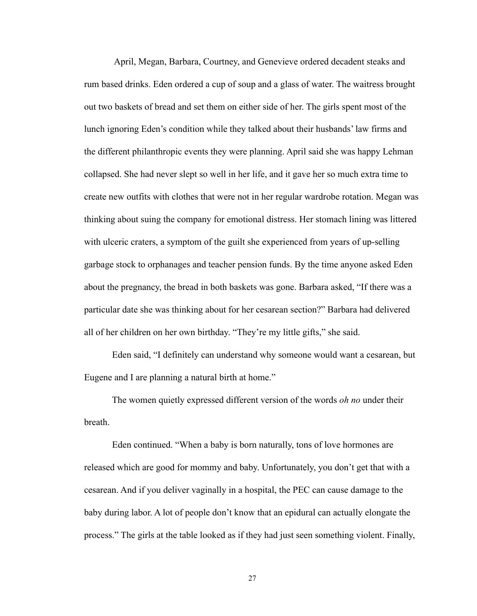April, Megan, Barbara, Courtney, and Genevieve ordered decadent steaks and rum based drinks. Eden ordered a cup of soup and a glass of water. The waitress brought out two baskets of bread and set them on either side of her. The girls spent most of the lunch ignoring Eden's condition while they talked about their husbands' law firms and the different philanthropic events they were planning. April said she was happy Lehman collapsed. She had never slept so well in her life, and it gave her so much extra time to create new outfits with clothes that were not in her regular wardrobe rotation. Megan was thinking about suing the company for emotional distress. Her stomach lining was littered with ulceric craters, a symptom of the guilt she experienced from years of up-selling garbage stock to orphanages and teacher pension funds. By the time anyone asked Eden about the pregnancy, the bread in both baskets was gone. Barbara asked, "If there was a particular date she was thinking about for her cesarean section?" Barbara had delivered all of her children on her own birthday. "They're my little gifts," she said.

 Eden said, "I definitely can understand why someone would want a cesarean, but Eugene and I are planning a natural birth at home."

 The women quietly expressed different version of the words *oh no* under their breath.

 Eden continued. "When a baby is born naturally, tons of love hormones are released which are good for mommy and baby. Unfortunately, you don't get that with a cesarean. And if you deliver vaginally in a hospital, the PEC can cause damage to the baby during labor. A lot of people don't know that an epidural can actually elongate the process." The girls at the table looked as if they had just seen something violent. Finally,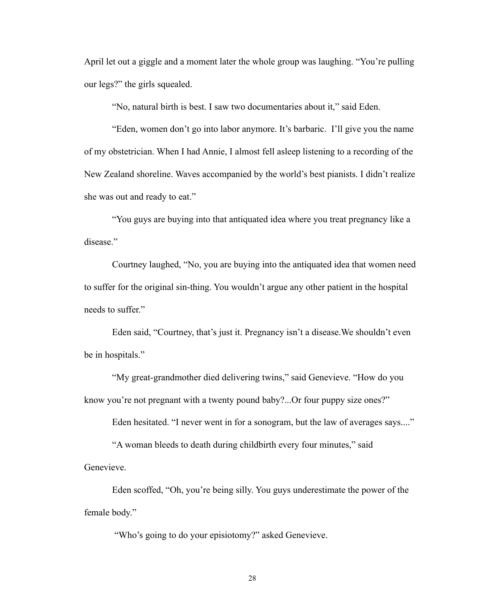April let out a giggle and a moment later the whole group was laughing. "You're pulling our legs?" the girls squealed.

"No, natural birth is best. I saw two documentaries about it," said Eden.

 "Eden, women don't go into labor anymore. It's barbaric. I'll give you the name of my obstetrician. When I had Annie, I almost fell asleep listening to a recording of the New Zealand shoreline. Waves accompanied by the world's best pianists. I didn't realize she was out and ready to eat."

 "You guys are buying into that antiquated idea where you treat pregnancy like a disease."

 Courtney laughed, "No, you are buying into the antiquated idea that women need to suffer for the original sin-thing. You wouldn't argue any other patient in the hospital needs to suffer."

 Eden said, "Courtney, that's just it. Pregnancy isn't a disease.We shouldn't even be in hospitals."

 "My great-grandmother died delivering twins," said Genevieve. "How do you know you're not pregnant with a twenty pound baby?...Or four puppy size ones?"

Eden hesitated. "I never went in for a sonogram, but the law of averages says...."

 "A woman bleeds to death during childbirth every four minutes," said Genevieve.

 Eden scoffed, "Oh, you're being silly. You guys underestimate the power of the female body."

"Who's going to do your episiotomy?" asked Genevieve.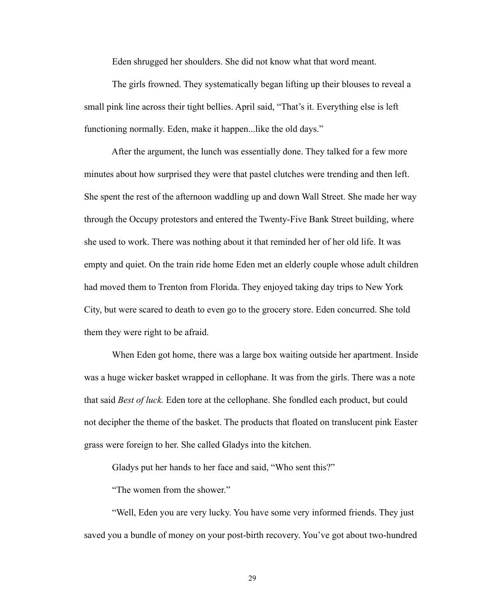Eden shrugged her shoulders. She did not know what that word meant.

 The girls frowned. They systematically began lifting up their blouses to reveal a small pink line across their tight bellies. April said, "That's it. Everything else is left functioning normally. Eden, make it happen...like the old days."

 After the argument, the lunch was essentially done. They talked for a few more minutes about how surprised they were that pastel clutches were trending and then left. She spent the rest of the afternoon waddling up and down Wall Street. She made her way through the Occupy protestors and entered the Twenty-Five Bank Street building, where she used to work. There was nothing about it that reminded her of her old life. It was empty and quiet. On the train ride home Eden met an elderly couple whose adult children had moved them to Trenton from Florida. They enjoyed taking day trips to New York City, but were scared to death to even go to the grocery store. Eden concurred. She told them they were right to be afraid.

 When Eden got home, there was a large box waiting outside her apartment. Inside was a huge wicker basket wrapped in cellophane. It was from the girls. There was a note that said *Best of luck.* Eden tore at the cellophane. She fondled each product, but could not decipher the theme of the basket. The products that floated on translucent pink Easter grass were foreign to her. She called Gladys into the kitchen.

Gladys put her hands to her face and said, "Who sent this?"

"The women from the shower."

 "Well, Eden you are very lucky. You have some very informed friends. They just saved you a bundle of money on your post-birth recovery. You've got about two-hundred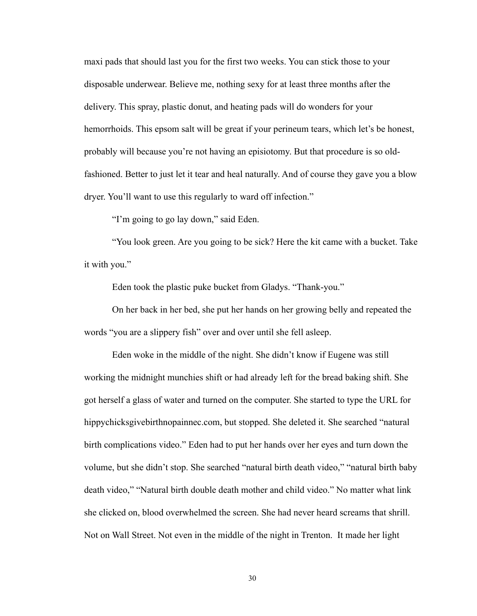maxi pads that should last you for the first two weeks. You can stick those to your disposable underwear. Believe me, nothing sexy for at least three months after the delivery. This spray, plastic donut, and heating pads will do wonders for your hemorrhoids. This epsom salt will be great if your perineum tears, which let's be honest, probably will because you're not having an episiotomy. But that procedure is so oldfashioned. Better to just let it tear and heal naturally. And of course they gave you a blow dryer. You'll want to use this regularly to ward off infection."

"I'm going to go lay down," said Eden.

 "You look green. Are you going to be sick? Here the kit came with a bucket. Take it with you."

Eden took the plastic puke bucket from Gladys. "Thank-you."

 On her back in her bed, she put her hands on her growing belly and repeated the words "you are a slippery fish" over and over until she fell asleep.

 Eden woke in the middle of the night. She didn't know if Eugene was still working the midnight munchies shift or had already left for the bread baking shift. She got herself a glass of water and turned on the computer. She started to type the URL for hippychicksgivebirthnopainnec.com, but stopped. She deleted it. She searched "natural birth complications video." Eden had to put her hands over her eyes and turn down the volume, but she didn't stop. She searched "natural birth death video," "natural birth baby death video," "Natural birth double death mother and child video." No matter what link she clicked on, blood overwhelmed the screen. She had never heard screams that shrill. Not on Wall Street. Not even in the middle of the night in Trenton. It made her light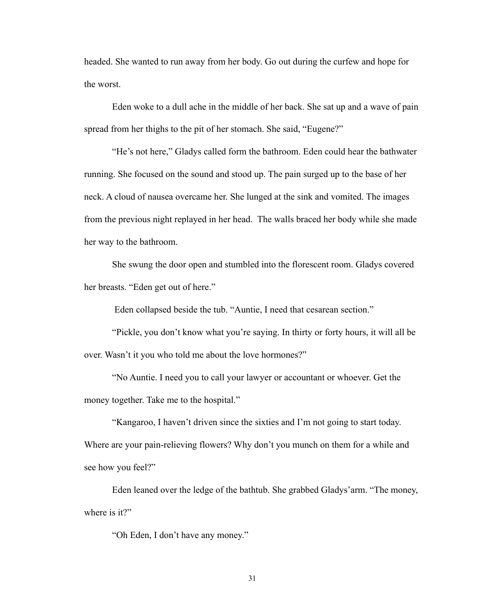headed. She wanted to run away from her body. Go out during the curfew and hope for the worst.

 Eden woke to a dull ache in the middle of her back. She sat up and a wave of pain spread from her thighs to the pit of her stomach. She said, "Eugene?"

 "He's not here," Gladys called form the bathroom. Eden could hear the bathwater running. She focused on the sound and stood up. The pain surged up to the base of her neck. A cloud of nausea overcame her. She lunged at the sink and vomited. The images from the previous night replayed in her head. The walls braced her body while she made her way to the bathroom.

 She swung the door open and stumbled into the florescent room. Gladys covered her breasts. "Eden get out of here."

Eden collapsed beside the tub. "Auntie, I need that cesarean section."

 "Pickle, you don't know what you're saying. In thirty or forty hours, it will all be over. Wasn't it you who told me about the love hormones?"

 "No Auntie. I need you to call your lawyer or accountant or whoever. Get the money together. Take me to the hospital."

"Kangaroo, I haven't driven since the sixties and I'm not going to start today.

Where are your pain-relieving flowers? Why don't you munch on them for a while and see how you feel?"

 Eden leaned over the ledge of the bathtub. She grabbed Gladys'arm. "The money, where is it?"

"Oh Eden, I don't have any money."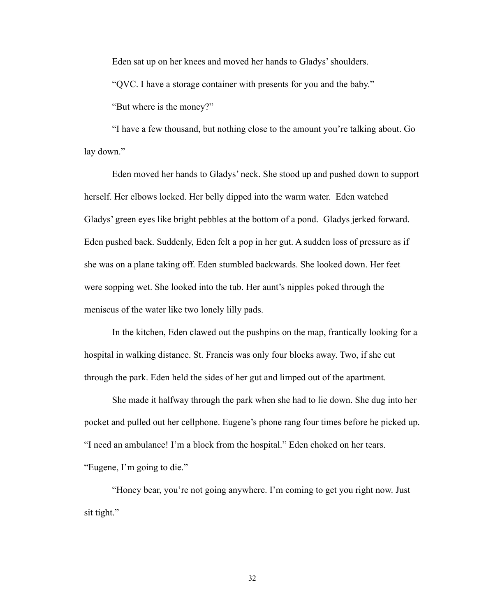Eden sat up on her knees and moved her hands to Gladys' shoulders.

"QVC. I have a storage container with presents for you and the baby."

"But where is the money?"

 "I have a few thousand, but nothing close to the amount you're talking about. Go lay down."

 Eden moved her hands to Gladys' neck. She stood up and pushed down to support herself. Her elbows locked. Her belly dipped into the warm water. Eden watched Gladys' green eyes like bright pebbles at the bottom of a pond. Gladys jerked forward. Eden pushed back. Suddenly, Eden felt a pop in her gut. A sudden loss of pressure as if she was on a plane taking off. Eden stumbled backwards. She looked down. Her feet were sopping wet. She looked into the tub. Her aunt's nipples poked through the meniscus of the water like two lonely lilly pads.

 In the kitchen, Eden clawed out the pushpins on the map, frantically looking for a hospital in walking distance. St. Francis was only four blocks away. Two, if she cut through the park. Eden held the sides of her gut and limped out of the apartment.

 She made it halfway through the park when she had to lie down. She dug into her pocket and pulled out her cellphone. Eugene's phone rang four times before he picked up. "I need an ambulance! I'm a block from the hospital." Eden choked on her tears. "Eugene, I'm going to die."

 "Honey bear, you're not going anywhere. I'm coming to get you right now. Just sit tight."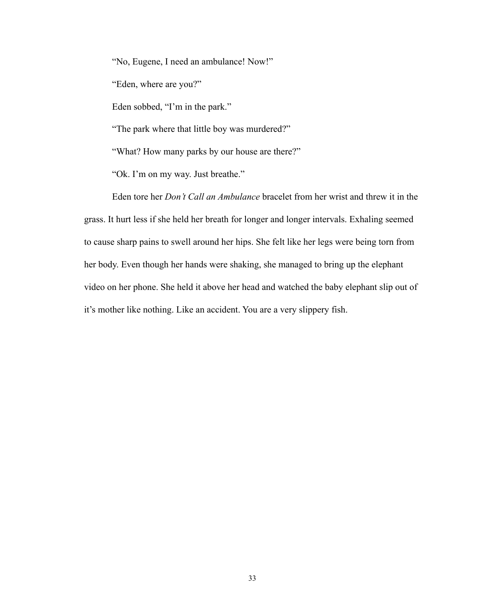"No, Eugene, I need an ambulance! Now!" "Eden, where are you?" Eden sobbed, "I'm in the park."

"The park where that little boy was murdered?"

"What? How many parks by our house are there?"

"Ok. I'm on my way. Just breathe."

 Eden tore her *Don't Call an Ambulance* bracelet from her wrist and threw it in the grass. It hurt less if she held her breath for longer and longer intervals. Exhaling seemed to cause sharp pains to swell around her hips. She felt like her legs were being torn from her body. Even though her hands were shaking, she managed to bring up the elephant video on her phone. She held it above her head and watched the baby elephant slip out of it's mother like nothing. Like an accident. You are a very slippery fish.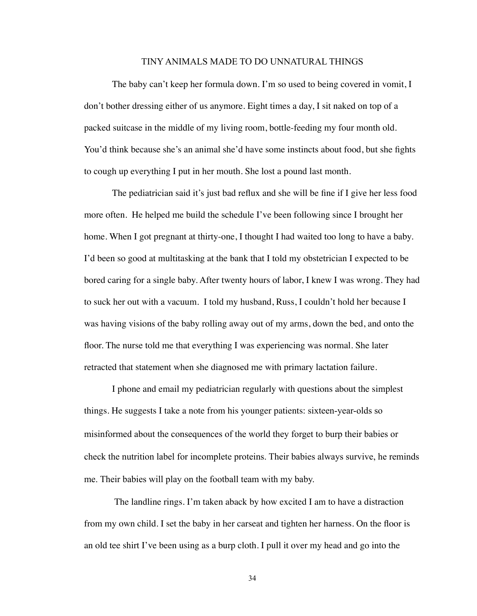## TINY ANIMALS MADE TO DO UNNATURAL THINGS

The baby can't keep her formula down. I'm so used to being covered in vomit, I don't bother dressing either of us anymore. Eight times a day, I sit naked on top of a packed suitcase in the middle of my living room, bottle-feeding my four month old. You'd think because she's an animal she'd have some instincts about food, but she fights to cough up everything I put in her mouth. She lost a pound last month.

The pediatrician said it's just bad reflux and she will be fine if I give her less food more often. He helped me build the schedule I've been following since I brought her home. When I got pregnant at thirty-one, I thought I had waited too long to have a baby. I'd been so good at multitasking at the bank that I told my obstetrician I expected to be bored caring for a single baby. After twenty hours of labor, I knew I was wrong. They had to suck her out with a vacuum. I told my husband, Russ, I couldn't hold her because I was having visions of the baby rolling away out of my arms, down the bed, and onto the floor. The nurse told me that everything I was experiencing was normal. She later retracted that statement when she diagnosed me with primary lactation failure.

I phone and email my pediatrician regularly with questions about the simplest things. He suggests I take a note from his younger patients: sixteen-year-olds so misinformed about the consequences of the world they forget to burp their babies or check the nutrition label for incomplete proteins. Their babies always survive, he reminds me. Their babies will play on the football team with my baby.

 The landline rings. I'm taken aback by how excited I am to have a distraction from my own child. I set the baby in her carseat and tighten her harness. On the floor is an old tee shirt I've been using as a burp cloth. I pull it over my head and go into the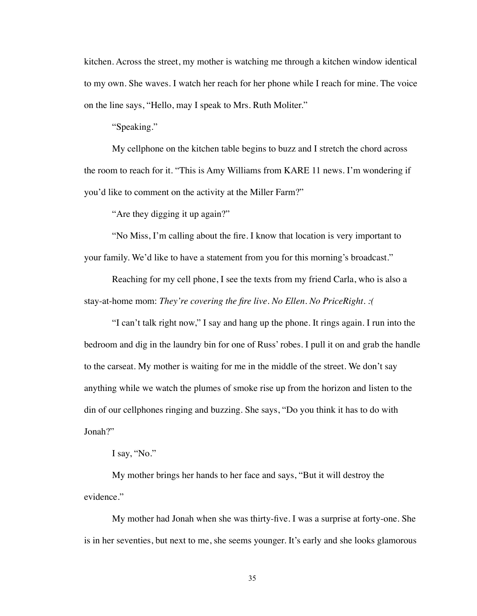kitchen. Across the street, my mother is watching me through a kitchen window identical to my own. She waves. I watch her reach for her phone while I reach for mine. The voice on the line says, "Hello, may I speak to Mrs. Ruth Moliter."

"Speaking."

My cellphone on the kitchen table begins to buzz and I stretch the chord across the room to reach for it. "This is Amy Williams from KARE 11 news. I'm wondering if you'd like to comment on the activity at the Miller Farm?"

"Are they digging it up again?"

"No Miss, I'm calling about the fire. I know that location is very important to your family. We'd like to have a statement from you for this morning's broadcast."

Reaching for my cell phone, I see the texts from my friend Carla, who is also a stay-at-home mom: *They're covering the fire live. No Ellen. No PriceRight. :(*

"I can't talk right now," I say and hang up the phone. It rings again. I run into the bedroom and dig in the laundry bin for one of Russ' robes. I pull it on and grab the handle to the carseat. My mother is waiting for me in the middle of the street. We don't say anything while we watch the plumes of smoke rise up from the horizon and listen to the din of our cellphones ringing and buzzing. She says, "Do you think it has to do with Jonah?"

I say, "No."

My mother brings her hands to her face and says, "But it will destroy the evidence."

My mother had Jonah when she was thirty-five. I was a surprise at forty-one. She is in her seventies, but next to me, she seems younger. It's early and she looks glamorous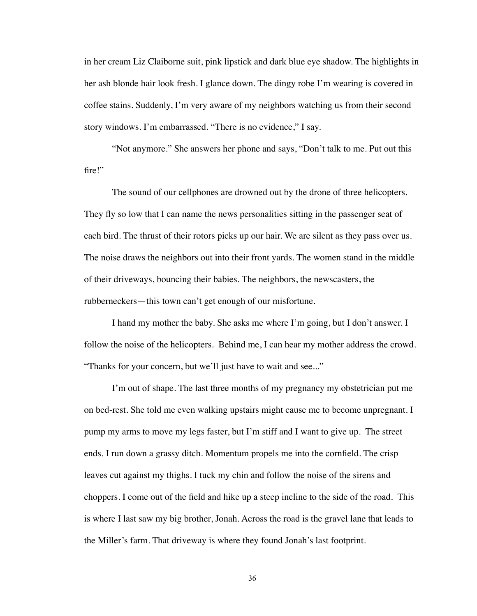in her cream Liz Claiborne suit, pink lipstick and dark blue eye shadow. The highlights in her ash blonde hair look fresh. I glance down. The dingy robe I'm wearing is covered in coffee stains. Suddenly, I'm very aware of my neighbors watching us from their second story windows. I'm embarrassed. "There is no evidence," I say.

"Not anymore." She answers her phone and says, "Don't talk to me. Put out this fire!"

The sound of our cellphones are drowned out by the drone of three helicopters. They fly so low that I can name the news personalities sitting in the passenger seat of each bird. The thrust of their rotors picks up our hair. We are silent as they pass over us. The noise draws the neighbors out into their front yards. The women stand in the middle of their driveways, bouncing their babies. The neighbors, the newscasters, the rubberneckers—this town can't get enough of our misfortune.

I hand my mother the baby. She asks me where I'm going, but I don't answer. I follow the noise of the helicopters. Behind me, I can hear my mother address the crowd. "Thanks for your concern, but we'll just have to wait and see..."

I'm out of shape. The last three months of my pregnancy my obstetrician put me on bed-rest. She told me even walking upstairs might cause me to become unpregnant. I pump my arms to move my legs faster, but I'm stiff and I want to give up. The street ends. I run down a grassy ditch. Momentum propels me into the cornfield. The crisp leaves cut against my thighs. I tuck my chin and follow the noise of the sirens and choppers. I come out of the field and hike up a steep incline to the side of the road. This is where I last saw my big brother, Jonah. Across the road is the gravel lane that leads to the Miller's farm. That driveway is where they found Jonah's last footprint.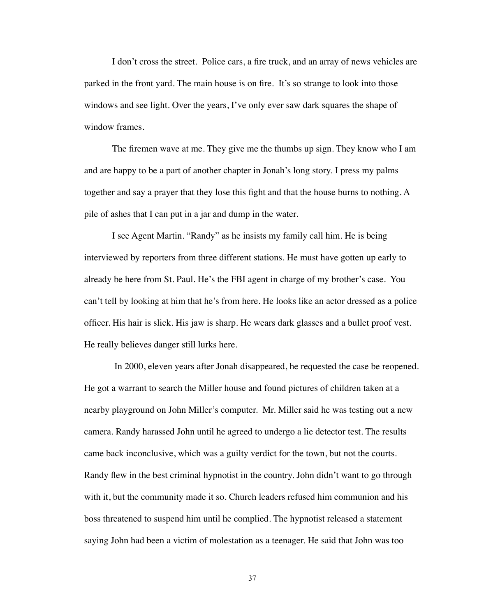I don't cross the street. Police cars, a fire truck, and an array of news vehicles are parked in the front yard. The main house is on fire. It's so strange to look into those windows and see light. Over the years, I've only ever saw dark squares the shape of window frames.

The firemen wave at me. They give me the thumbs up sign. They know who I am and are happy to be a part of another chapter in Jonah's long story. I press my palms together and say a prayer that they lose this fight and that the house burns to nothing. A pile of ashes that I can put in a jar and dump in the water.

I see Agent Martin. "Randy" as he insists my family call him. He is being interviewed by reporters from three different stations. He must have gotten up early to already be here from St. Paul. He's the FBI agent in charge of my brother's case. You can't tell by looking at him that he's from here. He looks like an actor dressed as a police officer. His hair is slick. His jaw is sharp. He wears dark glasses and a bullet proof vest. He really believes danger still lurks here.

 In 2000, eleven years after Jonah disappeared, he requested the case be reopened. He got a warrant to search the Miller house and found pictures of children taken at a nearby playground on John Miller's computer. Mr. Miller said he was testing out a new camera. Randy harassed John until he agreed to undergo a lie detector test. The results came back inconclusive, which was a guilty verdict for the town, but not the courts. Randy flew in the best criminal hypnotist in the country. John didn't want to go through with it, but the community made it so. Church leaders refused him communion and his boss threatened to suspend him until he complied. The hypnotist released a statement saying John had been a victim of molestation as a teenager. He said that John was too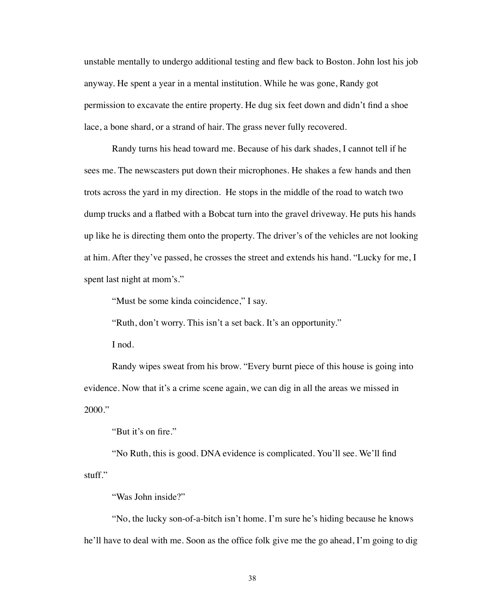unstable mentally to undergo additional testing and flew back to Boston. John lost his job anyway. He spent a year in a mental institution. While he was gone, Randy got permission to excavate the entire property. He dug six feet down and didn't find a shoe lace, a bone shard, or a strand of hair. The grass never fully recovered.

Randy turns his head toward me. Because of his dark shades, I cannot tell if he sees me. The newscasters put down their microphones. He shakes a few hands and then trots across the yard in my direction. He stops in the middle of the road to watch two dump trucks and a flatbed with a Bobcat turn into the gravel driveway. He puts his hands up like he is directing them onto the property. The driver's of the vehicles are not looking at him. After they've passed, he crosses the street and extends his hand. "Lucky for me, I spent last night at mom's."

"Must be some kinda coincidence," I say.

"Ruth, don't worry. This isn't a set back. It's an opportunity."

I nod.

Randy wipes sweat from his brow. "Every burnt piece of this house is going into evidence. Now that it's a crime scene again, we can dig in all the areas we missed in 2000."

"But it's on fire."

"No Ruth, this is good. DNA evidence is complicated. You'll see. We'll find stuff."

"Was John inside?"

"No, the lucky son-of-a-bitch isn't home. I'm sure he's hiding because he knows he'll have to deal with me. Soon as the office folk give me the go ahead, I'm going to dig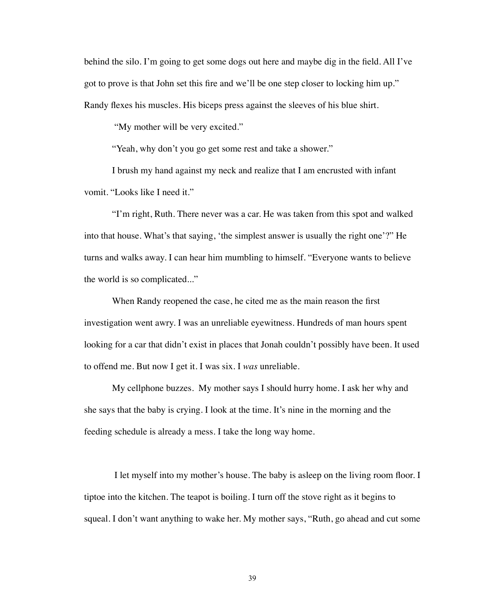behind the silo. I'm going to get some dogs out here and maybe dig in the field. All I've got to prove is that John set this fire and we'll be one step closer to locking him up." Randy flexes his muscles. His biceps press against the sleeves of his blue shirt.

"My mother will be very excited."

"Yeah, why don't you go get some rest and take a shower."

I brush my hand against my neck and realize that I am encrusted with infant vomit. "Looks like I need it."

"I'm right, Ruth. There never was a car. He was taken from this spot and walked into that house. What's that saying, 'the simplest answer is usually the right one'?" He turns and walks away. I can hear him mumbling to himself. "Everyone wants to believe the world is so complicated..."

When Randy reopened the case, he cited me as the main reason the first investigation went awry. I was an unreliable eyewitness. Hundreds of man hours spent looking for a car that didn't exist in places that Jonah couldn't possibly have been. It used to offend me. But now I get it. I was six. I *was* unreliable.

My cellphone buzzes. My mother says I should hurry home. I ask her why and she says that the baby is crying. I look at the time. It's nine in the morning and the feeding schedule is already a mess. I take the long way home.

 I let myself into my mother's house. The baby is asleep on the living room floor. I tiptoe into the kitchen. The teapot is boiling. I turn off the stove right as it begins to squeal. I don't want anything to wake her. My mother says, "Ruth, go ahead and cut some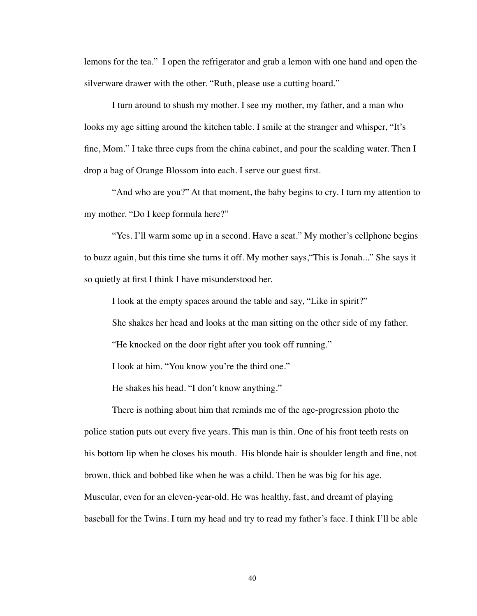lemons for the tea." I open the refrigerator and grab a lemon with one hand and open the silverware drawer with the other. "Ruth, please use a cutting board."

I turn around to shush my mother. I see my mother, my father, and a man who looks my age sitting around the kitchen table. I smile at the stranger and whisper, "It's fine, Mom." I take three cups from the china cabinet, and pour the scalding water. Then I drop a bag of Orange Blossom into each. I serve our guest first.

"And who are you?" At that moment, the baby begins to cry. I turn my attention to my mother. "Do I keep formula here?"

"Yes. I'll warm some up in a second. Have a seat." My mother's cellphone begins to buzz again, but this time she turns it off. My mother says,"This is Jonah..." She says it so quietly at first I think I have misunderstood her.

I look at the empty spaces around the table and say, "Like in spirit?"

She shakes her head and looks at the man sitting on the other side of my father.

"He knocked on the door right after you took off running."

I look at him. "You know you're the third one."

He shakes his head. "I don't know anything."

There is nothing about him that reminds me of the age-progression photo the police station puts out every five years. This man is thin. One of his front teeth rests on his bottom lip when he closes his mouth. His blonde hair is shoulder length and fine, not brown, thick and bobbed like when he was a child. Then he was big for his age. Muscular, even for an eleven-year-old. He was healthy, fast, and dreamt of playing baseball for the Twins. I turn my head and try to read my father's face. I think I'll be able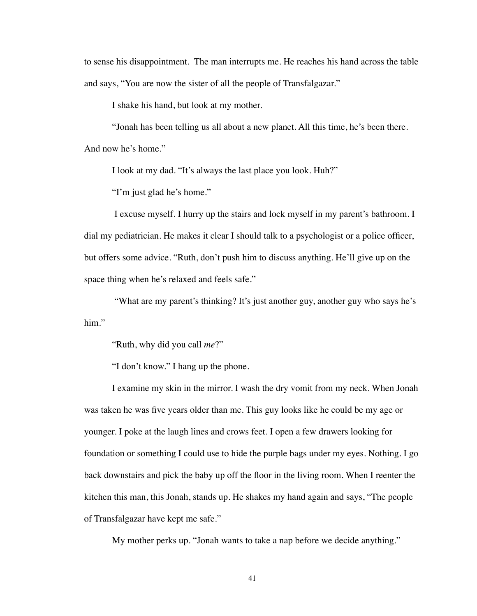to sense his disappointment. The man interrupts me. He reaches his hand across the table and says, "You are now the sister of all the people of Transfalgazar."

I shake his hand, but look at my mother.

"Jonah has been telling us all about a new planet. All this time, he's been there.

And now he's home."

I look at my dad. "It's always the last place you look. Huh?"

"I'm just glad he's home."

 I excuse myself. I hurry up the stairs and lock myself in my parent's bathroom. I dial my pediatrician. He makes it clear I should talk to a psychologist or a police officer, but offers some advice. "Ruth, don't push him to discuss anything. He'll give up on the space thing when he's relaxed and feels safe."

 "What are my parent's thinking? It's just another guy, another guy who says he's him."

"Ruth, why did you call *me*?"

"I don't know." I hang up the phone.

I examine my skin in the mirror. I wash the dry vomit from my neck. When Jonah was taken he was five years older than me. This guy looks like he could be my age or younger. I poke at the laugh lines and crows feet. I open a few drawers looking for foundation or something I could use to hide the purple bags under my eyes. Nothing. I go back downstairs and pick the baby up off the floor in the living room. When I reenter the kitchen this man, this Jonah, stands up. He shakes my hand again and says, "The people of Transfalgazar have kept me safe."

My mother perks up. "Jonah wants to take a nap before we decide anything."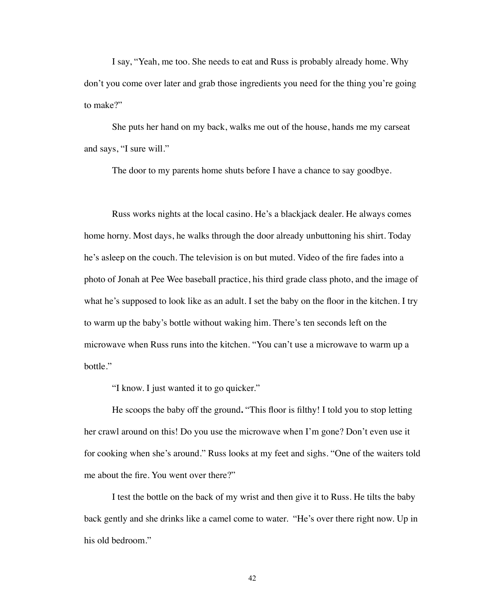I say, "Yeah, me too. She needs to eat and Russ is probably already home. Why don't you come over later and grab those ingredients you need for the thing you're going to make?"

She puts her hand on my back, walks me out of the house, hands me my carseat and says, "I sure will."

The door to my parents home shuts before I have a chance to say goodbye.

Russ works nights at the local casino. He's a blackjack dealer. He always comes home horny. Most days, he walks through the door already unbuttoning his shirt. Today he's asleep on the couch. The television is on but muted. Video of the fire fades into a photo of Jonah at Pee Wee baseball practice, his third grade class photo, and the image of what he's supposed to look like as an adult. I set the baby on the floor in the kitchen. I try to warm up the baby's bottle without waking him. There's ten seconds left on the microwave when Russ runs into the kitchen. "You can't use a microwave to warm up a bottle."

"I know. I just wanted it to go quicker."

He scoops the baby off the ground**.** "This floor is filthy! I told you to stop letting her crawl around on this! Do you use the microwave when I'm gone? Don't even use it for cooking when she's around." Russ looks at my feet and sighs. "One of the waiters told me about the fire. You went over there?"

I test the bottle on the back of my wrist and then give it to Russ. He tilts the baby back gently and she drinks like a camel come to water. "He's over there right now. Up in his old bedroom."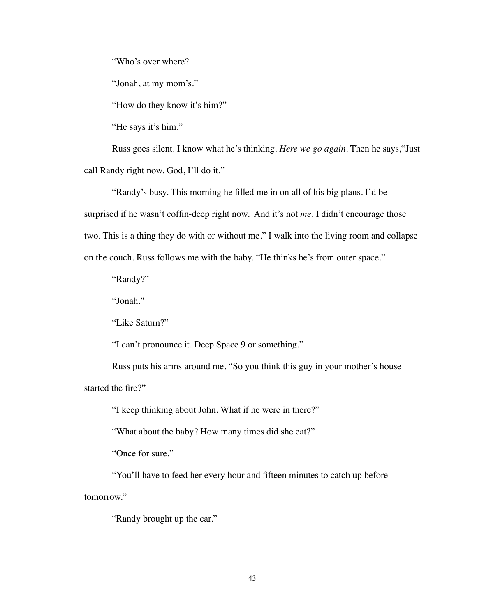"Who's over where?

"Jonah, at my mom's."

"How do they know it's him?"

"He says it's him."

Russ goes silent. I know what he's thinking. *Here we go again*. Then he says,"Just call Randy right now. God, I'll do it."

"Randy's busy. This morning he filled me in on all of his big plans. I'd be surprised if he wasn't coffin-deep right now. And it's not *me*. I didn't encourage those two. This is a thing they do with or without me." I walk into the living room and collapse on the couch. Russ follows me with the baby. "He thinks he's from outer space."

"Randy?"

"Jonah."

"Like Saturn?"

"I can't pronounce it. Deep Space 9 or something."

Russ puts his arms around me. "So you think this guy in your mother's house started the fire?"

"I keep thinking about John. What if he were in there?"

"What about the baby? How many times did she eat?"

"Once for sure."

"You'll have to feed her every hour and fifteen minutes to catch up before

tomorrow."

"Randy brought up the car."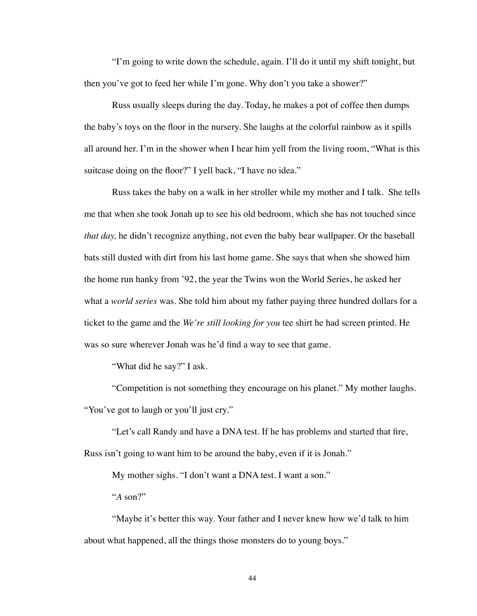"I'm going to write down the schedule, again. I'll do it until my shift tonight, but then you've got to feed her while I'm gone. Why don't you take a shower?"

Russ usually sleeps during the day. Today, he makes a pot of coffee then dumps the baby's toys on the floor in the nursery. She laughs at the colorful rainbow as it spills all around her. I'm in the shower when I hear him yell from the living room, "What is this suitcase doing on the floor?" I yell back, "I have no idea."

Russ takes the baby on a walk in her stroller while my mother and I talk. She tells me that when she took Jonah up to see his old bedroom, which she has not touched since *that day,* he didn't recognize anything, not even the baby bear wallpaper. Or the baseball bats still dusted with dirt from his last home game. She says that when she showed him the home run hanky from '92, the year the Twins won the World Series, he asked her what a *world series* was. She told him about my father paying three hundred dollars for a ticket to the game and the *We're still looking for you* tee shirt he had screen printed. He was so sure wherever Jonah was he'd find a way to see that game.

"What did he say?" I ask.

"Competition is not something they encourage on his planet." My mother laughs. "You've got to laugh or you'll just cry."

"Let's call Randy and have a DNA test. If he has problems and started that fire, Russ isn't going to want him to be around the baby, even if it is Jonah."

My mother sighs. "I don't want a DNA test. I want a son."

"*A* son?"

"Maybe it's better this way. Your father and I never knew how we'd talk to him about what happened, all the things those monsters do to young boys."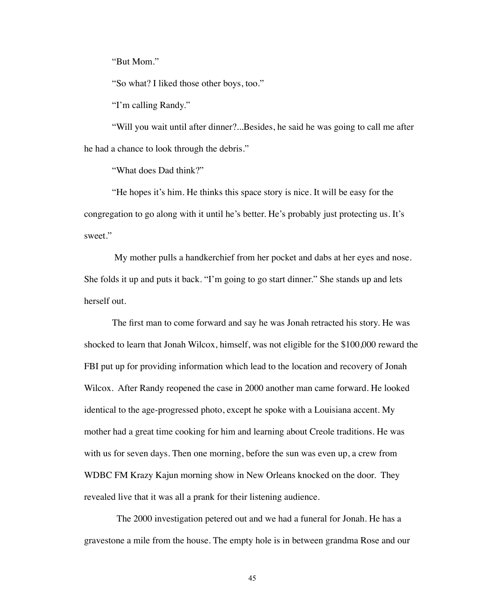"But Mom."

"So what? I liked those other boys, too."

"I'm calling Randy."

"Will you wait until after dinner?...Besides, he said he was going to call me after he had a chance to look through the debris."

"What does Dad think?"

"He hopes it's him. He thinks this space story is nice. It will be easy for the congregation to go along with it until he's better. He's probably just protecting us. It's sweet."

 My mother pulls a handkerchief from her pocket and dabs at her eyes and nose. She folds it up and puts it back. "I'm going to go start dinner." She stands up and lets herself out.

The first man to come forward and say he was Jonah retracted his story. He was shocked to learn that Jonah Wilcox, himself, was not eligible for the \$100,000 reward the FBI put up for providing information which lead to the location and recovery of Jonah Wilcox. After Randy reopened the case in 2000 another man came forward. He looked identical to the age-progressed photo, except he spoke with a Louisiana accent. My mother had a great time cooking for him and learning about Creole traditions. He was with us for seven days. Then one morning, before the sun was even up, a crew from WDBC FM Krazy Kajun morning show in New Orleans knocked on the door. They revealed live that it was all a prank for their listening audience.

 The 2000 investigation petered out and we had a funeral for Jonah. He has a gravestone a mile from the house. The empty hole is in between grandma Rose and our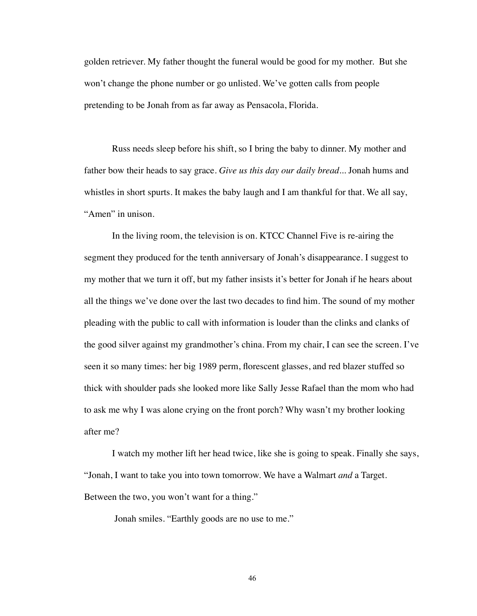golden retriever. My father thought the funeral would be good for my mother. But she won't change the phone number or go unlisted. We've gotten calls from people pretending to be Jonah from as far away as Pensacola, Florida.

Russ needs sleep before his shift, so I bring the baby to dinner. My mother and father bow their heads to say grace. *Give us this day our daily bread...* Jonah hums and whistles in short spurts. It makes the baby laugh and I am thankful for that. We all say, "Amen" in unison.

In the living room, the television is on. KTCC Channel Five is re-airing the segment they produced for the tenth anniversary of Jonah's disappearance. I suggest to my mother that we turn it off, but my father insists it's better for Jonah if he hears about all the things we've done over the last two decades to find him. The sound of my mother pleading with the public to call with information is louder than the clinks and clanks of the good silver against my grandmother's china. From my chair, I can see the screen. I've seen it so many times: her big 1989 perm, florescent glasses, and red blazer stuffed so thick with shoulder pads she looked more like Sally Jesse Rafael than the mom who had to ask me why I was alone crying on the front porch? Why wasn't my brother looking after me?

I watch my mother lift her head twice, like she is going to speak. Finally she says, "Jonah, I want to take you into town tomorrow. We have a Walmart *and* a Target. Between the two, you won't want for a thing."

Jonah smiles. "Earthly goods are no use to me."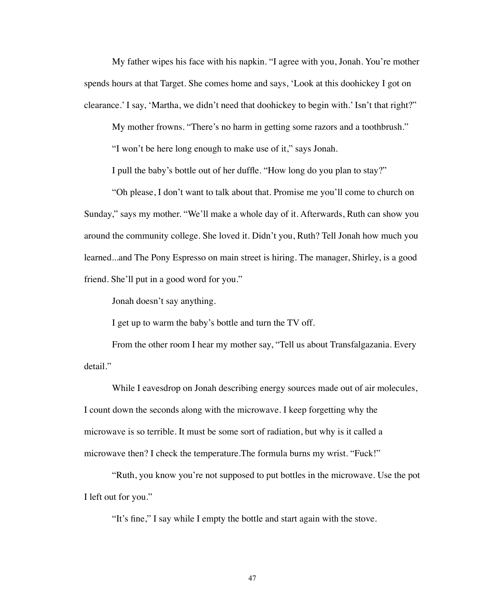My father wipes his face with his napkin. "I agree with you, Jonah. You're mother spends hours at that Target. She comes home and says, 'Look at this doohickey I got on clearance.' I say, 'Martha, we didn't need that doohickey to begin with.' Isn't that right?"

My mother frowns. "There's no harm in getting some razors and a toothbrush."

"I won't be here long enough to make use of it," says Jonah.

I pull the baby's bottle out of her duffle. "How long do you plan to stay?"

"Oh please, I don't want to talk about that. Promise me you'll come to church on Sunday," says my mother. "We'll make a whole day of it. Afterwards, Ruth can show you around the community college. She loved it. Didn't you, Ruth? Tell Jonah how much you learned...and The Pony Espresso on main street is hiring. The manager, Shirley, is a good friend. She'll put in a good word for you."

Jonah doesn't say anything.

I get up to warm the baby's bottle and turn the TV off.

From the other room I hear my mother say, "Tell us about Transfalgazania. Every detail."

While I eavesdrop on Jonah describing energy sources made out of air molecules, I count down the seconds along with the microwave. I keep forgetting why the microwave is so terrible. It must be some sort of radiation, but why is it called a microwave then? I check the temperature.The formula burns my wrist. "Fuck!"

"Ruth, you know you're not supposed to put bottles in the microwave. Use the pot I left out for you."

"It's fine," I say while I empty the bottle and start again with the stove.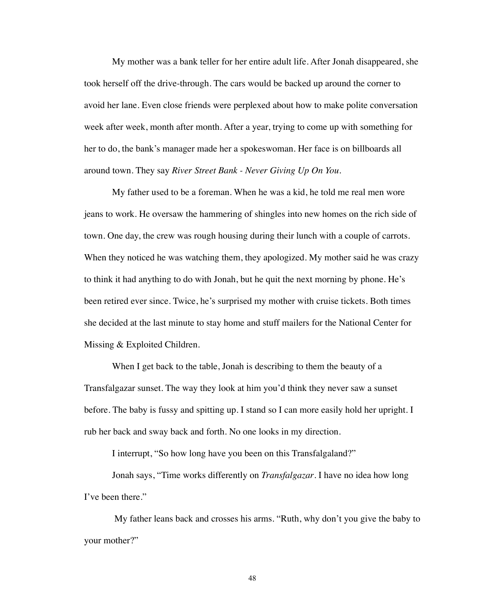My mother was a bank teller for her entire adult life. After Jonah disappeared, she took herself off the drive-through. The cars would be backed up around the corner to avoid her lane. Even close friends were perplexed about how to make polite conversation week after week, month after month. After a year, trying to come up with something for her to do, the bank's manager made her a spokeswoman. Her face is on billboards all around town. They say *River Street Bank - Never Giving Up On You.* 

My father used to be a foreman. When he was a kid, he told me real men wore jeans to work. He oversaw the hammering of shingles into new homes on the rich side of town. One day, the crew was rough housing during their lunch with a couple of carrots. When they noticed he was watching them, they apologized. My mother said he was crazy to think it had anything to do with Jonah, but he quit the next morning by phone. He's been retired ever since. Twice, he's surprised my mother with cruise tickets. Both times she decided at the last minute to stay home and stuff mailers for the National Center for Missing & Exploited Children.

When I get back to the table, Jonah is describing to them the beauty of a Transfalgazar sunset. The way they look at him you'd think they never saw a sunset before. The baby is fussy and spitting up. I stand so I can more easily hold her upright. I rub her back and sway back and forth. No one looks in my direction.

I interrupt, "So how long have you been on this Transfalgaland?"

Jonah says, "Time works differently on *Transfalgazar*. I have no idea how long I've been there."

 My father leans back and crosses his arms. "Ruth, why don't you give the baby to your mother?"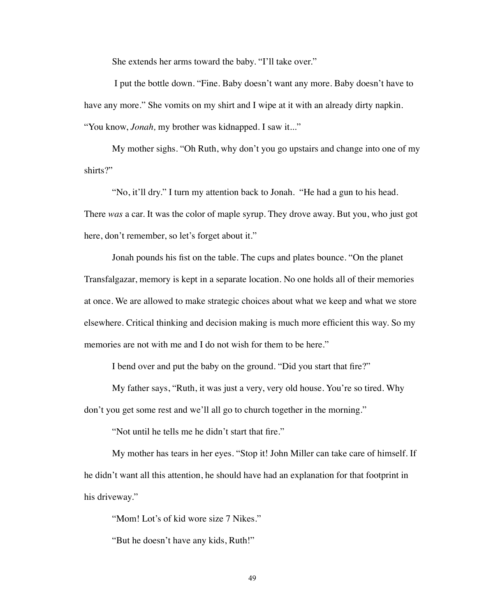She extends her arms toward the baby. "I'll take over."

 I put the bottle down. "Fine. Baby doesn't want any more. Baby doesn't have to have any more." She vomits on my shirt and I wipe at it with an already dirty napkin. "You know, *Jonah,* my brother was kidnapped. I saw it..."

My mother sighs. "Oh Ruth, why don't you go upstairs and change into one of my shirts?"

"No, it'll dry." I turn my attention back to Jonah. "He had a gun to his head. There *was* a car. It was the color of maple syrup. They drove away. But you, who just got here, don't remember, so let's forget about it."

Jonah pounds his fist on the table. The cups and plates bounce. "On the planet Transfalgazar, memory is kept in a separate location. No one holds all of their memories at once. We are allowed to make strategic choices about what we keep and what we store elsewhere. Critical thinking and decision making is much more efficient this way. So my memories are not with me and I do not wish for them to be here."

I bend over and put the baby on the ground. "Did you start that fire?"

My father says, "Ruth, it was just a very, very old house. You're so tired. Why don't you get some rest and we'll all go to church together in the morning."

"Not until he tells me he didn't start that fire."

My mother has tears in her eyes. "Stop it! John Miller can take care of himself. If he didn't want all this attention, he should have had an explanation for that footprint in his driveway."

"Mom! Lot's of kid wore size 7 Nikes."

"But he doesn't have any kids, Ruth!"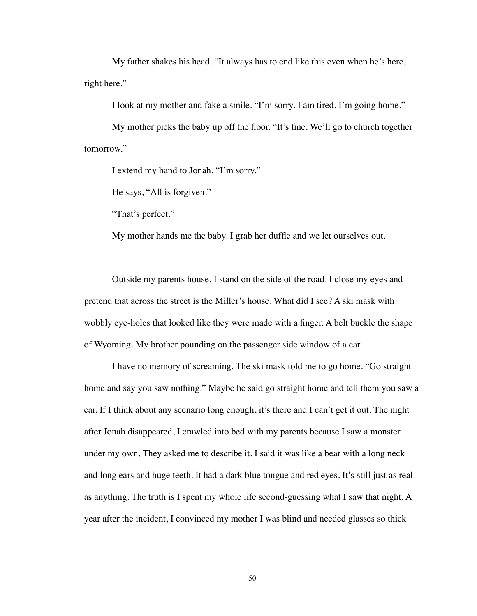My father shakes his head. "It always has to end like this even when he's here, right here."

I look at my mother and fake a smile. "I'm sorry. I am tired. I'm going home."

My mother picks the baby up off the floor. "It's fine. We'll go to church together tomorrow."

I extend my hand to Jonah. "I'm sorry."

He says, "All is forgiven."

"That's perfect."

My mother hands me the baby. I grab her duffle and we let ourselves out.

Outside my parents house, I stand on the side of the road. I close my eyes and pretend that across the street is the Miller's house. What did I see? A ski mask with wobbly eye-holes that looked like they were made with a finger. A belt buckle the shape of Wyoming. My brother pounding on the passenger side window of a car.

I have no memory of screaming. The ski mask told me to go home. "Go straight home and say you saw nothing." Maybe he said go straight home and tell them you saw a car. If I think about any scenario long enough, it's there and I can't get it out. The night after Jonah disappeared, I crawled into bed with my parents because I saw a monster under my own. They asked me to describe it. I said it was like a bear with a long neck and long ears and huge teeth. It had a dark blue tongue and red eyes. It's still just as real as anything. The truth is I spent my whole life second-guessing what I saw that night. A year after the incident, I convinced my mother I was blind and needed glasses so thick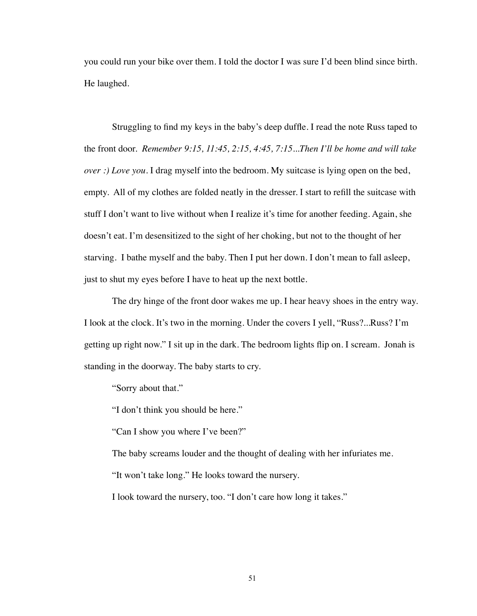you could run your bike over them. I told the doctor I was sure I'd been blind since birth. He laughed.

Struggling to find my keys in the baby's deep duffle. I read the note Russ taped to the front door. *Remember 9:15, 11:45, 2:15, 4:45, 7:15...Then I'll be home and will take over :) Love you.* I drag myself into the bedroom. My suitcase is lying open on the bed, empty. All of my clothes are folded neatly in the dresser. I start to refill the suitcase with stuff I don't want to live without when I realize it's time for another feeding. Again, she doesn't eat. I'm desensitized to the sight of her choking, but not to the thought of her starving. I bathe myself and the baby. Then I put her down. I don't mean to fall asleep, just to shut my eyes before I have to heat up the next bottle.

The dry hinge of the front door wakes me up. I hear heavy shoes in the entry way. I look at the clock. It's two in the morning. Under the covers I yell, "Russ?...Russ? I'm getting up right now." I sit up in the dark. The bedroom lights flip on. I scream. Jonah is standing in the doorway. The baby starts to cry.

"Sorry about that."

"I don't think you should be here."

"Can I show you where I've been?"

The baby screams louder and the thought of dealing with her infuriates me.

"It won't take long." He looks toward the nursery.

I look toward the nursery, too. "I don't care how long it takes."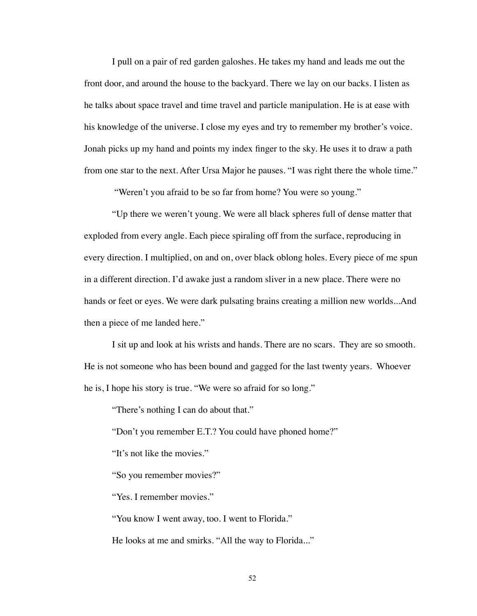I pull on a pair of red garden galoshes. He takes my hand and leads me out the front door, and around the house to the backyard. There we lay on our backs. I listen as he talks about space travel and time travel and particle manipulation. He is at ease with his knowledge of the universe. I close my eyes and try to remember my brother's voice. Jonah picks up my hand and points my index finger to the sky. He uses it to draw a path from one star to the next. After Ursa Major he pauses. "I was right there the whole time."

"Weren't you afraid to be so far from home? You were so young."

"Up there we weren't young. We were all black spheres full of dense matter that exploded from every angle. Each piece spiraling off from the surface, reproducing in every direction. I multiplied, on and on, over black oblong holes. Every piece of me spun in a different direction. I'd awake just a random sliver in a new place. There were no hands or feet or eyes. We were dark pulsating brains creating a million new worlds...And then a piece of me landed here."

I sit up and look at his wrists and hands. There are no scars. They are so smooth. He is not someone who has been bound and gagged for the last twenty years. Whoever he is, I hope his story is true. "We were so afraid for so long."

"There's nothing I can do about that."

"Don't you remember E.T.? You could have phoned home?"

"It's not like the movies."

"So you remember movies?"

"Yes. I remember movies."

"You know I went away, too. I went to Florida."

He looks at me and smirks. "All the way to Florida..."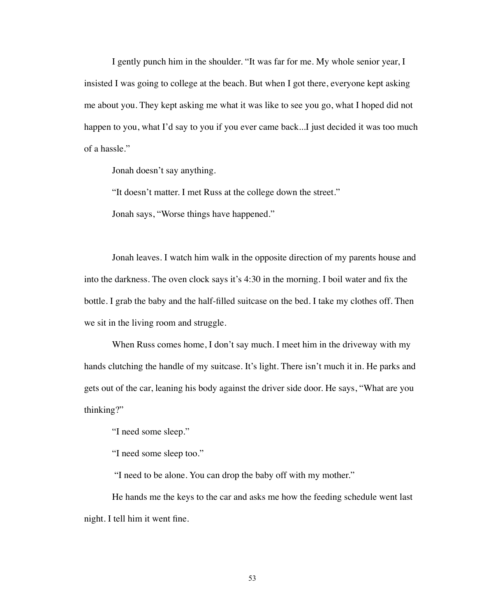I gently punch him in the shoulder. "It was far for me. My whole senior year, I insisted I was going to college at the beach. But when I got there, everyone kept asking me about you. They kept asking me what it was like to see you go, what I hoped did not happen to you, what I'd say to you if you ever came back...I just decided it was too much of a hassle."

Jonah doesn't say anything.

"It doesn't matter. I met Russ at the college down the street."

Jonah says, "Worse things have happened."

Jonah leaves. I watch him walk in the opposite direction of my parents house and into the darkness. The oven clock says it's 4:30 in the morning. I boil water and fix the bottle. I grab the baby and the half-filled suitcase on the bed. I take my clothes off. Then we sit in the living room and struggle.

When Russ comes home, I don't say much. I meet him in the driveway with my hands clutching the handle of my suitcase. It's light. There isn't much it in. He parks and gets out of the car, leaning his body against the driver side door. He says, "What are you thinking?"

"I need some sleep."

"I need some sleep too."

"I need to be alone. You can drop the baby off with my mother."

He hands me the keys to the car and asks me how the feeding schedule went last night. I tell him it went fine.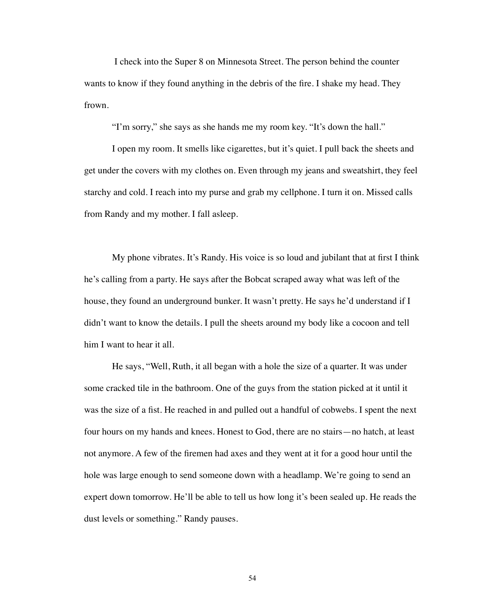I check into the Super 8 on Minnesota Street. The person behind the counter wants to know if they found anything in the debris of the fire. I shake my head. They frown.

"I'm sorry," she says as she hands me my room key. "It's down the hall."

I open my room. It smells like cigarettes, but it's quiet. I pull back the sheets and get under the covers with my clothes on. Even through my jeans and sweatshirt, they feel starchy and cold. I reach into my purse and grab my cellphone. I turn it on. Missed calls from Randy and my mother. I fall asleep.

My phone vibrates. It's Randy. His voice is so loud and jubilant that at first I think he's calling from a party. He says after the Bobcat scraped away what was left of the house, they found an underground bunker. It wasn't pretty. He says he'd understand if I didn't want to know the details. I pull the sheets around my body like a cocoon and tell him I want to hear it all.

He says, "Well, Ruth, it all began with a hole the size of a quarter. It was under some cracked tile in the bathroom. One of the guys from the station picked at it until it was the size of a fist. He reached in and pulled out a handful of cobwebs. I spent the next four hours on my hands and knees. Honest to God, there are no stairs—no hatch, at least not anymore. A few of the firemen had axes and they went at it for a good hour until the hole was large enough to send someone down with a headlamp. We're going to send an expert down tomorrow. He'll be able to tell us how long it's been sealed up. He reads the dust levels or something." Randy pauses.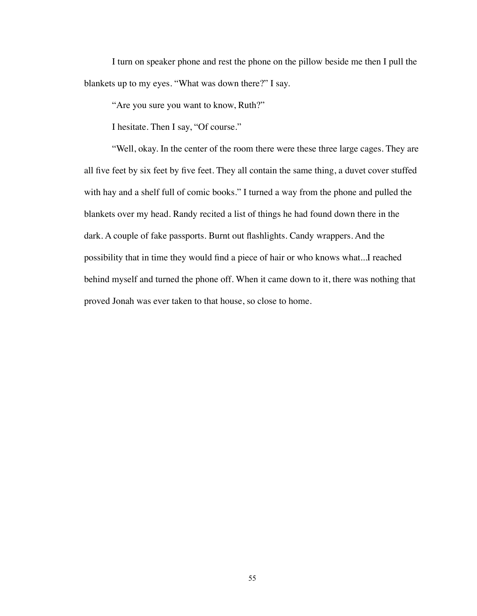I turn on speaker phone and rest the phone on the pillow beside me then I pull the blankets up to my eyes. "What was down there?" I say.

"Are you sure you want to know, Ruth?"

I hesitate. Then I say, "Of course."

"Well, okay. In the center of the room there were these three large cages. They are all five feet by six feet by five feet. They all contain the same thing, a duvet cover stuffed with hay and a shelf full of comic books." I turned a way from the phone and pulled the blankets over my head. Randy recited a list of things he had found down there in the dark. A couple of fake passports. Burnt out flashlights. Candy wrappers. And the possibility that in time they would find a piece of hair or who knows what...I reached behind myself and turned the phone off. When it came down to it, there was nothing that proved Jonah was ever taken to that house, so close to home.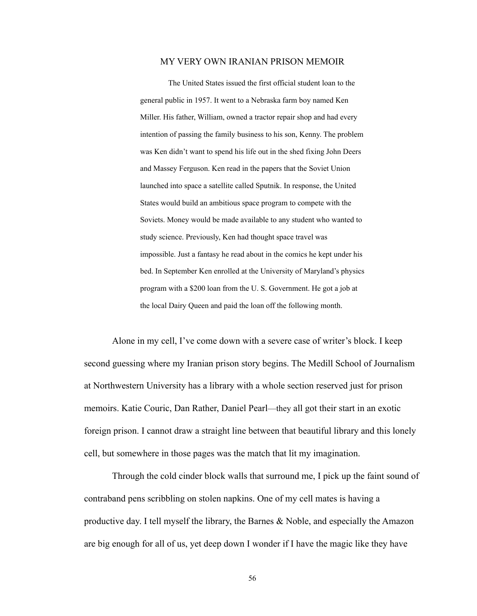## MY VERY OWN IRANIAN PRISON MEMOIR

The United States issued the first official student loan to the general public in 1957. It went to a Nebraska farm boy named Ken Miller. His father, William, owned a tractor repair shop and had every intention of passing the family business to his son, Kenny. The problem was Ken didn't want to spend his life out in the shed fixing John Deers and Massey Ferguson. Ken read in the papers that the Soviet Union launched into space a satellite called Sputnik. In response, the United States would build an ambitious space program to compete with the Soviets. Money would be made available to any student who wanted to study science. Previously, Ken had thought space travel was impossible. Just a fantasy he read about in the comics he kept under his bed. In September Ken enrolled at the University of Maryland's physics program with a \$200 loan from the U. S. Government. He got a job at the local Dairy Queen and paid the loan off the following month.

Alone in my cell, I've come down with a severe case of writer's block. I keep second guessing where my Iranian prison story begins. The Medill School of Journalism at Northwestern University has a library with a whole section reserved just for prison memoirs. Katie Couric, Dan Rather, Daniel Pearl—they all got their start in an exotic foreign prison. I cannot draw a straight line between that beautiful library and this lonely cell, but somewhere in those pages was the match that lit my imagination.

Through the cold cinder block walls that surround me, I pick up the faint sound of contraband pens scribbling on stolen napkins. One of my cell mates is having a productive day. I tell myself the library, the Barnes & Noble, and especially the Amazon are big enough for all of us, yet deep down I wonder if I have the magic like they have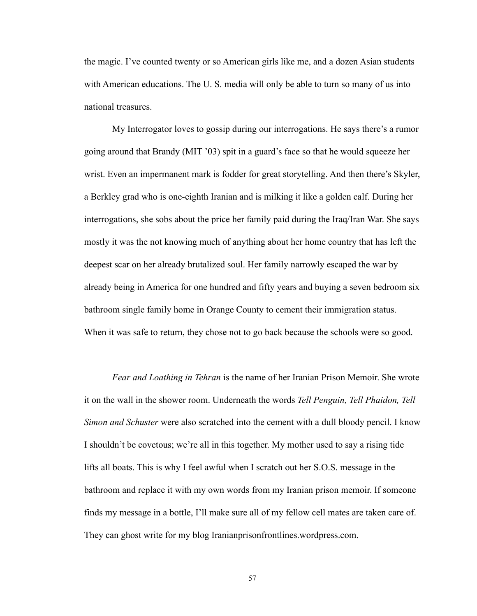the magic. I've counted twenty or so American girls like me, and a dozen Asian students with American educations. The U. S. media will only be able to turn so many of us into national treasures.

My Interrogator loves to gossip during our interrogations. He says there's a rumor going around that Brandy (MIT '03) spit in a guard's face so that he would squeeze her wrist. Even an impermanent mark is fodder for great storytelling. And then there's Skyler, a Berkley grad who is one-eighth Iranian and is milking it like a golden calf. During her interrogations, she sobs about the price her family paid during the Iraq/Iran War. She says mostly it was the not knowing much of anything about her home country that has left the deepest scar on her already brutalized soul. Her family narrowly escaped the war by already being in America for one hundred and fifty years and buying a seven bedroom six bathroom single family home in Orange County to cement their immigration status. When it was safe to return, they chose not to go back because the schools were so good.

*Fear and Loathing in Tehran* is the name of her Iranian Prison Memoir. She wrote it on the wall in the shower room. Underneath the words *Tell Penguin, Tell Phaidon, Tell Simon and Schuster* were also scratched into the cement with a dull bloody pencil. I know I shouldn't be covetous; we're all in this together. My mother used to say a rising tide lifts all boats. This is why I feel awful when I scratch out her S.O.S. message in the bathroom and replace it with my own words from my Iranian prison memoir. If someone finds my message in a bottle, I'll make sure all of my fellow cell mates are taken care of. They can ghost write for my blog Iranianprisonfrontlines.wordpress.com.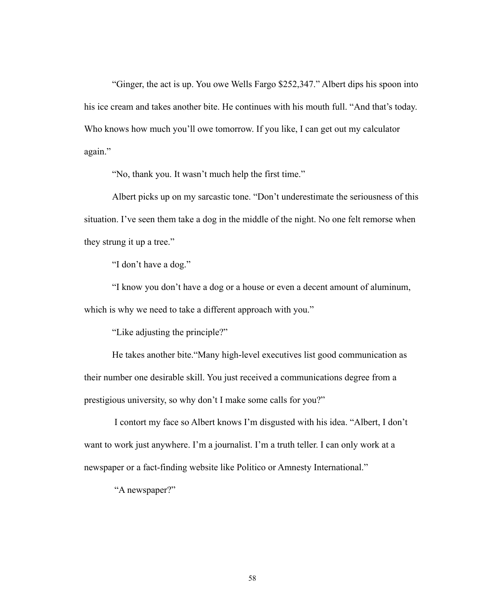"Ginger, the act is up. You owe Wells Fargo \$252,347." Albert dips his spoon into his ice cream and takes another bite. He continues with his mouth full. "And that's today. Who knows how much you'll owe tomorrow. If you like, I can get out my calculator again."

"No, thank you. It wasn't much help the first time."

Albert picks up on my sarcastic tone. "Don't underestimate the seriousness of this situation. I've seen them take a dog in the middle of the night. No one felt remorse when they strung it up a tree."

"I don't have a dog."

"I know you don't have a dog or a house or even a decent amount of aluminum, which is why we need to take a different approach with you."

"Like adjusting the principle?"

He takes another bite."Many high-level executives list good communication as their number one desirable skill. You just received a communications degree from a prestigious university, so why don't I make some calls for you?"

 I contort my face so Albert knows I'm disgusted with his idea. "Albert, I don't want to work just anywhere. I'm a journalist. I'm a truth teller. I can only work at a newspaper or a fact-finding website like Politico or Amnesty International."

"A newspaper?"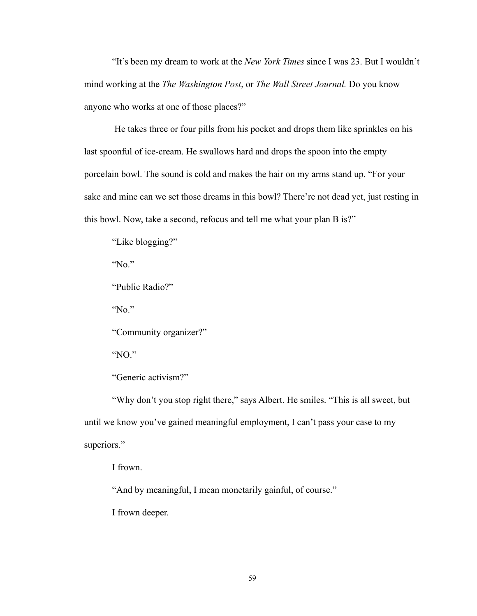"It's been my dream to work at the *New York Times* since I was 23. But I wouldn't mind working at the *The Washington Post*, or *The Wall Street Journal.* Do you know anyone who works at one of those places?"

 He takes three or four pills from his pocket and drops them like sprinkles on his last spoonful of ice-cream. He swallows hard and drops the spoon into the empty porcelain bowl. The sound is cold and makes the hair on my arms stand up. "For your sake and mine can we set those dreams in this bowl? There're not dead yet, just resting in this bowl. Now, take a second, refocus and tell me what your plan B is?"

"Like blogging?"

"No."

"Public Radio?"

"No."

"Community organizer?"

"NO."

"Generic activism?"

"Why don't you stop right there," says Albert. He smiles. "This is all sweet, but until we know you've gained meaningful employment, I can't pass your case to my superiors."

I frown.

"And by meaningful, I mean monetarily gainful, of course."

I frown deeper.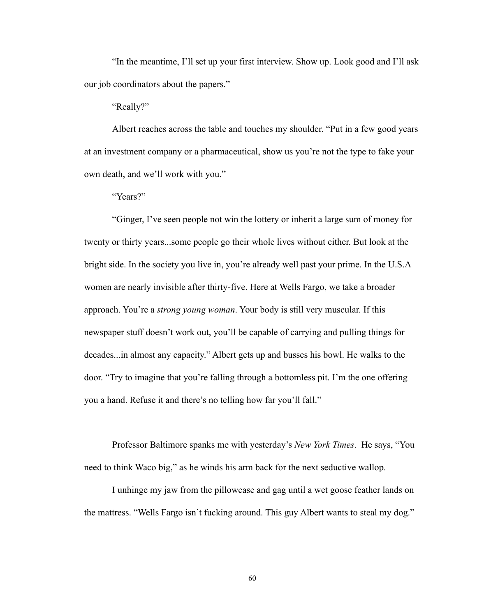"In the meantime, I'll set up your first interview. Show up. Look good and I'll ask our job coordinators about the papers."

"Really?"

Albert reaches across the table and touches my shoulder. "Put in a few good years at an investment company or a pharmaceutical, show us you're not the type to fake your own death, and we'll work with you."

"Years?"

"Ginger, I've seen people not win the lottery or inherit a large sum of money for twenty or thirty years...some people go their whole lives without either. But look at the bright side. In the society you live in, you're already well past your prime. In the U.S.A women are nearly invisible after thirty-five. Here at Wells Fargo, we take a broader approach. You're a *strong young woman*. Your body is still very muscular. If this newspaper stuff doesn't work out, you'll be capable of carrying and pulling things for decades...in almost any capacity." Albert gets up and busses his bowl. He walks to the door. "Try to imagine that you're falling through a bottomless pit. I'm the one offering you a hand. Refuse it and there's no telling how far you'll fall."

Professor Baltimore spanks me with yesterday's *New York Times*. He says, "You need to think Waco big," as he winds his arm back for the next seductive wallop.

I unhinge my jaw from the pillowcase and gag until a wet goose feather lands on the mattress. "Wells Fargo isn't fucking around. This guy Albert wants to steal my dog."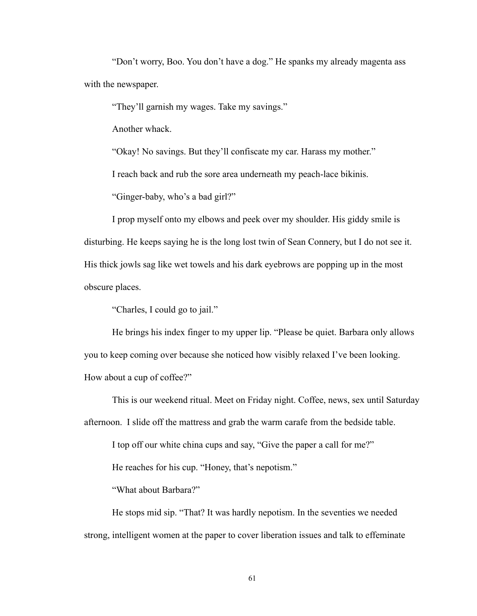"Don't worry, Boo. You don't have a dog." He spanks my already magenta ass with the newspaper.

"They'll garnish my wages. Take my savings."

Another whack.

"Okay! No savings. But they'll confiscate my car. Harass my mother."

I reach back and rub the sore area underneath my peach-lace bikinis.

"Ginger-baby, who's a bad girl?"

I prop myself onto my elbows and peek over my shoulder. His giddy smile is disturbing. He keeps saying he is the long lost twin of Sean Connery, but I do not see it. His thick jowls sag like wet towels and his dark eyebrows are popping up in the most obscure places.

"Charles, I could go to jail."

He brings his index finger to my upper lip. "Please be quiet. Barbara only allows you to keep coming over because she noticed how visibly relaxed I've been looking. How about a cup of coffee?"

This is our weekend ritual. Meet on Friday night. Coffee, news, sex until Saturday afternoon. I slide off the mattress and grab the warm carafe from the bedside table.

I top off our white china cups and say, "Give the paper a call for me?"

He reaches for his cup. "Honey, that's nepotism."

"What about Barbara?"

He stops mid sip. "That? It was hardly nepotism. In the seventies we needed strong, intelligent women at the paper to cover liberation issues and talk to effeminate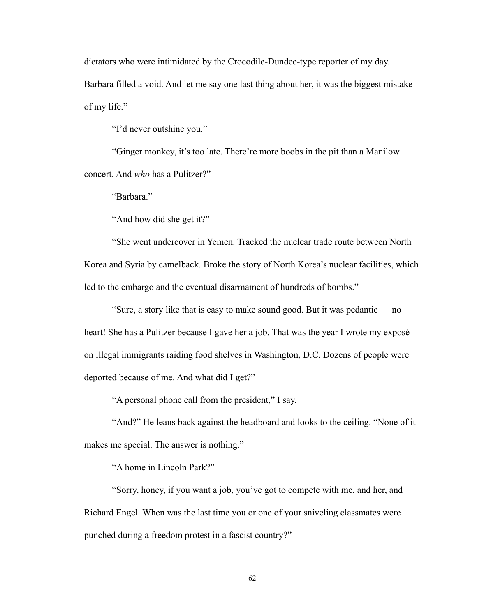dictators who were intimidated by the Crocodile-Dundee-type reporter of my day. Barbara filled a void. And let me say one last thing about her, it was the biggest mistake of my life."

"I'd never outshine you."

"Ginger monkey, it's too late. There're more boobs in the pit than a Manilow concert. And *who* has a Pulitzer?"

"Barbara."

"And how did she get it?"

"She went undercover in Yemen. Tracked the nuclear trade route between North Korea and Syria by camelback. Broke the story of North Korea's nuclear facilities, which led to the embargo and the eventual disarmament of hundreds of bombs."

"Sure, a story like that is easy to make sound good. But it was pedantic — no heart! She has a Pulitzer because I gave her a job. That was the year I wrote my exposé on illegal immigrants raiding food shelves in Washington, D.C. Dozens of people were deported because of me. And what did I get?"

"A personal phone call from the president," I say.

"And?" He leans back against the headboard and looks to the ceiling. "None of it makes me special. The answer is nothing."

"A home in Lincoln Park?"

"Sorry, honey, if you want a job, you've got to compete with me, and her, and Richard Engel. When was the last time you or one of your sniveling classmates were punched during a freedom protest in a fascist country?"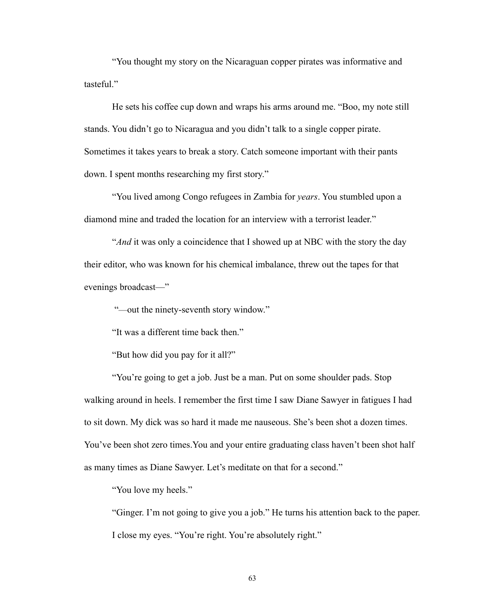"You thought my story on the Nicaraguan copper pirates was informative and tasteful."

He sets his coffee cup down and wraps his arms around me. "Boo, my note still stands. You didn't go to Nicaragua and you didn't talk to a single copper pirate. Sometimes it takes years to break a story. Catch someone important with their pants down. I spent months researching my first story."

"You lived among Congo refugees in Zambia for *years*. You stumbled upon a diamond mine and traded the location for an interview with a terrorist leader."

"*And* it was only a coincidence that I showed up at NBC with the story the day their editor, who was known for his chemical imbalance, threw out the tapes for that evenings broadcast—"

"—out the ninety-seventh story window."

"It was a different time back then."

"But how did you pay for it all?"

"You're going to get a job. Just be a man. Put on some shoulder pads. Stop walking around in heels. I remember the first time I saw Diane Sawyer in fatigues I had to sit down. My dick was so hard it made me nauseous. She's been shot a dozen times. You've been shot zero times.You and your entire graduating class haven't been shot half as many times as Diane Sawyer. Let's meditate on that for a second."

"You love my heels."

"Ginger. I'm not going to give you a job." He turns his attention back to the paper. I close my eyes. "You're right. You're absolutely right."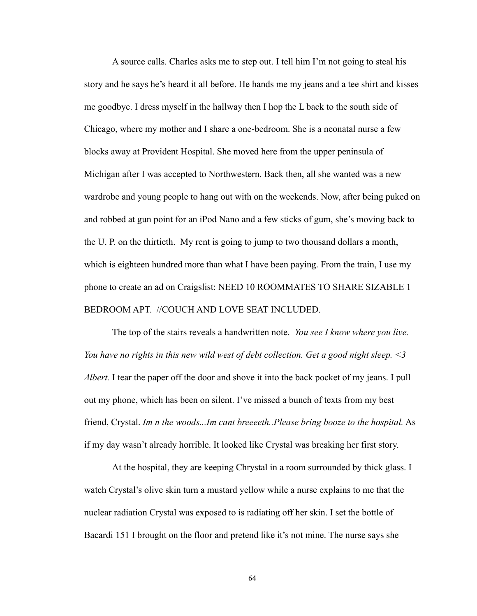A source calls. Charles asks me to step out. I tell him I'm not going to steal his story and he says he's heard it all before. He hands me my jeans and a tee shirt and kisses me goodbye. I dress myself in the hallway then I hop the L back to the south side of Chicago, where my mother and I share a one-bedroom. She is a neonatal nurse a few blocks away at Provident Hospital. She moved here from the upper peninsula of Michigan after I was accepted to Northwestern. Back then, all she wanted was a new wardrobe and young people to hang out with on the weekends. Now, after being puked on and robbed at gun point for an iPod Nano and a few sticks of gum, she's moving back to the U. P. on the thirtieth. My rent is going to jump to two thousand dollars a month, which is eighteen hundred more than what I have been paying. From the train, I use my phone to create an ad on Craigslist: NEED 10 ROOMMATES TO SHARE SIZABLE 1 BEDROOM APT. //COUCH AND LOVE SEAT INCLUDED.

The top of the stairs reveals a handwritten note. *You see I know where you live. You have no rights in this new wild west of debt collection. Get a good night sleep. <3 Albert.* I tear the paper off the door and shove it into the back pocket of my jeans. I pull out my phone, which has been on silent. I've missed a bunch of texts from my best friend, Crystal. *Im n the woods...Im cant breeeeth..Please bring booze to the hospital.* As if my day wasn't already horrible. It looked like Crystal was breaking her first story.

At the hospital, they are keeping Chrystal in a room surrounded by thick glass. I watch Crystal's olive skin turn a mustard yellow while a nurse explains to me that the nuclear radiation Crystal was exposed to is radiating off her skin. I set the bottle of Bacardi 151 I brought on the floor and pretend like it's not mine. The nurse says she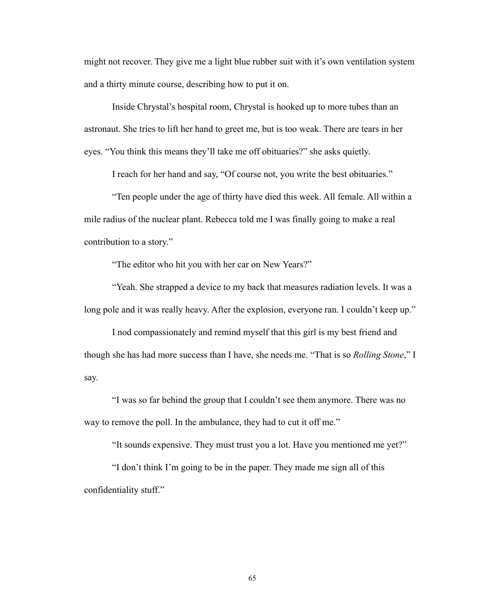might not recover. They give me a light blue rubber suit with it's own ventilation system and a thirty minute course, describing how to put it on.

Inside Chrystal's hospital room, Chrystal is hooked up to more tubes than an astronaut. She tries to lift her hand to greet me, but is too weak. There are tears in her eyes. "You think this means they'll take me off obituaries?" she asks quietly.

I reach for her hand and say, "Of course not, you write the best obituaries."

"Ten people under the age of thirty have died this week. All female. All within a mile radius of the nuclear plant. Rebecca told me I was finally going to make a real contribution to a story."

"The editor who hit you with her car on New Years?"

"Yeah. She strapped a device to my back that measures radiation levels. It was a long pole and it was really heavy. After the explosion, everyone ran. I couldn't keep up."

 I nod compassionately and remind myself that this girl is my best friend and though she has had more success than I have, she needs me. "That is so *Rolling Stone*," I say.

"I was so far behind the group that I couldn't see them anymore. There was no way to remove the poll. In the ambulance, they had to cut it off me."

"It sounds expensive. They must trust you a lot. Have you mentioned me yet?"

"I don't think I'm going to be in the paper. They made me sign all of this confidentiality stuff."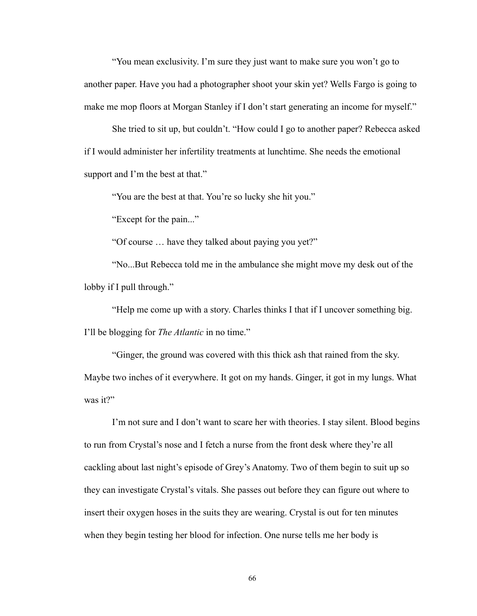"You mean exclusivity. I'm sure they just want to make sure you won't go to another paper. Have you had a photographer shoot your skin yet? Wells Fargo is going to make me mop floors at Morgan Stanley if I don't start generating an income for myself."

She tried to sit up, but couldn't. "How could I go to another paper? Rebecca asked if I would administer her infertility treatments at lunchtime. She needs the emotional support and I'm the best at that."

"You are the best at that. You're so lucky she hit you."

"Except for the pain..."

"Of course … have they talked about paying you yet?"

"No...But Rebecca told me in the ambulance she might move my desk out of the lobby if I pull through."

"Help me come up with a story. Charles thinks I that if I uncover something big. I'll be blogging for *The Atlantic* in no time."

"Ginger, the ground was covered with this thick ash that rained from the sky. Maybe two inches of it everywhere. It got on my hands. Ginger, it got in my lungs. What was it?"

I'm not sure and I don't want to scare her with theories. I stay silent. Blood begins to run from Crystal's nose and I fetch a nurse from the front desk where they're all cackling about last night's episode of Grey's Anatomy. Two of them begin to suit up so they can investigate Crystal's vitals. She passes out before they can figure out where to insert their oxygen hoses in the suits they are wearing. Crystal is out for ten minutes when they begin testing her blood for infection. One nurse tells me her body is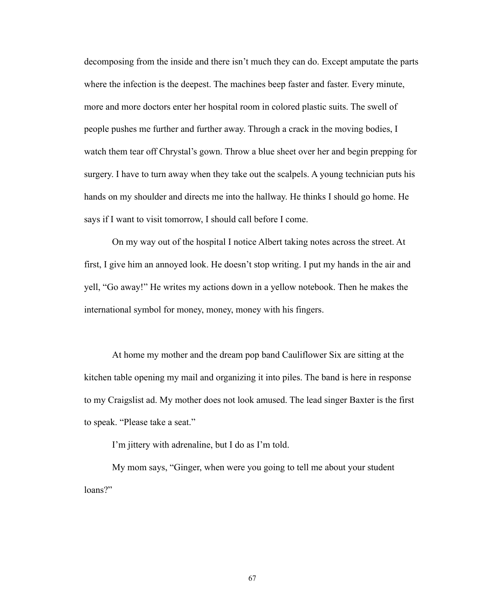decomposing from the inside and there isn't much they can do. Except amputate the parts where the infection is the deepest. The machines beep faster and faster. Every minute, more and more doctors enter her hospital room in colored plastic suits. The swell of people pushes me further and further away. Through a crack in the moving bodies, I watch them tear off Chrystal's gown. Throw a blue sheet over her and begin prepping for surgery. I have to turn away when they take out the scalpels. A young technician puts his hands on my shoulder and directs me into the hallway. He thinks I should go home. He says if I want to visit tomorrow, I should call before I come.

On my way out of the hospital I notice Albert taking notes across the street. At first, I give him an annoyed look. He doesn't stop writing. I put my hands in the air and yell, "Go away!" He writes my actions down in a yellow notebook. Then he makes the international symbol for money, money, money with his fingers.

At home my mother and the dream pop band Cauliflower Six are sitting at the kitchen table opening my mail and organizing it into piles. The band is here in response to my Craigslist ad. My mother does not look amused. The lead singer Baxter is the first to speak. "Please take a seat."

I'm jittery with adrenaline, but I do as I'm told.

My mom says, "Ginger, when were you going to tell me about your student loans?"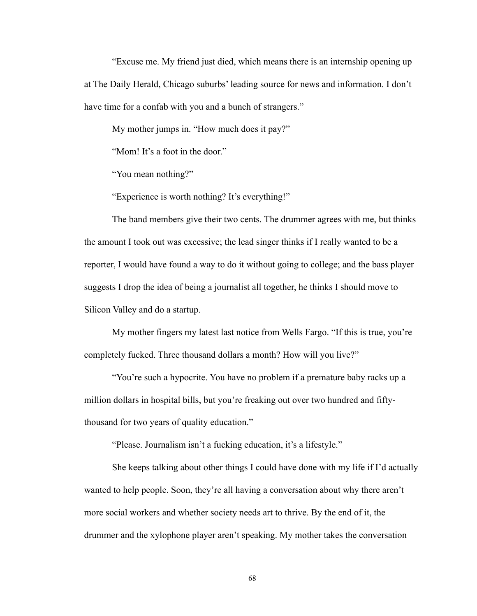"Excuse me. My friend just died, which means there is an internship opening up at The Daily Herald, Chicago suburbs' leading source for news and information. I don't have time for a confab with you and a bunch of strangers."

My mother jumps in. "How much does it pay?"

"Mom! It's a foot in the door."

"You mean nothing?"

"Experience is worth nothing? It's everything!"

The band members give their two cents. The drummer agrees with me, but thinks the amount I took out was excessive; the lead singer thinks if I really wanted to be a reporter, I would have found a way to do it without going to college; and the bass player suggests I drop the idea of being a journalist all together, he thinks I should move to Silicon Valley and do a startup.

My mother fingers my latest last notice from Wells Fargo. "If this is true, you're completely fucked. Three thousand dollars a month? How will you live?"

"You're such a hypocrite. You have no problem if a premature baby racks up a million dollars in hospital bills, but you're freaking out over two hundred and fiftythousand for two years of quality education."

"Please. Journalism isn't a fucking education, it's a lifestyle."

She keeps talking about other things I could have done with my life if I'd actually wanted to help people. Soon, they're all having a conversation about why there aren't more social workers and whether society needs art to thrive. By the end of it, the drummer and the xylophone player aren't speaking. My mother takes the conversation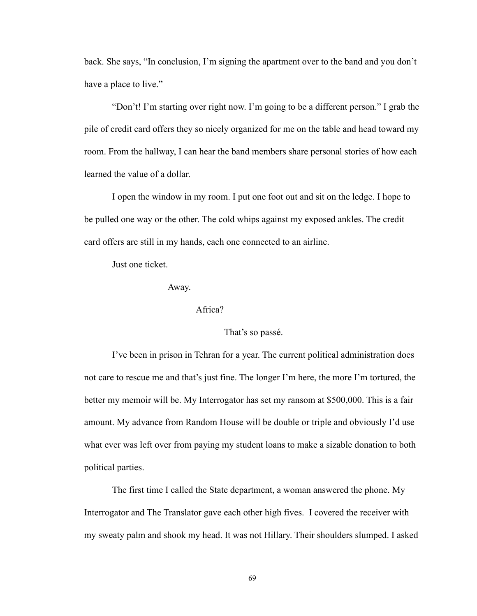back. She says, "In conclusion, I'm signing the apartment over to the band and you don't have a place to live."

"Don't! I'm starting over right now. I'm going to be a different person." I grab the pile of credit card offers they so nicely organized for me on the table and head toward my room. From the hallway, I can hear the band members share personal stories of how each learned the value of a dollar.

I open the window in my room. I put one foot out and sit on the ledge. I hope to be pulled one way or the other. The cold whips against my exposed ankles. The credit card offers are still in my hands, each one connected to an airline.

Just one ticket.

Away.

### Africa?

#### That's so passé.

I've been in prison in Tehran for a year. The current political administration does not care to rescue me and that's just fine. The longer I'm here, the more I'm tortured, the better my memoir will be. My Interrogator has set my ransom at \$500,000. This is a fair amount. My advance from Random House will be double or triple and obviously I'd use what ever was left over from paying my student loans to make a sizable donation to both political parties.

The first time I called the State department, a woman answered the phone. My Interrogator and The Translator gave each other high fives. I covered the receiver with my sweaty palm and shook my head. It was not Hillary. Their shoulders slumped. I asked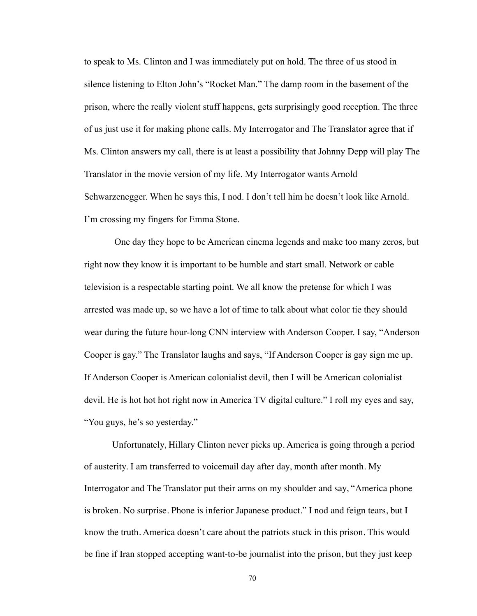to speak to Ms. Clinton and I was immediately put on hold. The three of us stood in silence listening to Elton John's "Rocket Man." The damp room in the basement of the prison, where the really violent stuff happens, gets surprisingly good reception. The three of us just use it for making phone calls. My Interrogator and The Translator agree that if Ms. Clinton answers my call, there is at least a possibility that Johnny Depp will play The Translator in the movie version of my life. My Interrogator wants Arnold Schwarzenegger. When he says this, I nod. I don't tell him he doesn't look like Arnold. I'm crossing my fingers for Emma Stone.

 One day they hope to be American cinema legends and make too many zeros, but right now they know it is important to be humble and start small. Network or cable television is a respectable starting point. We all know the pretense for which I was arrested was made up, so we have a lot of time to talk about what color tie they should wear during the future hour-long CNN interview with Anderson Cooper. I say, "Anderson Cooper is gay." The Translator laughs and says, "If Anderson Cooper is gay sign me up. If Anderson Cooper is American colonialist devil, then I will be American colonialist devil. He is hot hot hot right now in America TV digital culture." I roll my eyes and say, "You guys, he's so yesterday."

Unfortunately, Hillary Clinton never picks up. America is going through a period of austerity. I am transferred to voicemail day after day, month after month. My Interrogator and The Translator put their arms on my shoulder and say, "America phone is broken. No surprise. Phone is inferior Japanese product." I nod and feign tears, but I know the truth. America doesn't care about the patriots stuck in this prison. This would be fine if Iran stopped accepting want-to-be journalist into the prison, but they just keep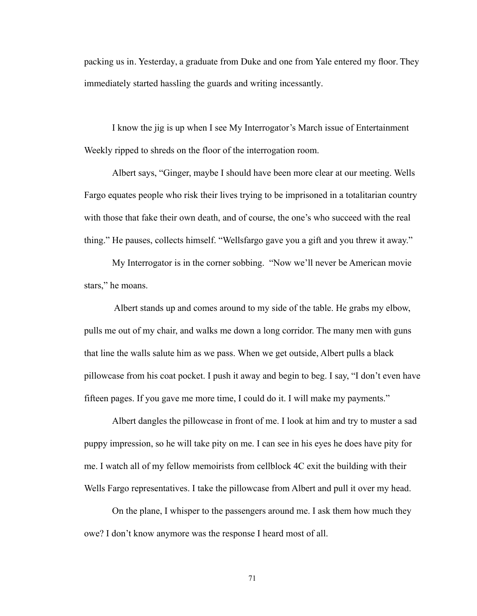packing us in. Yesterday, a graduate from Duke and one from Yale entered my floor. They immediately started hassling the guards and writing incessantly.

I know the jig is up when I see My Interrogator's March issue of Entertainment Weekly ripped to shreds on the floor of the interrogation room.

Albert says, "Ginger, maybe I should have been more clear at our meeting. Wells Fargo equates people who risk their lives trying to be imprisoned in a totalitarian country with those that fake their own death, and of course, the one's who succeed with the real thing." He pauses, collects himself. "Wellsfargo gave you a gift and you threw it away."

My Interrogator is in the corner sobbing. "Now we'll never be American movie stars," he moans.

 Albert stands up and comes around to my side of the table. He grabs my elbow, pulls me out of my chair, and walks me down a long corridor. The many men with guns that line the walls salute him as we pass. When we get outside, Albert pulls a black pillowcase from his coat pocket. I push it away and begin to beg. I say, "I don't even have fifteen pages. If you gave me more time, I could do it. I will make my payments."

Albert dangles the pillowcase in front of me. I look at him and try to muster a sad puppy impression, so he will take pity on me. I can see in his eyes he does have pity for me. I watch all of my fellow memoirists from cellblock 4C exit the building with their Wells Fargo representatives. I take the pillowcase from Albert and pull it over my head.

On the plane, I whisper to the passengers around me. I ask them how much they owe? I don't know anymore was the response I heard most of all.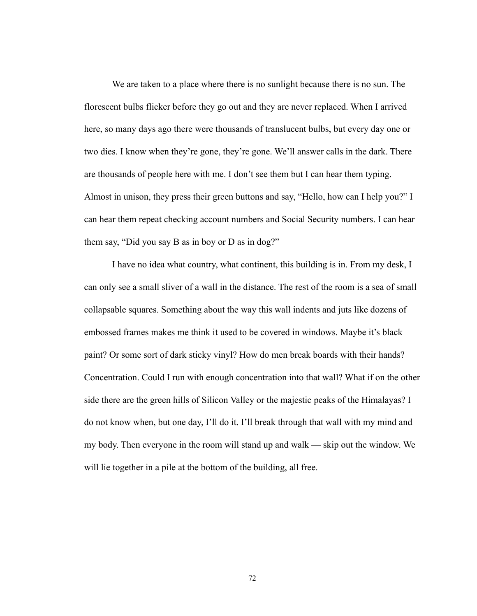We are taken to a place where there is no sunlight because there is no sun. The florescent bulbs flicker before they go out and they are never replaced. When I arrived here, so many days ago there were thousands of translucent bulbs, but every day one or two dies. I know when they're gone, they're gone. We'll answer calls in the dark. There are thousands of people here with me. I don't see them but I can hear them typing. Almost in unison, they press their green buttons and say, "Hello, how can I help you?" I can hear them repeat checking account numbers and Social Security numbers. I can hear them say, "Did you say B as in boy or D as in dog?"

I have no idea what country, what continent, this building is in. From my desk, I can only see a small sliver of a wall in the distance. The rest of the room is a sea of small collapsable squares. Something about the way this wall indents and juts like dozens of embossed frames makes me think it used to be covered in windows. Maybe it's black paint? Or some sort of dark sticky vinyl? How do men break boards with their hands? Concentration. Could I run with enough concentration into that wall? What if on the other side there are the green hills of Silicon Valley or the majestic peaks of the Himalayas? I do not know when, but one day, I'll do it. I'll break through that wall with my mind and my body. Then everyone in the room will stand up and walk — skip out the window. We will lie together in a pile at the bottom of the building, all free.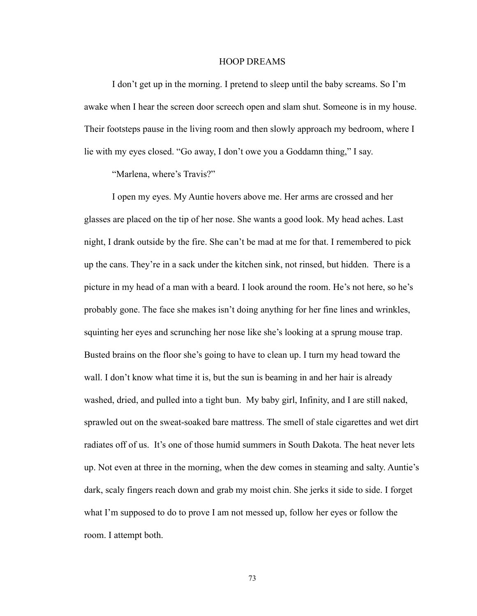#### HOOP DREAMS

I don't get up in the morning. I pretend to sleep until the baby screams. So I'm awake when I hear the screen door screech open and slam shut. Someone is in my house. Their footsteps pause in the living room and then slowly approach my bedroom, where I lie with my eyes closed. "Go away, I don't owe you a Goddamn thing," I say.

"Marlena, where's Travis?"

 I open my eyes. My Auntie hovers above me. Her arms are crossed and her glasses are placed on the tip of her nose. She wants a good look. My head aches. Last night, I drank outside by the fire. She can't be mad at me for that. I remembered to pick up the cans. They're in a sack under the kitchen sink, not rinsed, but hidden. There is a picture in my head of a man with a beard. I look around the room. He's not here, so he's probably gone. The face she makes isn't doing anything for her fine lines and wrinkles, squinting her eyes and scrunching her nose like she's looking at a sprung mouse trap. Busted brains on the floor she's going to have to clean up. I turn my head toward the wall. I don't know what time it is, but the sun is beaming in and her hair is already washed, dried, and pulled into a tight bun. My baby girl, Infinity, and I are still naked, sprawled out on the sweat-soaked bare mattress. The smell of stale cigarettes and wet dirt radiates off of us. It's one of those humid summers in South Dakota. The heat never lets up. Not even at three in the morning, when the dew comes in steaming and salty. Auntie's dark, scaly fingers reach down and grab my moist chin. She jerks it side to side. I forget what I'm supposed to do to prove I am not messed up, follow her eyes or follow the room. I attempt both.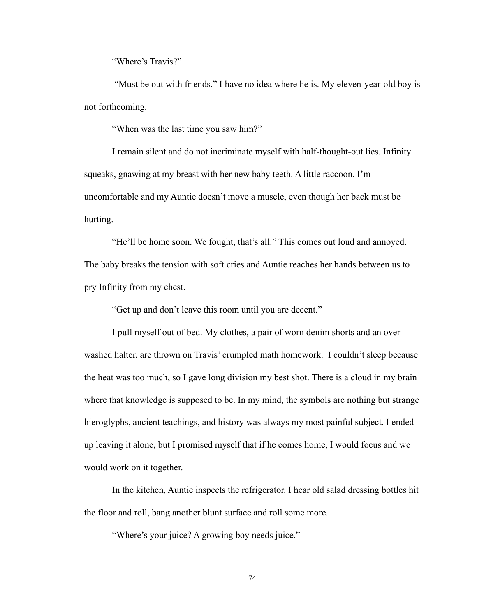"Where's Travis?"

 "Must be out with friends." I have no idea where he is. My eleven-year-old boy is not forthcoming.

"When was the last time you saw him?"

 I remain silent and do not incriminate myself with half-thought-out lies. Infinity squeaks, gnawing at my breast with her new baby teeth. A little raccoon. I'm uncomfortable and my Auntie doesn't move a muscle, even though her back must be hurting.

 "He'll be home soon. We fought, that's all." This comes out loud and annoyed. The baby breaks the tension with soft cries and Auntie reaches her hands between us to pry Infinity from my chest.

"Get up and don't leave this room until you are decent."

 I pull myself out of bed. My clothes, a pair of worn denim shorts and an overwashed halter, are thrown on Travis' crumpled math homework. I couldn't sleep because the heat was too much, so I gave long division my best shot. There is a cloud in my brain where that knowledge is supposed to be. In my mind, the symbols are nothing but strange hieroglyphs, ancient teachings, and history was always my most painful subject. I ended up leaving it alone, but I promised myself that if he comes home, I would focus and we would work on it together.

In the kitchen, Auntie inspects the refrigerator. I hear old salad dressing bottles hit the floor and roll, bang another blunt surface and roll some more.

"Where's your juice? A growing boy needs juice."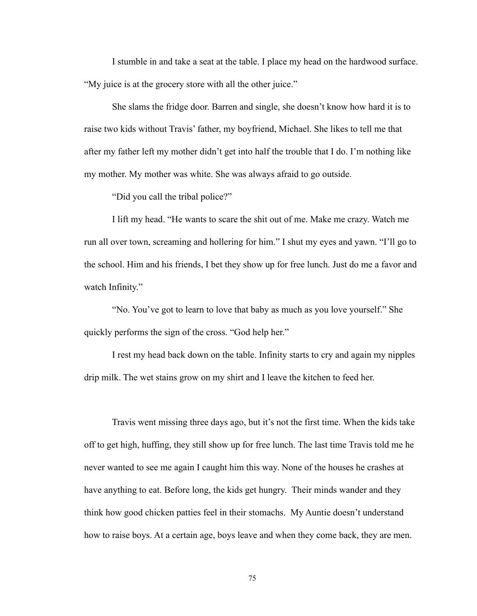I stumble in and take a seat at the table. I place my head on the hardwood surface. "My juice is at the grocery store with all the other juice."

 She slams the fridge door. Barren and single, she doesn't know how hard it is to raise two kids without Travis' father, my boyfriend, Michael. She likes to tell me that after my father left my mother didn't get into half the trouble that I do. I'm nothing like my mother. My mother was white. She was always afraid to go outside.

"Did you call the tribal police?"

 I lift my head. "He wants to scare the shit out of me. Make me crazy. Watch me run all over town, screaming and hollering for him." I shut my eyes and yawn. "I'll go to the school. Him and his friends, I bet they show up for free lunch. Just do me a favor and watch Infinity."

 "No. You've got to learn to love that baby as much as you love yourself." She quickly performs the sign of the cross. "God help her."

 I rest my head back down on the table. Infinity starts to cry and again my nipples drip milk. The wet stains grow on my shirt and I leave the kitchen to feed her.

 Travis went missing three days ago, but it's not the first time. When the kids take off to get high, huffing, they still show up for free lunch. The last time Travis told me he never wanted to see me again I caught him this way. None of the houses he crashes at have anything to eat. Before long, the kids get hungry. Their minds wander and they think how good chicken patties feel in their stomachs. My Auntie doesn't understand how to raise boys. At a certain age, boys leave and when they come back, they are men.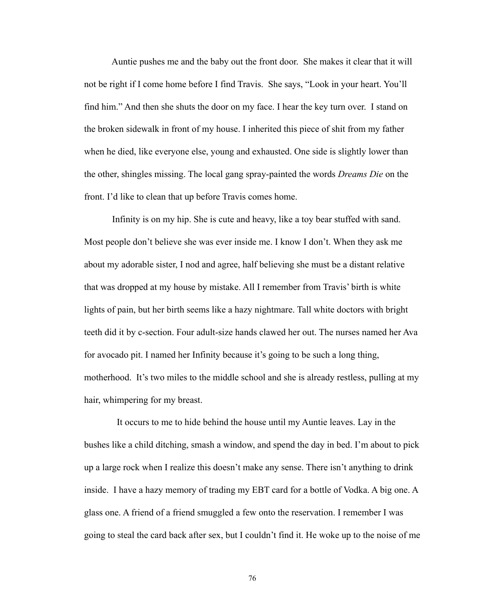Auntie pushes me and the baby out the front door. She makes it clear that it will not be right if I come home before I find Travis. She says, "Look in your heart. You'll find him." And then she shuts the door on my face. I hear the key turn over. I stand on the broken sidewalk in front of my house. I inherited this piece of shit from my father when he died, like everyone else, young and exhausted. One side is slightly lower than the other, shingles missing. The local gang spray-painted the words *Dreams Die* on the front. I'd like to clean that up before Travis comes home.

 Infinity is on my hip. She is cute and heavy, like a toy bear stuffed with sand. Most people don't believe she was ever inside me. I know I don't. When they ask me about my adorable sister, I nod and agree, half believing she must be a distant relative that was dropped at my house by mistake. All I remember from Travis' birth is white lights of pain, but her birth seems like a hazy nightmare. Tall white doctors with bright teeth did it by c-section. Four adult-size hands clawed her out. The nurses named her Ava for avocado pit. I named her Infinity because it's going to be such a long thing, motherhood. It's two miles to the middle school and she is already restless, pulling at my hair, whimpering for my breast.

 It occurs to me to hide behind the house until my Auntie leaves. Lay in the bushes like a child ditching, smash a window, and spend the day in bed. I'm about to pick up a large rock when I realize this doesn't make any sense. There isn't anything to drink inside. I have a hazy memory of trading my EBT card for a bottle of Vodka. A big one. A glass one. A friend of a friend smuggled a few onto the reservation. I remember I was going to steal the card back after sex, but I couldn't find it. He woke up to the noise of me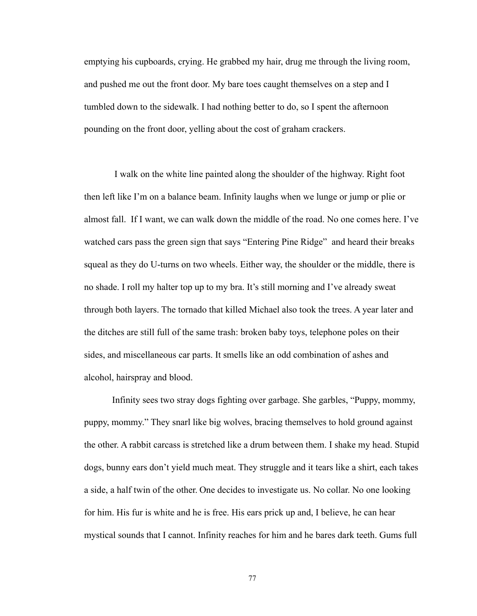emptying his cupboards, crying. He grabbed my hair, drug me through the living room, and pushed me out the front door. My bare toes caught themselves on a step and I tumbled down to the sidewalk. I had nothing better to do, so I spent the afternoon pounding on the front door, yelling about the cost of graham crackers.

 I walk on the white line painted along the shoulder of the highway. Right foot then left like I'm on a balance beam. Infinity laughs when we lunge or jump or plie or almost fall. If I want, we can walk down the middle of the road. No one comes here. I've watched cars pass the green sign that says "Entering Pine Ridge" and heard their breaks squeal as they do U-turns on two wheels. Either way, the shoulder or the middle, there is no shade. I roll my halter top up to my bra. It's still morning and I've already sweat through both layers. The tornado that killed Michael also took the trees. A year later and the ditches are still full of the same trash: broken baby toys, telephone poles on their sides, and miscellaneous car parts. It smells like an odd combination of ashes and alcohol, hairspray and blood.

 Infinity sees two stray dogs fighting over garbage. She garbles, "Puppy, mommy, puppy, mommy." They snarl like big wolves, bracing themselves to hold ground against the other. A rabbit carcass is stretched like a drum between them. I shake my head. Stupid dogs, bunny ears don't yield much meat. They struggle and it tears like a shirt, each takes a side, a half twin of the other. One decides to investigate us. No collar. No one looking for him. His fur is white and he is free. His ears prick up and, I believe, he can hear mystical sounds that I cannot. Infinity reaches for him and he bares dark teeth. Gums full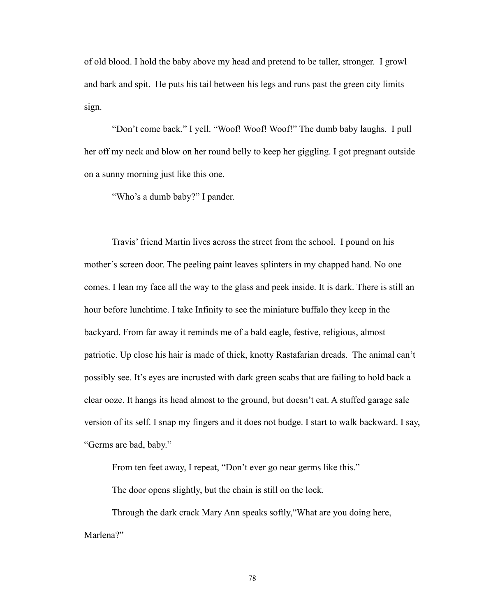of old blood. I hold the baby above my head and pretend to be taller, stronger. I growl and bark and spit. He puts his tail between his legs and runs past the green city limits sign.

 "Don't come back." I yell. "Woof! Woof! Woof!" The dumb baby laughs. I pull her off my neck and blow on her round belly to keep her giggling. I got pregnant outside on a sunny morning just like this one.

"Who's a dumb baby?" I pander.

 Travis' friend Martin lives across the street from the school. I pound on his mother's screen door. The peeling paint leaves splinters in my chapped hand. No one comes. I lean my face all the way to the glass and peek inside. It is dark. There is still an hour before lunchtime. I take Infinity to see the miniature buffalo they keep in the backyard. From far away it reminds me of a bald eagle, festive, religious, almost patriotic. Up close his hair is made of thick, knotty Rastafarian dreads. The animal can't possibly see. It's eyes are incrusted with dark green scabs that are failing to hold back a clear ooze. It hangs its head almost to the ground, but doesn't eat. A stuffed garage sale version of its self. I snap my fingers and it does not budge. I start to walk backward. I say, "Germs are bad, baby."

From ten feet away, I repeat, "Don't ever go near germs like this."

The door opens slightly, but the chain is still on the lock.

 Through the dark crack Mary Ann speaks softly,"What are you doing here, Marlena?"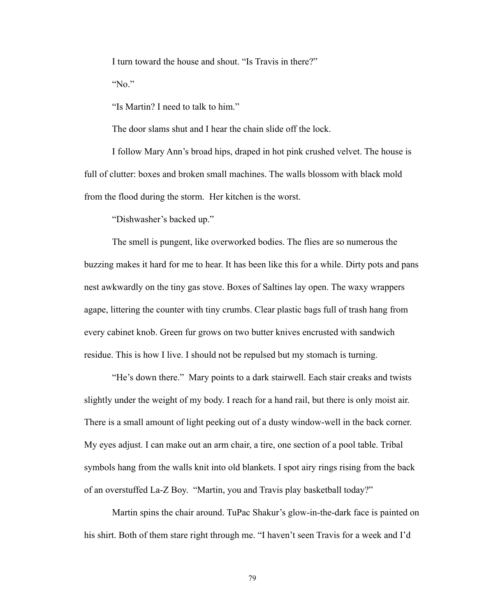I turn toward the house and shout. "Is Travis in there?"

"No."

"Is Martin? I need to talk to him."

The door slams shut and I hear the chain slide off the lock.

 I follow Mary Ann's broad hips, draped in hot pink crushed velvet. The house is full of clutter: boxes and broken small machines. The walls blossom with black mold from the flood during the storm. Her kitchen is the worst.

"Dishwasher's backed up."

 The smell is pungent, like overworked bodies. The flies are so numerous the buzzing makes it hard for me to hear. It has been like this for a while. Dirty pots and pans nest awkwardly on the tiny gas stove. Boxes of Saltines lay open. The waxy wrappers agape, littering the counter with tiny crumbs. Clear plastic bags full of trash hang from every cabinet knob. Green fur grows on two butter knives encrusted with sandwich residue. This is how I live. I should not be repulsed but my stomach is turning.

 "He's down there." Mary points to a dark stairwell. Each stair creaks and twists slightly under the weight of my body. I reach for a hand rail, but there is only moist air. There is a small amount of light peeking out of a dusty window-well in the back corner. My eyes adjust. I can make out an arm chair, a tire, one section of a pool table. Tribal symbols hang from the walls knit into old blankets. I spot airy rings rising from the back of an overstuffed La-Z Boy. "Martin, you and Travis play basketball today?"

 Martin spins the chair around. TuPac Shakur's glow-in-the-dark face is painted on his shirt. Both of them stare right through me. "I haven't seen Travis for a week and I'd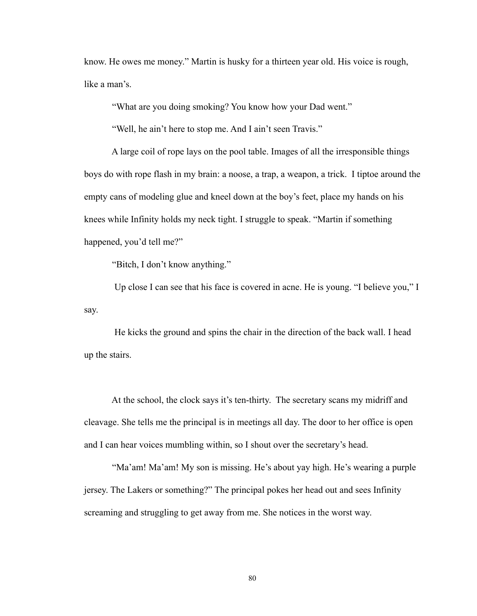know. He owes me money." Martin is husky for a thirteen year old. His voice is rough, like a man's.

"What are you doing smoking? You know how your Dad went."

"Well, he ain't here to stop me. And I ain't seen Travis."

 A large coil of rope lays on the pool table. Images of all the irresponsible things boys do with rope flash in my brain: a noose, a trap, a weapon, a trick. I tiptoe around the empty cans of modeling glue and kneel down at the boy's feet, place my hands on his knees while Infinity holds my neck tight. I struggle to speak. "Martin if something happened, you'd tell me?"

"Bitch, I don't know anything."

 Up close I can see that his face is covered in acne. He is young. "I believe you," I say.

 He kicks the ground and spins the chair in the direction of the back wall. I head up the stairs.

 At the school, the clock says it's ten-thirty. The secretary scans my midriff and cleavage. She tells me the principal is in meetings all day. The door to her office is open and I can hear voices mumbling within, so I shout over the secretary's head.

 "Ma'am! Ma'am! My son is missing. He's about yay high. He's wearing a purple jersey. The Lakers or something?" The principal pokes her head out and sees Infinity screaming and struggling to get away from me. She notices in the worst way.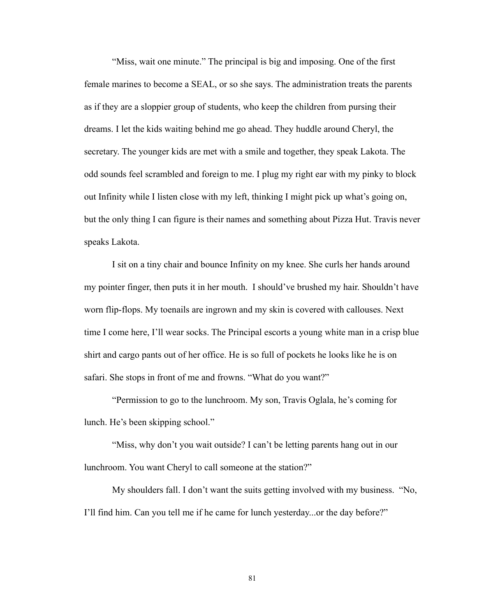"Miss, wait one minute." The principal is big and imposing. One of the first female marines to become a SEAL, or so she says. The administration treats the parents as if they are a sloppier group of students, who keep the children from pursing their dreams. I let the kids waiting behind me go ahead. They huddle around Cheryl, the secretary. The younger kids are met with a smile and together, they speak Lakota. The odd sounds feel scrambled and foreign to me. I plug my right ear with my pinky to block out Infinity while I listen close with my left, thinking I might pick up what's going on, but the only thing I can figure is their names and something about Pizza Hut. Travis never speaks Lakota.

 I sit on a tiny chair and bounce Infinity on my knee. She curls her hands around my pointer finger, then puts it in her mouth. I should've brushed my hair. Shouldn't have worn flip-flops. My toenails are ingrown and my skin is covered with callouses. Next time I come here, I'll wear socks. The Principal escorts a young white man in a crisp blue shirt and cargo pants out of her office. He is so full of pockets he looks like he is on safari. She stops in front of me and frowns. "What do you want?"

 "Permission to go to the lunchroom. My son, Travis Oglala, he's coming for lunch. He's been skipping school."

 "Miss, why don't you wait outside? I can't be letting parents hang out in our lunchroom. You want Cheryl to call someone at the station?"

 My shoulders fall. I don't want the suits getting involved with my business. "No, I'll find him. Can you tell me if he came for lunch yesterday...or the day before?"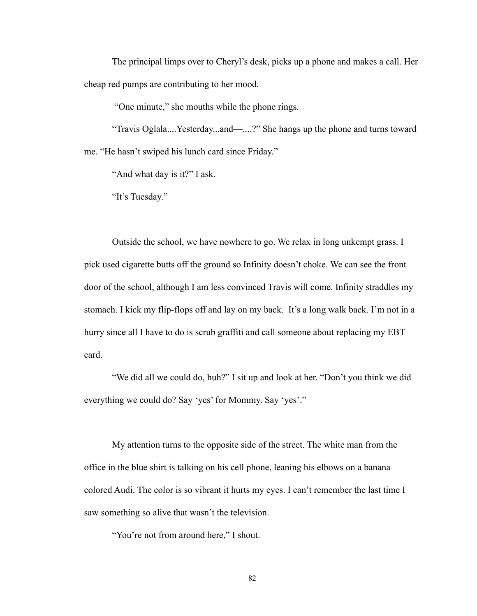The principal limps over to Cheryl's desk, picks up a phone and makes a call. Her cheap red pumps are contributing to her mood.

"One minute," she mouths while the phone rings.

 "Travis Oglala....Yesterday...and—....?" She hangs up the phone and turns toward me. "He hasn't swiped his lunch card since Friday."

"And what day is it?" I ask.

"It's Tuesday."

 Outside the school, we have nowhere to go. We relax in long unkempt grass. I pick used cigarette butts off the ground so Infinity doesn't choke. We can see the front door of the school, although I am less convinced Travis will come. Infinity straddles my stomach. I kick my flip-flops off and lay on my back. It's a long walk back. I'm not in a hurry since all I have to do is scrub graffiti and call someone about replacing my EBT card.

 "We did all we could do, huh?" I sit up and look at her. "Don't you think we did everything we could do? Say 'yes' for Mommy. Say 'yes'."

 My attention turns to the opposite side of the street. The white man from the office in the blue shirt is talking on his cell phone, leaning his elbows on a banana colored Audi. The color is so vibrant it hurts my eyes. I can't remember the last time I saw something so alive that wasn't the television.

"You're not from around here," I shout.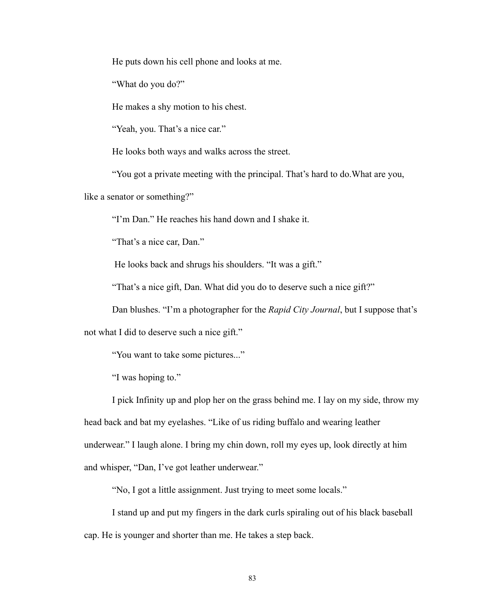He puts down his cell phone and looks at me.

"What do you do?"

He makes a shy motion to his chest.

"Yeah, you. That's a nice car."

He looks both ways and walks across the street.

"You got a private meeting with the principal. That's hard to do.What are you,

like a senator or something?"

"I'm Dan." He reaches his hand down and I shake it.

"That's a nice car, Dan."

He looks back and shrugs his shoulders. "It was a gift."

"That's a nice gift, Dan. What did you do to deserve such a nice gift?"

Dan blushes. "I'm a photographer for the *Rapid City Journal*, but I suppose that's

not what I did to deserve such a nice gift."

"You want to take some pictures..."

"I was hoping to."

 I pick Infinity up and plop her on the grass behind me. I lay on my side, throw my head back and bat my eyelashes. "Like of us riding buffalo and wearing leather underwear." I laugh alone. I bring my chin down, roll my eyes up, look directly at him and whisper, "Dan, I've got leather underwear."

"No, I got a little assignment. Just trying to meet some locals."

 I stand up and put my fingers in the dark curls spiraling out of his black baseball cap. He is younger and shorter than me. He takes a step back.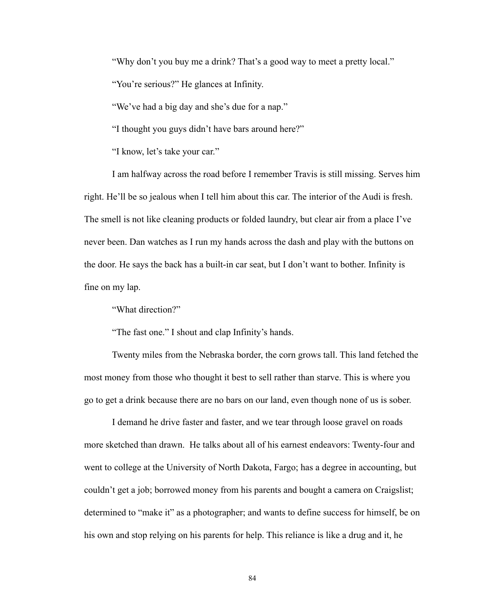"Why don't you buy me a drink? That's a good way to meet a pretty local."

"You're serious?" He glances at Infinity.

"We've had a big day and she's due for a nap."

"I thought you guys didn't have bars around here?"

"I know, let's take your car."

 I am halfway across the road before I remember Travis is still missing. Serves him right. He'll be so jealous when I tell him about this car. The interior of the Audi is fresh. The smell is not like cleaning products or folded laundry, but clear air from a place I've never been. Dan watches as I run my hands across the dash and play with the buttons on the door. He says the back has a built-in car seat, but I don't want to bother. Infinity is fine on my lap.

"What direction?"

"The fast one." I shout and clap Infinity's hands.

 Twenty miles from the Nebraska border, the corn grows tall. This land fetched the most money from those who thought it best to sell rather than starve. This is where you go to get a drink because there are no bars on our land, even though none of us is sober.

 I demand he drive faster and faster, and we tear through loose gravel on roads more sketched than drawn. He talks about all of his earnest endeavors: Twenty-four and went to college at the University of North Dakota, Fargo; has a degree in accounting, but couldn't get a job; borrowed money from his parents and bought a camera on Craigslist; determined to "make it" as a photographer; and wants to define success for himself, be on his own and stop relying on his parents for help. This reliance is like a drug and it, he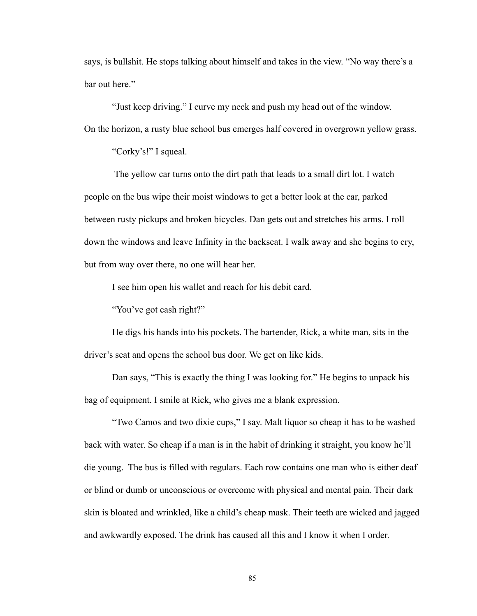says, is bullshit. He stops talking about himself and takes in the view. "No way there's a bar out here."

 "Just keep driving." I curve my neck and push my head out of the window. On the horizon, a rusty blue school bus emerges half covered in overgrown yellow grass.

"Corky's!" I squeal.

 The yellow car turns onto the dirt path that leads to a small dirt lot. I watch people on the bus wipe their moist windows to get a better look at the car, parked between rusty pickups and broken bicycles. Dan gets out and stretches his arms. I roll down the windows and leave Infinity in the backseat. I walk away and she begins to cry, but from way over there, no one will hear her.

I see him open his wallet and reach for his debit card.

"You've got cash right?"

 He digs his hands into his pockets. The bartender, Rick, a white man, sits in the driver's seat and opens the school bus door. We get on like kids.

 Dan says, "This is exactly the thing I was looking for." He begins to unpack his bag of equipment. I smile at Rick, who gives me a blank expression.

 "Two Camos and two dixie cups," I say. Malt liquor so cheap it has to be washed back with water. So cheap if a man is in the habit of drinking it straight, you know he'll die young. The bus is filled with regulars. Each row contains one man who is either deaf or blind or dumb or unconscious or overcome with physical and mental pain. Their dark skin is bloated and wrinkled, like a child's cheap mask. Their teeth are wicked and jagged and awkwardly exposed. The drink has caused all this and I know it when I order.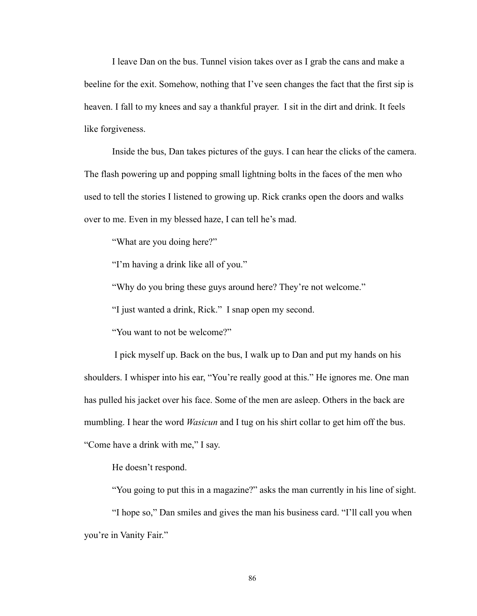I leave Dan on the bus. Tunnel vision takes over as I grab the cans and make a beeline for the exit. Somehow, nothing that I've seen changes the fact that the first sip is heaven. I fall to my knees and say a thankful prayer. I sit in the dirt and drink. It feels like forgiveness.

 Inside the bus, Dan takes pictures of the guys. I can hear the clicks of the camera. The flash powering up and popping small lightning bolts in the faces of the men who used to tell the stories I listened to growing up. Rick cranks open the doors and walks over to me. Even in my blessed haze, I can tell he's mad.

"What are you doing here?"

"I'm having a drink like all of you."

"Why do you bring these guys around here? They're not welcome."

"I just wanted a drink, Rick." I snap open my second.

"You want to not be welcome?"

 I pick myself up. Back on the bus, I walk up to Dan and put my hands on his shoulders. I whisper into his ear, "You're really good at this." He ignores me. One man has pulled his jacket over his face. Some of the men are asleep. Others in the back are mumbling. I hear the word *Wasicun* and I tug on his shirt collar to get him off the bus. "Come have a drink with me," I say.

He doesn't respond.

"You going to put this in a magazine?" asks the man currently in his line of sight.

 "I hope so," Dan smiles and gives the man his business card. "I'll call you when you're in Vanity Fair."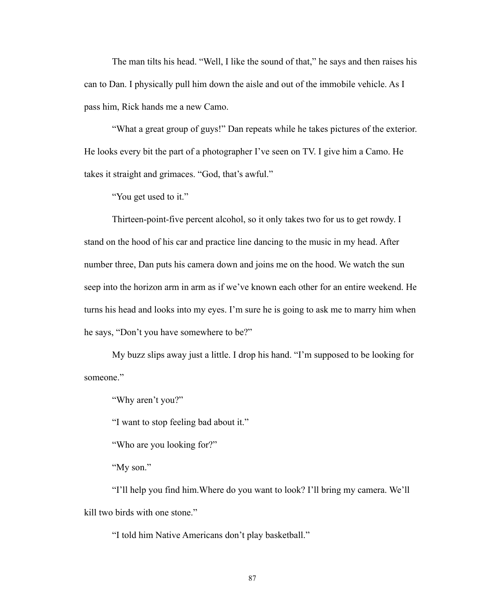The man tilts his head. "Well, I like the sound of that," he says and then raises his can to Dan. I physically pull him down the aisle and out of the immobile vehicle. As I pass him, Rick hands me a new Camo.

 "What a great group of guys!" Dan repeats while he takes pictures of the exterior. He looks every bit the part of a photographer I've seen on TV. I give him a Camo. He takes it straight and grimaces. "God, that's awful."

"You get used to it."

 Thirteen-point-five percent alcohol, so it only takes two for us to get rowdy. I stand on the hood of his car and practice line dancing to the music in my head. After number three, Dan puts his camera down and joins me on the hood. We watch the sun seep into the horizon arm in arm as if we've known each other for an entire weekend. He turns his head and looks into my eyes. I'm sure he is going to ask me to marry him when he says, "Don't you have somewhere to be?"

 My buzz slips away just a little. I drop his hand. "I'm supposed to be looking for someone."

"Why aren't you?"

"I want to stop feeling bad about it."

"Who are you looking for?"

"My son."

 "I'll help you find him.Where do you want to look? I'll bring my camera. We'll kill two birds with one stone."

"I told him Native Americans don't play basketball."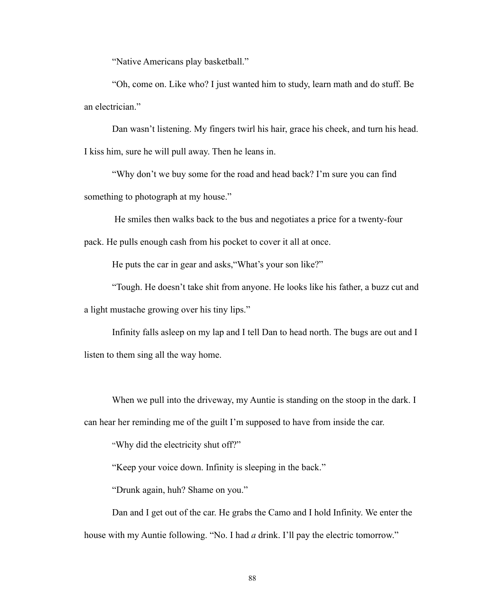"Native Americans play basketball."

 "Oh, come on. Like who? I just wanted him to study, learn math and do stuff. Be an electrician."

 Dan wasn't listening. My fingers twirl his hair, grace his cheek, and turn his head. I kiss him, sure he will pull away. Then he leans in.

 "Why don't we buy some for the road and head back? I'm sure you can find something to photograph at my house."

 He smiles then walks back to the bus and negotiates a price for a twenty-four pack. He pulls enough cash from his pocket to cover it all at once.

He puts the car in gear and asks,"What's your son like?"

 "Tough. He doesn't take shit from anyone. He looks like his father, a buzz cut and a light mustache growing over his tiny lips."

 Infinity falls asleep on my lap and I tell Dan to head north. The bugs are out and I listen to them sing all the way home.

When we pull into the driveway, my Auntie is standing on the stoop in the dark. I can hear her reminding me of the guilt I'm supposed to have from inside the car.

"Why did the electricity shut off?"

"Keep your voice down. Infinity is sleeping in the back."

"Drunk again, huh? Shame on you."

 Dan and I get out of the car. He grabs the Camo and I hold Infinity. We enter the house with my Auntie following. "No. I had *a* drink. I'll pay the electric tomorrow."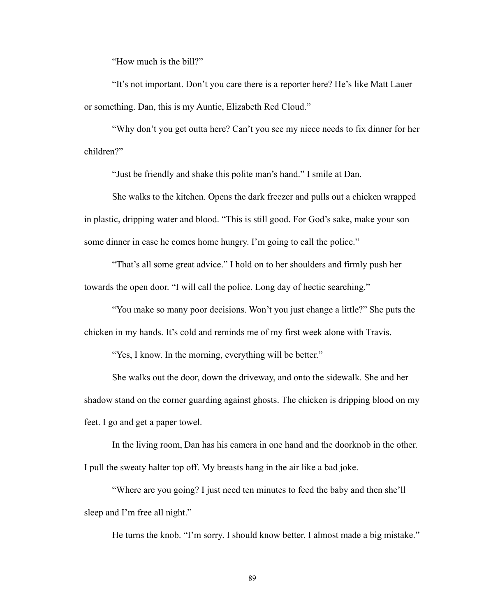"How much is the bill?"

 "It's not important. Don't you care there is a reporter here? He's like Matt Lauer or something. Dan, this is my Auntie, Elizabeth Red Cloud."

 "Why don't you get outta here? Can't you see my niece needs to fix dinner for her children?"

"Just be friendly and shake this polite man's hand." I smile at Dan.

 She walks to the kitchen. Opens the dark freezer and pulls out a chicken wrapped in plastic, dripping water and blood. "This is still good. For God's sake, make your son some dinner in case he comes home hungry. I'm going to call the police."

 "That's all some great advice." I hold on to her shoulders and firmly push her towards the open door. "I will call the police. Long day of hectic searching."

 "You make so many poor decisions. Won't you just change a little?" She puts the chicken in my hands. It's cold and reminds me of my first week alone with Travis.

"Yes, I know. In the morning, everything will be better."

 She walks out the door, down the driveway, and onto the sidewalk. She and her shadow stand on the corner guarding against ghosts. The chicken is dripping blood on my feet. I go and get a paper towel.

In the living room, Dan has his camera in one hand and the doorknob in the other. I pull the sweaty halter top off. My breasts hang in the air like a bad joke.

 "Where are you going? I just need ten minutes to feed the baby and then she'll sleep and I'm free all night."

He turns the knob. "I'm sorry. I should know better. I almost made a big mistake."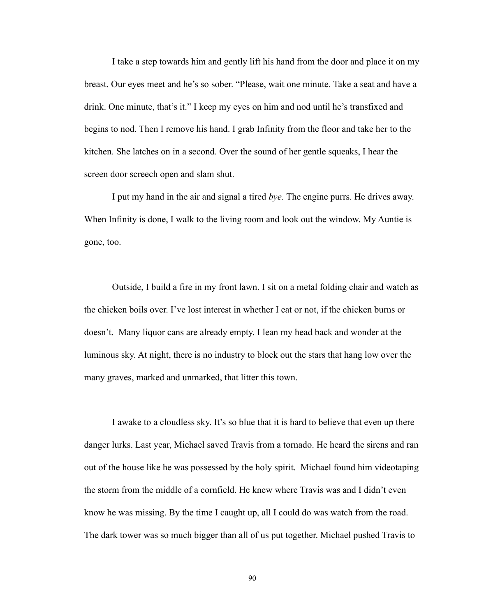I take a step towards him and gently lift his hand from the door and place it on my breast. Our eyes meet and he's so sober. "Please, wait one minute. Take a seat and have a drink. One minute, that's it." I keep my eyes on him and nod until he's transfixed and begins to nod. Then I remove his hand. I grab Infinity from the floor and take her to the kitchen. She latches on in a second. Over the sound of her gentle squeaks, I hear the screen door screech open and slam shut.

 I put my hand in the air and signal a tired *bye.* The engine purrs. He drives away. When Infinity is done, I walk to the living room and look out the window. My Auntie is gone, too.

 Outside, I build a fire in my front lawn. I sit on a metal folding chair and watch as the chicken boils over. I've lost interest in whether I eat or not, if the chicken burns or doesn't. Many liquor cans are already empty. I lean my head back and wonder at the luminous sky. At night, there is no industry to block out the stars that hang low over the many graves, marked and unmarked, that litter this town.

 I awake to a cloudless sky. It's so blue that it is hard to believe that even up there danger lurks. Last year, Michael saved Travis from a tornado. He heard the sirens and ran out of the house like he was possessed by the holy spirit. Michael found him videotaping the storm from the middle of a cornfield. He knew where Travis was and I didn't even know he was missing. By the time I caught up, all I could do was watch from the road. The dark tower was so much bigger than all of us put together. Michael pushed Travis to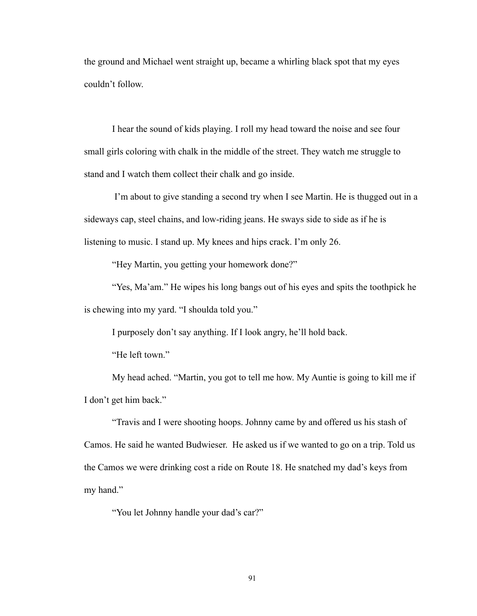the ground and Michael went straight up, became a whirling black spot that my eyes couldn't follow.

 I hear the sound of kids playing. I roll my head toward the noise and see four small girls coloring with chalk in the middle of the street. They watch me struggle to stand and I watch them collect their chalk and go inside.

 I'm about to give standing a second try when I see Martin. He is thugged out in a sideways cap, steel chains, and low-riding jeans. He sways side to side as if he is listening to music. I stand up. My knees and hips crack. I'm only 26.

"Hey Martin, you getting your homework done?"

"Yes, Ma'am." He wipes his long bangs out of his eyes and spits the toothpick he is chewing into my yard. "I shoulda told you."

I purposely don't say anything. If I look angry, he'll hold back.

"He left town."

 My head ached. "Martin, you got to tell me how. My Auntie is going to kill me if I don't get him back."

 "Travis and I were shooting hoops. Johnny came by and offered us his stash of Camos. He said he wanted Budwieser. He asked us if we wanted to go on a trip. Told us the Camos we were drinking cost a ride on Route 18. He snatched my dad's keys from my hand."

"You let Johnny handle your dad's car?"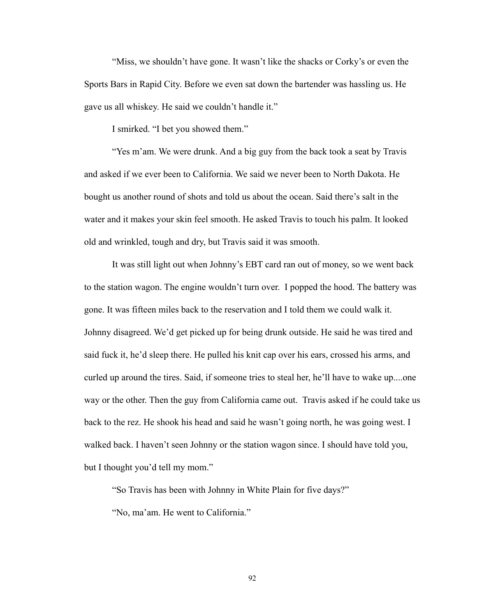"Miss, we shouldn't have gone. It wasn't like the shacks or Corky's or even the Sports Bars in Rapid City. Before we even sat down the bartender was hassling us. He gave us all whiskey. He said we couldn't handle it."

I smirked. "I bet you showed them."

 "Yes m'am. We were drunk. And a big guy from the back took a seat by Travis and asked if we ever been to California. We said we never been to North Dakota. He bought us another round of shots and told us about the ocean. Said there's salt in the water and it makes your skin feel smooth. He asked Travis to touch his palm. It looked old and wrinkled, tough and dry, but Travis said it was smooth.

 It was still light out when Johnny's EBT card ran out of money, so we went back to the station wagon. The engine wouldn't turn over. I popped the hood. The battery was gone. It was fifteen miles back to the reservation and I told them we could walk it. Johnny disagreed. We'd get picked up for being drunk outside. He said he was tired and said fuck it, he'd sleep there. He pulled his knit cap over his ears, crossed his arms, and curled up around the tires. Said, if someone tries to steal her, he'll have to wake up....one way or the other. Then the guy from California came out. Travis asked if he could take us back to the rez. He shook his head and said he wasn't going north, he was going west. I walked back. I haven't seen Johnny or the station wagon since. I should have told you, but I thought you'd tell my mom."

"So Travis has been with Johnny in White Plain for five days?"

"No, ma'am. He went to California."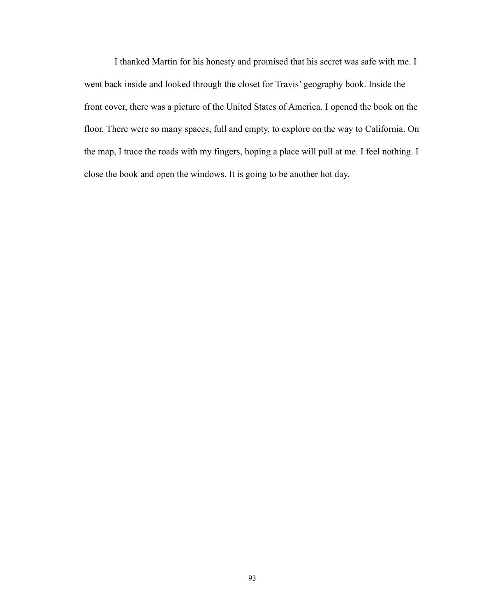I thanked Martin for his honesty and promised that his secret was safe with me. I went back inside and looked through the closet for Travis' geography book. Inside the front cover, there was a picture of the United States of America. I opened the book on the floor. There were so many spaces, full and empty, to explore on the way to California. On the map, I trace the roads with my fingers, hoping a place will pull at me. I feel nothing. I close the book and open the windows. It is going to be another hot day.